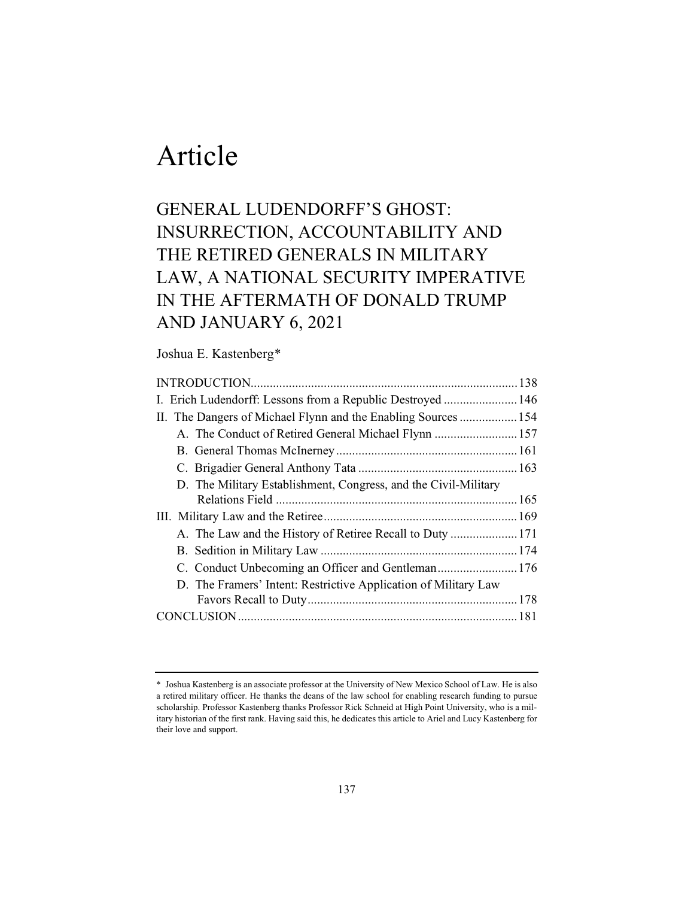# Article

### GENERAL LUDENDORFF'S GHOST: INSURRECTION, ACCOUNTABILITY AND THE RETIRED GENERALS IN MILITARY LAW, A NATIONAL SECURITY IMPERATIVE IN THE AFTERMATH OF DONALD TRUMP AND JANUARY 6, 2021

### Joshua E. Kastenberg\*

| I. Erich Ludendorff: Lessons from a Republic Destroyed  146     |  |
|-----------------------------------------------------------------|--|
| II. The Dangers of Michael Flynn and the Enabling Sources  154  |  |
| A. The Conduct of Retired General Michael Flynn  157            |  |
|                                                                 |  |
|                                                                 |  |
| D. The Military Establishment, Congress, and the Civil-Military |  |
|                                                                 |  |
|                                                                 |  |
|                                                                 |  |
|                                                                 |  |
|                                                                 |  |
| D. The Framers' Intent: Restrictive Application of Military Law |  |
|                                                                 |  |
|                                                                 |  |
|                                                                 |  |

<sup>\*</sup> Joshua Kastenberg is an associate professor at the University of New Mexico School of Law. He is also a retired military officer. He thanks the deans of the law school for enabling research funding to pursue scholarship. Professor Kastenberg thanks Professor Rick Schneid at High Point University, who is a military historian of the first rank. Having said this, he dedicates this article to Ariel and Lucy Kastenberg for their love and support.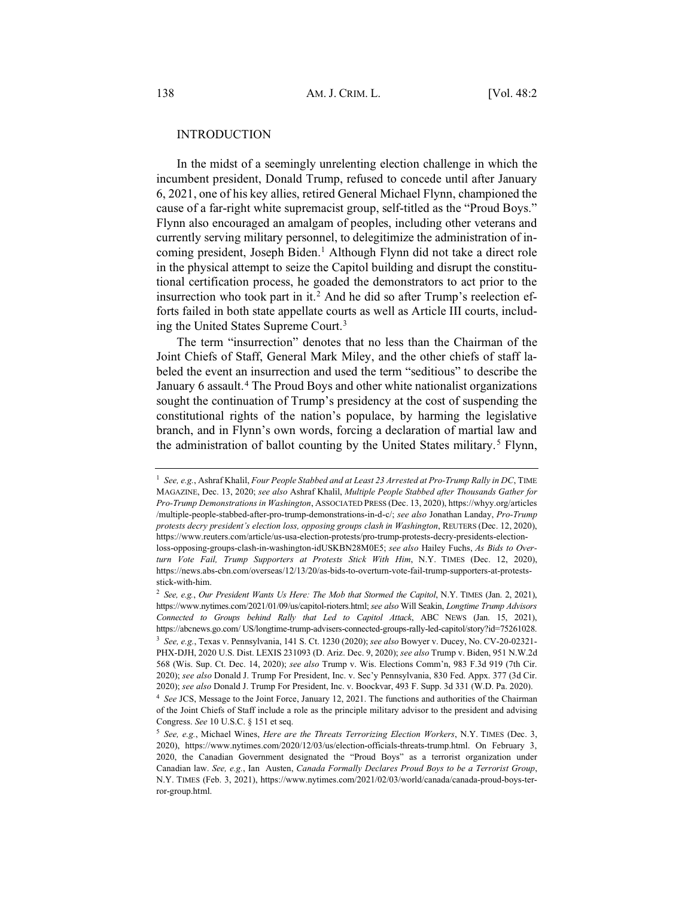#### INTRODUCTION

In the midst of a seemingly unrelenting election challenge in which the incumbent president, Donald Trump, refused to concede until after January 6, 2021, one of his key allies, retired General Michael Flynn, championed the cause of a far-right white supremacist group, self-titled as the "Proud Boys." Flynn also encouraged an amalgam of peoples, including other veterans and currently serving military personnel, to delegitimize the administration of incoming president, Joseph Biden.<sup>1</sup> Although Flynn did not take a direct role in the physical attempt to seize the Capitol building and disrupt the constitutional certification process, he goaded the demonstrators to act prior to the insurrection who took part in it.2 And he did so after Trump's reelection efforts failed in both state appellate courts as well as Article III courts, including the United States Supreme Court.3

The term "insurrection" denotes that no less than the Chairman of the Joint Chiefs of Staff, General Mark Miley, and the other chiefs of staff labeled the event an insurrection and used the term "seditious" to describe the January 6 assault.<sup>4</sup> The Proud Boys and other white nationalist organizations sought the continuation of Trump's presidency at the cost of suspending the constitutional rights of the nation's populace, by harming the legislative branch, and in Flynn's own words, forcing a declaration of martial law and the administration of ballot counting by the United States military.<sup>5</sup> Flynn,

<sup>1</sup> *See, e.g.*, Ashraf Khalil, *Four People Stabbed and at Least 23 Arrested at Pro-Trump Rally in DC*, TIME MAGAZINE, Dec. 13, 2020; *see also* Ashraf Khalil, *Multiple People Stabbed after Thousands Gather for Pro-Trump Demonstrations in Washington*, ASSOCIATED PRESS (Dec. 13, 2020), https://whyy.org/articles /multiple-people-stabbed-after-pro-trump-demonstrations-in-d-c/; *see also* Jonathan Landay, *Pro-Trump protests decry president's election loss, opposing groups clash in Washington*, REUTERS (Dec. 12, 2020), https://www.reuters.com/article/us-usa-election-protests/pro-trump-protests-decry-presidents-electionloss-opposing-groups-clash-in-washington-idUSKBN28M0E5; *see also* Hailey Fuchs, *As Bids to Overturn Vote Fail, Trump Supporters at Protests Stick With Him*, N.Y. TIMES (Dec. 12, 2020), https://news.abs-cbn.com/overseas/12/13/20/as-bids-to-overturn-vote-fail-trump-supporters-at-protestsstick-with-him.

<sup>2</sup> *See, e.g.*, *Our President Wants Us Here: The Mob that Stormed the Capitol*, N.Y. TIMES (Jan. 2, 2021), https://www.nytimes.com/2021/01/09/us/capitol-rioters.html; *see also* Will Seakin, *Longtime Trump Advisors Connected to Groups behind Rally that Led to Capitol Attack*, ABC NEWS (Jan. 15, 2021), https://abcnews.go.com/ US/longtime-trump-advisers-connected-groups-rally-led-capitol/story?id=75261028. <sup>3</sup> *See, e.g.*, Texas v. Pennsylvania, 141 S. Ct. 1230 (2020); *see also* Bowyer v. Ducey, No. CV-20-02321- PHX-DJH, 2020 U.S. Dist. LEXIS 231093 (D. Ariz. Dec. 9, 2020); *see also* Trump v. Biden, 951 N.W.2d 568 (Wis. Sup. Ct. Dec. 14, 2020); *see also* Trump v. Wis. Elections Comm'n, 983 F.3d 919 (7th Cir. 2020); *see also* Donald J. Trump For President, Inc. v. Sec'y Pennsylvania, 830 Fed. Appx. 377 (3d Cir. 2020); *see also* Donald J. Trump For President, Inc. v. Boockvar, 493 F. Supp. 3d 331 (W.D. Pa. 2020). <sup>4</sup> *See* JCS, Message to the Joint Force, January 12, 2021. The functions and authorities of the Chairman of the Joint Chiefs of Staff include a role as the principle military advisor to the president and advising Congress. *See* 10 U.S.C. § 151 et seq.

<sup>5</sup> *See, e.g.*, Michael Wines, *Here are the Threats Terrorizing Election Workers*, N.Y. TIMES (Dec. 3, 2020), https://www.nytimes.com/2020/12/03/us/election-officials-threats-trump.html. On February 3, 2020, the Canadian Government designated the "Proud Boys" as a terrorist organization under Canadian law. *See, e.g.*, Ian Austen, *Canada Formally Declares Proud Boys to be a Terrorist Group*, N.Y. TIMES (Feb. 3, 2021), https://www.nytimes.com/2021/02/03/world/canada/canada-proud-boys-terror-group.html.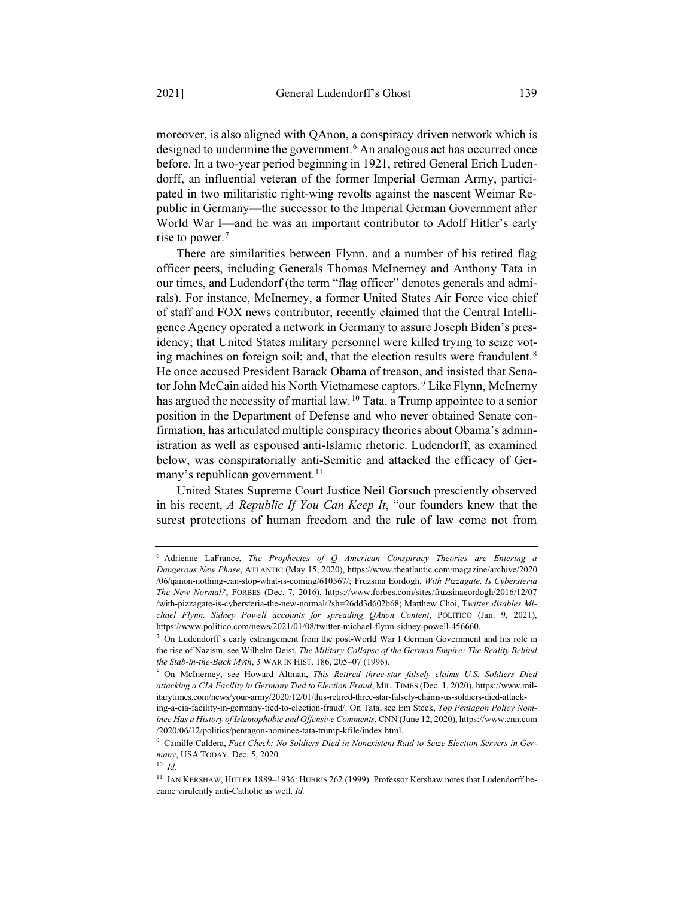moreover, is also aligned with QAnon, a conspiracy driven network which is designed to undermine the government.<sup>6</sup> An analogous act has occurred once before. In a two-year period beginning in 1921, retired General Erich Ludendorff, an influential veteran of the former Imperial German Army, participated in two militaristic right-wing revolts against the nascent Weimar Republic in Germany—the successor to the Imperial German Government after World War I—and he was an important contributor to Adolf Hitler's early rise to power.7

There are similarities between Flynn, and a number of his retired flag officer peers, including Generals Thomas McInerney and Anthony Tata in our times, and Ludendorf (the term "flag officer" denotes generals and admirals). For instance, McInerney, a former United States Air Force vice chief of staff and FOX news contributor, recently claimed that the Central Intelligence Agency operated a network in Germany to assure Joseph Biden's presidency; that United States military personnel were killed trying to seize voting machines on foreign soil; and, that the election results were fraudulent.<sup>8</sup> He once accused President Barack Obama of treason, and insisted that Senator John McCain aided his North Vietnamese captors.<sup>9</sup> Like Flynn, McInerny has argued the necessity of martial law.10 Tata, a Trump appointee to a senior position in the Department of Defense and who never obtained Senate confirmation, has articulated multiple conspiracy theories about Obama's administration as well as espoused anti-Islamic rhetoric. Ludendorff, as examined below, was conspiratorially anti-Semitic and attacked the efficacy of Germany's republican government.<sup>11</sup>

United States Supreme Court Justice Neil Gorsuch presciently observed in his recent, *A Republic If You Can Keep It*, "our founders knew that the surest protections of human freedom and the rule of law come not from

<sup>6</sup> Adrienne LaFrance, *The Prophecies of Q American Conspiracy Theories are Entering a Dangerous New Phase*, ATLANTIC (May 15, 2020), https://www.theatlantic.com/magazine/archive/2020 /06/qanon-nothing-can-stop-what-is-coming/610567/; Fruzsina Eordogh, *With Pizzagate, Is Cybersteria The New Normal?*, FORBES (Dec. 7, 2016), https://www.forbes.com/sites/fruzsinaeordogh/2016/12/07 /with-pizzagate-is-cybersteria-the-new-normal/?sh=26dd3d602b68; Matthew Choi, T*witter disables Michael Flynn, Sidney Powell accounts for spreading QAnon Content*, POLITICO (Jan. 9, 2021), https://www.politico.com/news/2021/01/08/twitter-michael-flynn-sidney-powell-456660.

 $<sup>7</sup>$  On Ludendorff's early estrangement from the post-World War I German Government and his role in</sup> the rise of Nazism, see Wilhelm Deist, *The Military Collapse of the German Empire: The Reality Behind the Stab-in-the-Back Myth*, 3 WAR IN HIST. 186, 205–07 (1996).

<sup>8</sup> On McInerney, see Howard Altman, *This Retired three-star falsely claims U.S. Soldiers Died attacking a CIA Facility in Germany Tied to Election Fraud*, MIL. TIMES (Dec. 1, 2020), https://www.militarytimes.com/news/your-army/2020/12/01/this-retired-three-star-falsely-claims-us-soldiers-died-attack-

ing-a-cia-facility-in-germany-tied-to-election-fraud/. On Tata, see Em Steck, *Top Pentagon Policy Nominee Has a History of Islamophobic and Offensive Comments*, CNN (June 12, 2020), https://www.cnn.com /2020/06/12/politics/pentagon-nominee-tata-trump-kfile/index.html.

<sup>9</sup> Camille Caldera, *Fact Check: No Soldiers Died in Nonexistent Raid to Seize Election Servers in Germany*, USA TODAY, Dec. 5, 2020.

<sup>10</sup> *Id.*

<sup>11</sup> IAN KERSHAW, HITLER 1889–1936: HUBRIS 262 (1999). Professor Kershaw notes that Ludendorff became virulently anti-Catholic as well. *Id.*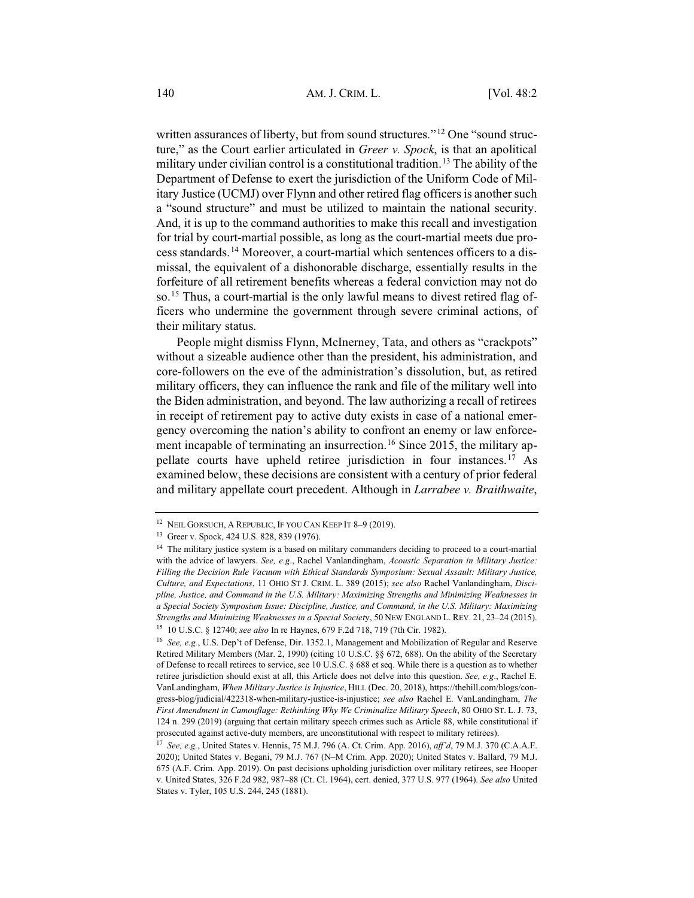written assurances of liberty, but from sound structures."<sup>12</sup> One "sound structure," as the Court earlier articulated in *Greer v. Spock*, is that an apolitical military under civilian control is a constitutional tradition.<sup>13</sup> The ability of the Department of Defense to exert the jurisdiction of the Uniform Code of Military Justice (UCMJ) over Flynn and other retired flag officers is another such a "sound structure" and must be utilized to maintain the national security. And, it is up to the command authorities to make this recall and investigation for trial by court-martial possible, as long as the court-martial meets due process standards.14 Moreover, a court-martial which sentences officers to a dismissal, the equivalent of a dishonorable discharge, essentially results in the forfeiture of all retirement benefits whereas a federal conviction may not do so.15 Thus, a court-martial is the only lawful means to divest retired flag officers who undermine the government through severe criminal actions, of their military status.

People might dismiss Flynn, McInerney, Tata, and others as "crackpots" without a sizeable audience other than the president, his administration, and core-followers on the eve of the administration's dissolution, but, as retired military officers, they can influence the rank and file of the military well into the Biden administration, and beyond. The law authorizing a recall of retirees in receipt of retirement pay to active duty exists in case of a national emergency overcoming the nation's ability to confront an enemy or law enforcement incapable of terminating an insurrection.<sup>16</sup> Since 2015, the military appellate courts have upheld retiree jurisdiction in four instances.17 As examined below, these decisions are consistent with a century of prior federal and military appellate court precedent. Although in *Larrabee v. Braithwaite*,

<sup>&</sup>lt;sup>12</sup> NEIL GORSUCH, A REPUBLIC, IF YOU CAN KEEP IT 8-9 (2019).

<sup>13</sup> Greer v. Spock, 424 U.S. 828, 839 (1976).

<sup>&</sup>lt;sup>14</sup> The military justice system is a based on military commanders deciding to proceed to a court-martial with the advice of lawyers. *See, e.g*., Rachel Vanlandingham, *Acoustic Separation in Military Justice: Filling the Decision Rule Vacuum with Ethical Standards Symposium: Sexual Assault: Military Justice, Culture, and Expectations*, 11 OHIO ST J. CRIM. L. 389 (2015); *see also* Rachel Vanlandingham, *Discipline, Justice, and Command in the U.S. Military: Maximizing Strengths and Minimizing Weaknesses in a Special Society Symposium Issue: Discipline, Justice, and Command, in the U.S. Military: Maximizing Strengths and Minimizing Weaknesses in a Special Societ*y, 50 NEW ENGLAND L. REV. 21, 23–24 (2015). <sup>15</sup> 10 U.S.C. § 12740; *see also* In re Haynes, 679 F.2d 718, 719 (7th Cir. 1982).

<sup>16</sup> *See, e.g.*, U.S. Dep't of Defense, Dir. 1352.1, Management and Mobilization of Regular and Reserve Retired Military Members (Mar. 2, 1990) (citing 10 U.S.C. §§ 672, 688). On the ability of the Secretary of Defense to recall retirees to service, see 10 U.S.C. § 688 et seq. While there is a question as to whether retiree jurisdiction should exist at all, this Article does not delve into this question. *See, e.g*., Rachel E. VanLandingham, *When Military Justice is Injustice*, HILL (Dec. 20, 2018), https://thehill.com/blogs/congress-blog/judicial/422318-when-military-justice-is-injustice; *see also* Rachel E. VanLandingham, *The First Amendment in Camouflage: Rethinking Why We Criminalize Military Speech*, 80 OHIO ST. L. J. 73, 124 n. 299 (2019) (arguing that certain military speech crimes such as Article 88, while constitutional if prosecuted against active-duty members, are unconstitutional with respect to military retirees).

<sup>17</sup> *See, e.g.*, United States v. Hennis, 75 M.J. 796 (A. Ct. Crim. App. 2016), *aff'd*, 79 M.J. 370 (C.A.A.F. 2020); United States v. Begani, 79 M.J. 767 (N–M Crim. App. 2020); United States v. Ballard, 79 M.J. 675 (A.F. Crim. App. 2019). On past decisions upholding jurisdiction over military retirees, see Hooper v. United States, 326 F.2d 982, 987–88 (Ct. Cl. 1964), cert. denied, 377 U.S. 977 (1964). *See also* United States v. Tyler, 105 U.S. 244, 245 (1881).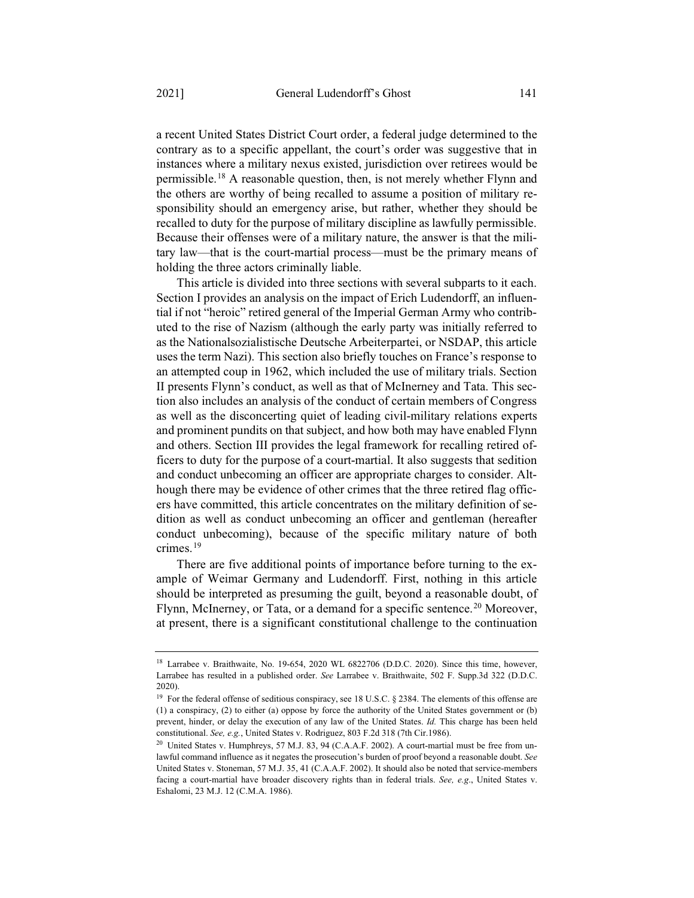a recent United States District Court order, a federal judge determined to the contrary as to a specific appellant, the court's order was suggestive that in instances where a military nexus existed, jurisdiction over retirees would be permissible.18 A reasonable question, then, is not merely whether Flynn and the others are worthy of being recalled to assume a position of military responsibility should an emergency arise, but rather, whether they should be recalled to duty for the purpose of military discipline as lawfully permissible. Because their offenses were of a military nature, the answer is that the military law—that is the court-martial process—must be the primary means of holding the three actors criminally liable.

This article is divided into three sections with several subparts to it each. Section I provides an analysis on the impact of Erich Ludendorff, an influential if not "heroic" retired general of the Imperial German Army who contributed to the rise of Nazism (although the early party was initially referred to as the Nationalsozialistische Deutsche Arbeiterpartei, or NSDAP, this article uses the term Nazi). This section also briefly touches on France's response to an attempted coup in 1962, which included the use of military trials. Section II presents Flynn's conduct, as well as that of McInerney and Tata. This section also includes an analysis of the conduct of certain members of Congress as well as the disconcerting quiet of leading civil-military relations experts and prominent pundits on that subject, and how both may have enabled Flynn and others. Section III provides the legal framework for recalling retired officers to duty for the purpose of a court-martial. It also suggests that sedition and conduct unbecoming an officer are appropriate charges to consider. Although there may be evidence of other crimes that the three retired flag officers have committed, this article concentrates on the military definition of sedition as well as conduct unbecoming an officer and gentleman (hereafter conduct unbecoming), because of the specific military nature of both crimes.19

There are five additional points of importance before turning to the example of Weimar Germany and Ludendorff. First, nothing in this article should be interpreted as presuming the guilt, beyond a reasonable doubt, of Flynn, McInerney, or Tata, or a demand for a specific sentence.<sup>20</sup> Moreover, at present, there is a significant constitutional challenge to the continuation

<sup>&</sup>lt;sup>18</sup> Larrabee v. Braithwaite, No. 19-654, 2020 WL 6822706 (D.D.C. 2020). Since this time, however, Larrabee has resulted in a published order. *See* Larrabee v. Braithwaite, 502 F. Supp.3d 322 (D.D.C. 2020).

<sup>&</sup>lt;sup>19</sup> For the federal offense of seditious conspiracy, see 18 U.S.C. § 2384. The elements of this offense are (1) a conspiracy, (2) to either (a) oppose by force the authority of the United States government or (b) prevent, hinder, or delay the execution of any law of the United States. *Id.* This charge has been held constitutional. *See, e.g.*, United States v. Rodriguez, 803 F.2d 318 (7th Cir.1986).

 $20$  United States v. Humphreys, 57 M.J. 83, 94 (C.A.A.F. 2002). A court-martial must be free from unlawful command influence as it negates the prosecution's burden of proof beyond a reasonable doubt. *See* United States v. Stoneman, 57 M.J. 35, 41 (C.A.A.F. 2002). It should also be noted that service-members facing a court-martial have broader discovery rights than in federal trials. *See, e.g*., United States v. Eshalomi, 23 M.J. 12 (C.M.A. 1986).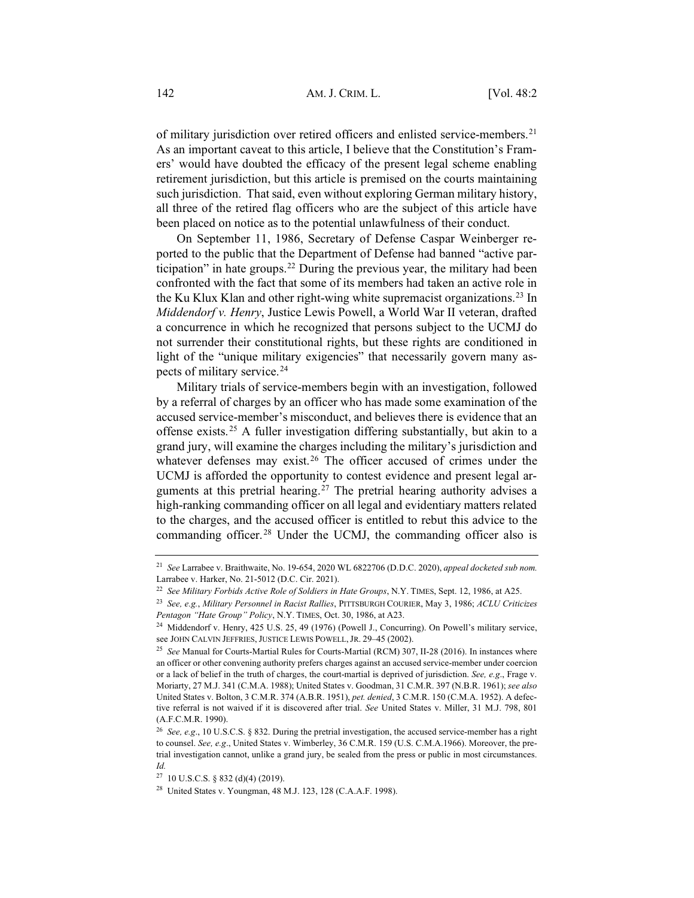of military jurisdiction over retired officers and enlisted service-members.<sup>21</sup> As an important caveat to this article, I believe that the Constitution's Framers' would have doubted the efficacy of the present legal scheme enabling retirement jurisdiction, but this article is premised on the courts maintaining such jurisdiction. That said, even without exploring German military history, all three of the retired flag officers who are the subject of this article have been placed on notice as to the potential unlawfulness of their conduct.

On September 11, 1986, Secretary of Defense Caspar Weinberger reported to the public that the Department of Defense had banned "active participation" in hate groups.<sup>22</sup> During the previous year, the military had been confronted with the fact that some of its members had taken an active role in the Ku Klux Klan and other right-wing white supremacist organizations.23 In *Middendorf v. Henry*, Justice Lewis Powell, a World War II veteran, drafted a concurrence in which he recognized that persons subject to the UCMJ do not surrender their constitutional rights, but these rights are conditioned in light of the "unique military exigencies" that necessarily govern many aspects of military service.24

Military trials of service-members begin with an investigation, followed by a referral of charges by an officer who has made some examination of the accused service-member's misconduct, and believes there is evidence that an offense exists.25 A fuller investigation differing substantially, but akin to a grand jury, will examine the charges including the military's jurisdiction and whatever defenses may exist.<sup>26</sup> The officer accused of crimes under the UCMJ is afforded the opportunity to contest evidence and present legal arguments at this pretrial hearing.<sup>27</sup> The pretrial hearing authority advises a high-ranking commanding officer on all legal and evidentiary matters related to the charges, and the accused officer is entitled to rebut this advice to the commanding officer.<sup>28</sup> Under the UCMJ, the commanding officer also is

<sup>21</sup> *See* Larrabee v. Braithwaite, No. 19-654, 2020 WL 6822706 (D.D.C. 2020), *appeal docketed sub nom.* Larrabee v. Harker, No. 21-5012 (D.C. Cir. 2021).

<sup>22</sup> *See Military Forbids Active Role of Soldiers in Hate Groups*, N.Y. TIMES, Sept. 12, 1986, at A25.

<sup>23</sup> *See, e.g.*, *Military Personnel in Racist Rallies*, PITTSBURGH COURIER, May 3, 1986; *ACLU Criticizes Pentagon "Hate Group" Policy*, N.Y. TIMES, Oct. 30, 1986, at A23.

<sup>24</sup> Middendorf v. Henry, 425 U.S. 25, 49 (1976) (Powell J., Concurring). On Powell's military service, see JOHN CALVIN JEFFRIES, JUSTICE LEWIS POWELL, JR. 29–45 (2002).

<sup>25</sup> *See* Manual for Courts-Martial Rules for Courts-Martial (RCM) 307, II-28 (2016). In instances where an officer or other convening authority prefers charges against an accused service-member under coercion or a lack of belief in the truth of charges, the court-martial is deprived of jurisdiction. *See, e.g*., Frage v. Moriarty, 27 M.J. 341 (C.M.A. 1988); United States v. Goodman, 31 C.M.R. 397 (N.B.R. 1961); *see also* United States v. Bolton, 3 C.M.R. 374 (A.B.R. 1951), *pet. denied*, 3 C.M.R. 150 (C.M.A. 1952). A defective referral is not waived if it is discovered after trial. *See* United States v. Miller, 31 M.J. 798, 801 (A.F.C.M.R. 1990).

<sup>26</sup> *See, e.g*., 10 U.S.C.S. § 832. During the pretrial investigation, the accused service-member has a right to counsel. *See, e.g*., United States v. Wimberley, 36 C.M.R. 159 (U.S. C.M.A.1966). Moreover, the pretrial investigation cannot, unlike a grand jury, be sealed from the press or public in most circumstances. *Id.*

<sup>27</sup> 10 U.S.C.S. § 832 (d)(4) (2019).

<sup>28</sup> United States v. Youngman, 48 M.J. 123, 128 (C.A.A.F. 1998).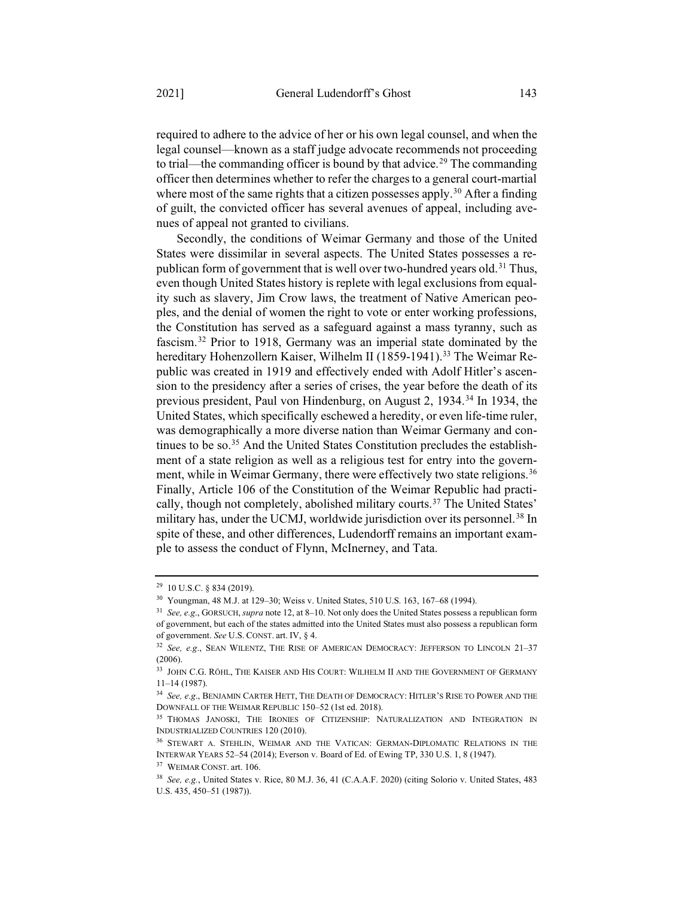required to adhere to the advice of her or his own legal counsel, and when the legal counsel—known as a staff judge advocate recommends not proceeding to trial—the commanding officer is bound by that advice.<sup>29</sup> The commanding officer then determines whether to refer the charges to a general court-martial where most of the same rights that a citizen possesses apply.<sup>30</sup> After a finding of guilt, the convicted officer has several avenues of appeal, including avenues of appeal not granted to civilians.

Secondly, the conditions of Weimar Germany and those of the United States were dissimilar in several aspects. The United States possesses a republican form of government that is well over two-hundred years old.<sup>31</sup> Thus, even though United States history is replete with legal exclusions from equality such as slavery, Jim Crow laws, the treatment of Native American peoples, and the denial of women the right to vote or enter working professions, the Constitution has served as a safeguard against a mass tyranny, such as fascism.32 Prior to 1918, Germany was an imperial state dominated by the hereditary Hohenzollern Kaiser, Wilhelm II (1859-1941).<sup>33</sup> The Weimar Republic was created in 1919 and effectively ended with Adolf Hitler's ascension to the presidency after a series of crises, the year before the death of its previous president, Paul von Hindenburg, on August 2, 1934.<sup>34</sup> In 1934, the United States, which specifically eschewed a heredity, or even life-time ruler, was demographically a more diverse nation than Weimar Germany and continues to be so.35 And the United States Constitution precludes the establishment of a state religion as well as a religious test for entry into the government, while in Weimar Germany, there were effectively two state religions.<sup>36</sup> Finally, Article 106 of the Constitution of the Weimar Republic had practically, though not completely, abolished military courts.37 The United States' military has, under the UCMJ, worldwide jurisdiction over its personnel.<sup>38</sup> In spite of these, and other differences, Ludendorff remains an important example to assess the conduct of Flynn, McInerney, and Tata.

<sup>29</sup> 10 U.S.C. § 834 (2019).

<sup>30</sup> Youngman, 48 M.J. at 129–30; Weiss v. United States, 510 U.S. 163, 167–68 (1994).

<sup>31</sup> *See, e.g*., GORSUCH, *supra* note 12, at 8–10. Not only does the United States possess a republican form of government, but each of the states admitted into the United States must also possess a republican form of government. *See* U.S. CONST. art. IV, § 4.

<sup>32</sup> *See, e.g*., SEAN WILENTZ, THE RISE OF AMERICAN DEMOCRACY: JEFFERSON TO LINCOLN 21–37  $(2006)$ 

<sup>33</sup> JOHN C.G. RÖHL, THE KAISER AND HIS COURT: WILHELM II AND THE GOVERNMENT OF GERMANY 11–14 (1987).

<sup>34</sup> *See, e.g*., BENJAMIN CARTER HETT, THE DEATH OF DEMOCRACY: HITLER'S RISE TO POWER AND THE DOWNFALL OF THE WEIMAR REPUBLIC 150–52 (1st ed. 2018).

<sup>35</sup> THOMAS JANOSKI, THE IRONIES OF CITIZENSHIP: NATURALIZATION AND INTEGRATION IN INDUSTRIALIZED COUNTRIES 120 (2010).

<sup>36</sup> STEWART A. STEHLIN, WEIMAR AND THE VATICAN: GERMAN-DIPLOMATIC RELATIONS IN THE INTERWAR YEARS 52–54 (2014); Everson v. Board of Ed. of Ewing TP, 330 U.S. 1, 8 (1947).

<sup>37</sup> WEIMAR CONST. art. 106.

<sup>38</sup> *See, e.g.*, United States v. Rice, 80 M.J. 36, 41 (C.A.A.F. 2020) (citing Solorio v. United States, 483 U.S. 435, 450–51 (1987)).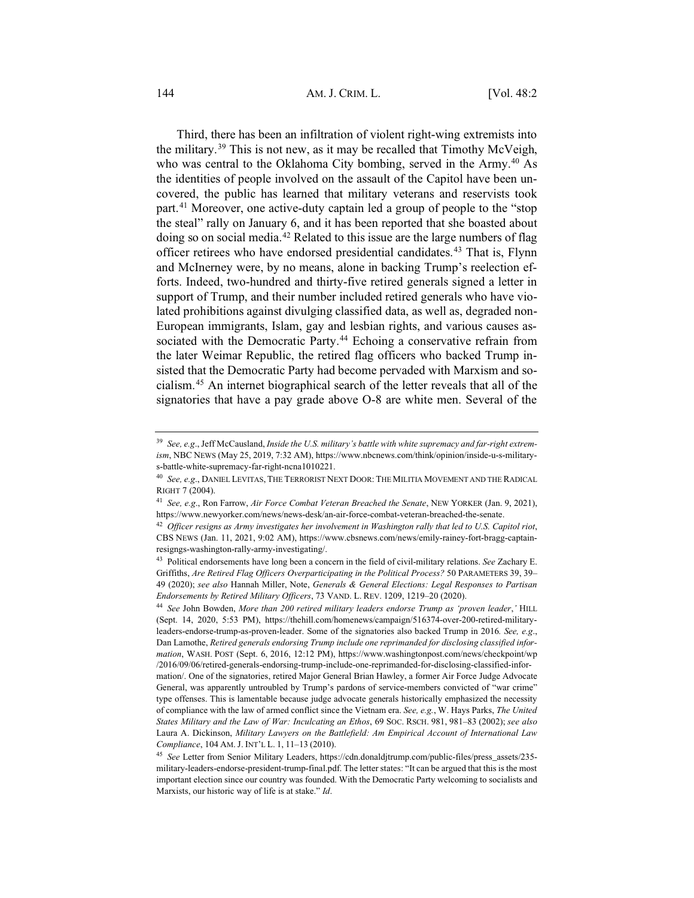#### 144 **AM. J. CRIM. L.** [Vol. 48:2]

Third, there has been an infiltration of violent right-wing extremists into the military.39 This is not new, as it may be recalled that Timothy McVeigh, who was central to the Oklahoma City bombing, served in the Army.<sup>40</sup> As the identities of people involved on the assault of the Capitol have been uncovered, the public has learned that military veterans and reservists took part.41 Moreover, one active-duty captain led a group of people to the "stop the steal" rally on January 6, and it has been reported that she boasted about doing so on social media.42 Related to this issue are the large numbers of flag officer retirees who have endorsed presidential candidates.43 That is, Flynn and McInerney were, by no means, alone in backing Trump's reelection efforts. Indeed, two-hundred and thirty-five retired generals signed a letter in support of Trump, and their number included retired generals who have violated prohibitions against divulging classified data, as well as, degraded non-European immigrants, Islam, gay and lesbian rights, and various causes associated with the Democratic Party.<sup>44</sup> Echoing a conservative refrain from the later Weimar Republic, the retired flag officers who backed Trump insisted that the Democratic Party had become pervaded with Marxism and socialism.45 An internet biographical search of the letter reveals that all of the signatories that have a pay grade above O-8 are white men. Several of the

<sup>39</sup> *See, e.g*., Jeff McCausland, *Inside the U.S. military's battle with white supremacy and far-right extremism*, NBC NEWS (May 25, 2019, 7:32 AM), https://www.nbcnews.com/think/opinion/inside-u-s-militarys-battle-white-supremacy-far-right-ncna1010221.

<sup>40</sup> *See, e.g*., DANIEL LEVITAS, THE TERRORIST NEXT DOOR: THE MILITIA MOVEMENT AND THE RADICAL RIGHT 7 (2004).

<sup>41</sup> *See, e.g*., Ron Farrow, *Air Force Combat Veteran Breached the Senate*, NEW YORKER (Jan. 9, 2021), https://www.newyorker.com/news/news-desk/an-air-force-combat-veteran-breached-the-senate.

<sup>42</sup> *Officer resigns as Army investigates her involvement in Washington rally that led to U.S. Capitol riot*, CBS NEWS (Jan. 11, 2021, 9:02 AM), https://www.cbsnews.com/news/emily-rainey-fort-bragg-captainresigngs-washington-rally-army-investigating/.

<sup>43</sup> Political endorsements have long been a concern in the field of civil-military relations. *See* Zachary E. Griffiths, *Are Retired Flag Officers Overparticipating in the Political Process?* 50 PARAMETERS 39, 39– 49 (2020); *see also* Hannah Miller, Note, *Generals & General Elections: Legal Responses to Partisan Endorsements by Retired Military Officers*, 73 VAND. L. REV. 1209, 1219–20 (2020).

<sup>44</sup> *See* John Bowden, *More than 200 retired military leaders endorse Trump as 'proven leader*,*'* HILL (Sept. 14, 2020, 5:53 PM), https://thehill.com/homenews/campaign/516374-over-200-retired-militaryleaders-endorse-trump-as-proven-leader. Some of the signatories also backed Trump in 2016*. See, e.g*., Dan Lamothe, *Retired generals endorsing Trump include one reprimanded for disclosing classified information*, WASH. POST (Sept. 6, 2016, 12:12 PM), https://www.washingtonpost.com/news/checkpoint/wp /2016/09/06/retired-generals-endorsing-trump-include-one-reprimanded-for-disclosing-classified-information/. One of the signatories, retired Major General Brian Hawley, a former Air Force Judge Advocate General, was apparently untroubled by Trump's pardons of service-members convicted of "war crime" type offenses. This is lamentable because judge advocate generals historically emphasized the necessity of compliance with the law of armed conflict since the Vietnam era. *See, e.g.*, W. Hays Parks, *The United States Military and the Law of War: Inculcating an Ethos*, 69 SOC. RSCH. 981, 981–83 (2002); *see also* Laura A. Dickinson, *Military Lawyers on the Battlefield: Am Empirical Account of International Law Compliance*, 104 AM. J. INT'L L. 1, 11–13 (2010).

<sup>45</sup> *See* Letter from Senior Military Leaders, https://cdn.donaldjtrump.com/public-files/press\_assets/235 military-leaders-endorse-president-trump-final.pdf. The letter states: "It can be argued that this is the most important election since our country was founded. With the Democratic Party welcoming to socialists and Marxists, our historic way of life is at stake." *Id*.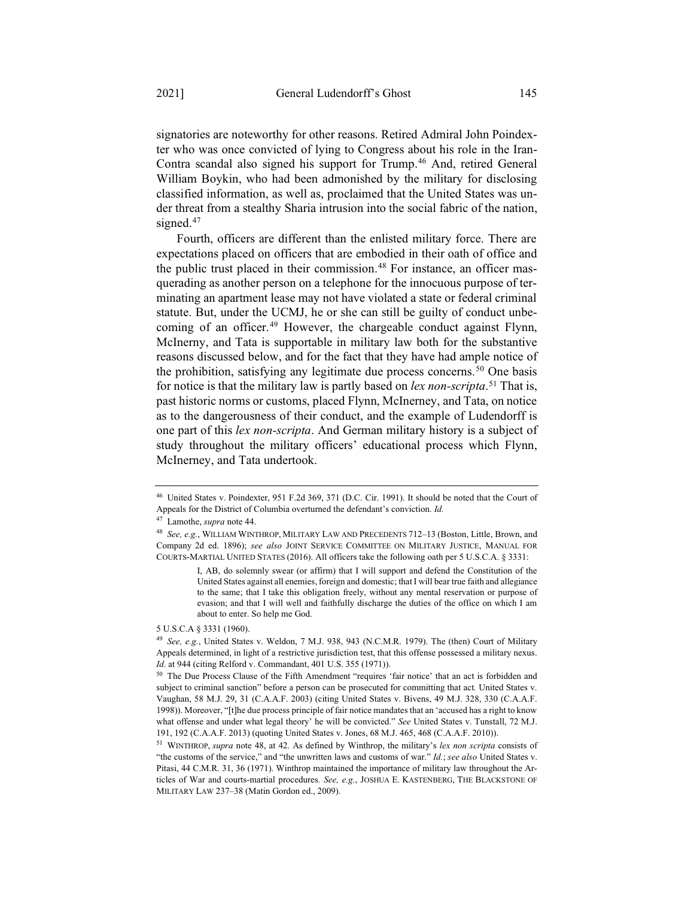signatories are noteworthy for other reasons. Retired Admiral John Poindexter who was once convicted of lying to Congress about his role in the Iran-Contra scandal also signed his support for Trump.46 And, retired General William Boykin, who had been admonished by the military for disclosing classified information, as well as, proclaimed that the United States was under threat from a stealthy Sharia intrusion into the social fabric of the nation, signed.<sup>47</sup>

Fourth, officers are different than the enlisted military force. There are expectations placed on officers that are embodied in their oath of office and the public trust placed in their commission.<sup>48</sup> For instance, an officer masquerading as another person on a telephone for the innocuous purpose of terminating an apartment lease may not have violated a state or federal criminal statute. But, under the UCMJ, he or she can still be guilty of conduct unbecoming of an officer.<sup>49</sup> However, the chargeable conduct against Flynn, McInerny, and Tata is supportable in military law both for the substantive reasons discussed below, and for the fact that they have had ample notice of the prohibition, satisfying any legitimate due process concerns.<sup>50</sup> One basis for notice is that the military law is partly based on *lex non-scripta*. <sup>51</sup> That is, past historic norms or customs, placed Flynn, McInerney, and Tata, on notice as to the dangerousness of their conduct, and the example of Ludendorff is one part of this *lex non-scripta*. And German military history is a subject of study throughout the military officers' educational process which Flynn, McInerney, and Tata undertook.

<sup>46</sup> United States v. Poindexter, 951 F.2d 369, 371 (D.C. Cir. 1991). It should be noted that the Court of Appeals for the District of Columbia overturned the defendant's conviction. *Id.*

<sup>47</sup> Lamothe, *supra* note 44.

<sup>48</sup> *See, e.g.*, WILLIAM WINTHROP, MILITARY LAW AND PRECEDENTS 712–13 (Boston, Little, Brown, and Company 2d ed. 1896); *see also* JOINT SERVICE COMMITTEE ON MILITARY JUSTICE, MANUAL FOR COURTS-MARTIAL UNITED STATES (2016). All officers take the following oath per 5 U.S.C.A. § 3331:

I, AB, do solemnly swear (or affirm) that I will support and defend the Constitution of the United States against all enemies, foreign and domestic; that I will bear true faith and allegiance to the same; that I take this obligation freely, without any mental reservation or purpose of evasion; and that I will well and faithfully discharge the duties of the office on which I am about to enter. So help me God.

<sup>5</sup> U.S.C.A § 3331 (1960).

<sup>49</sup> *See, e.g.*, United States v. Weldon, 7 M.J. 938, 943 (N.C.M.R. 1979). The (then) Court of Military Appeals determined, in light of a restrictive jurisdiction test, that this offense possessed a military nexus. *Id*. at 944 (citing Relford v. Commandant, 401 U.S. 355 (1971)).

<sup>50</sup> The Due Process Clause of the Fifth Amendment "requires 'fair notice' that an act is forbidden and subject to criminal sanction" before a person can be prosecuted for committing that act*.* United States v. Vaughan, 58 M.J. 29, 31 (C.A.A.F. 2003) (citing United States v. Bivens, 49 M.J. 328, 330 (C.A.A.F. 1998)). Moreover, "[t]he due process principle of fair notice mandates that an 'accused has a right to know what offense and under what legal theory' he will be convicted." *See* United States v. Tunstall, 72 M.J. 191, 192 (C.A.A.F. 2013) (quoting United States v. Jones, 68 M.J. 465, 468 (C.A.A.F. 2010)).

<sup>51</sup> WINTHROP, *supra* note 48, at 42. As defined by Winthrop, the military's *lex non scripta* consists of "the customs of the service," and "the unwritten laws and customs of war." *Id.*; *see also* United States v. Pitasi, 44 C.M.R. 31, 36 (1971). Winthrop maintained the importance of military law throughout the Articles of War and courts-martial procedures*. See, e.g.*, JOSHUA E. KASTENBERG, THE BLACKSTONE OF MILITARY LAW 237–38 (Matin Gordon ed., 2009).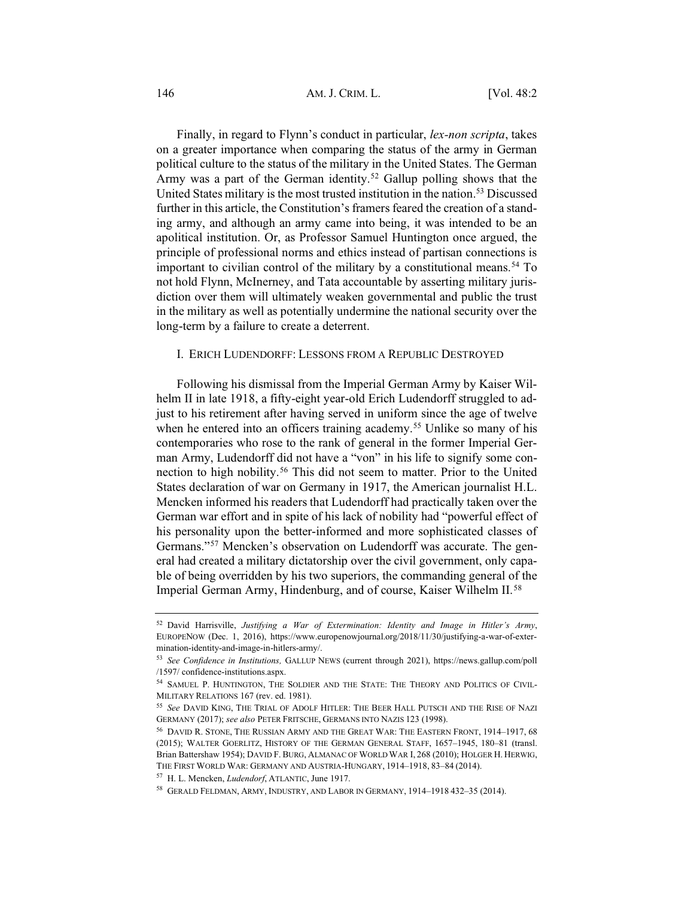Finally, in regard to Flynn's conduct in particular, *lex-non scripta*, takes on a greater importance when comparing the status of the army in German political culture to the status of the military in the United States. The German Army was a part of the German identity.<sup>52</sup> Gallup polling shows that the United States military is the most trusted institution in the nation.53 Discussed further in this article, the Constitution's framers feared the creation of a standing army, and although an army came into being, it was intended to be an apolitical institution. Or, as Professor Samuel Huntington once argued, the principle of professional norms and ethics instead of partisan connections is important to civilian control of the military by a constitutional means.<sup>54</sup> To not hold Flynn, McInerney, and Tata accountable by asserting military jurisdiction over them will ultimately weaken governmental and public the trust in the military as well as potentially undermine the national security over the long-term by a failure to create a deterrent.

#### I. ERICH LUDENDORFF: LESSONS FROM A REPUBLIC DESTROYED

Following his dismissal from the Imperial German Army by Kaiser Wilhelm II in late 1918, a fifty-eight year-old Erich Ludendorff struggled to adjust to his retirement after having served in uniform since the age of twelve when he entered into an officers training academy.<sup>55</sup> Unlike so many of his contemporaries who rose to the rank of general in the former Imperial German Army, Ludendorff did not have a "von" in his life to signify some connection to high nobility.56 This did not seem to matter. Prior to the United States declaration of war on Germany in 1917, the American journalist H.L. Mencken informed his readers that Ludendorff had practically taken over the German war effort and in spite of his lack of nobility had "powerful effect of his personality upon the better-informed and more sophisticated classes of Germans."57 Mencken's observation on Ludendorff was accurate. The general had created a military dictatorship over the civil government, only capable of being overridden by his two superiors, the commanding general of the Imperial German Army, Hindenburg, and of course, Kaiser Wilhelm II.<sup>58</sup>

<sup>52</sup> David Harrisville, *Justifying a War of Extermination: Identity and Image in Hitler's Army*, EUROPENOW (Dec. 1, 2016), https://www.europenowjournal.org/2018/11/30/justifying-a-war-of-extermination-identity-and-image-in-hitlers-army/.

<sup>53</sup> *See Confidence in Institutions,* GALLUP NEWS (current through 2021), https://news.gallup.com/poll /1597/ confidence-institutions.aspx.

<sup>54</sup> SAMUEL P. HUNTINGTON, THE SOLDIER AND THE STATE: THE THEORY AND POLITICS OF CIVIL-MILITARY RELATIONS 167 (rev. ed. 1981).

<sup>55</sup> *See* DAVID KING, THE TRIAL OF ADOLF HITLER: THE BEER HALL PUTSCH AND THE RISE OF NAZI GERMANY (2017); *see also* PETER FRITSCHE, GERMANS INTO NAZIS 123 (1998).

<sup>56</sup> DAVID R. STONE, THE RUSSIAN ARMY AND THE GREAT WAR: THE EASTERN FRONT, 1914–1917, 68 (2015); WALTER GOERLITZ, HISTORY OF THE GERMAN GENERAL STAFF, 1657–1945, 180–81 (transl. Brian Battershaw 1954); DAVID F. BURG, ALMANAC OF WORLD WAR I, 268 (2010); HOLGER H. HERWIG, THE FIRST WORLD WAR: GERMANY AND AUSTRIA-HUNGARY, 1914–1918, 83–84 (2014).

<sup>57</sup> H. L. Mencken, *Ludendorf*, ATLANTIC, June 1917.

<sup>58</sup> GERALD FELDMAN, ARMY, INDUSTRY, AND LABOR IN GERMANY, 1914–1918 432–35 (2014).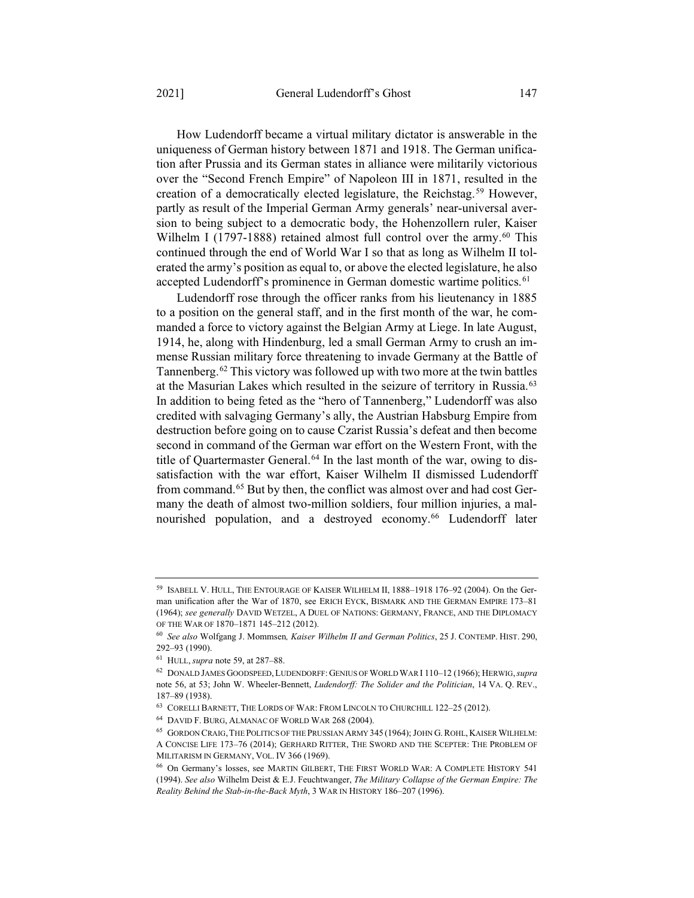How Ludendorff became a virtual military dictator is answerable in the uniqueness of German history between 1871 and 1918. The German unification after Prussia and its German states in alliance were militarily victorious over the "Second French Empire" of Napoleon III in 1871, resulted in the creation of a democratically elected legislature, the Reichstag.59 However, partly as result of the Imperial German Army generals' near-universal aversion to being subject to a democratic body, the Hohenzollern ruler, Kaiser Wilhelm I (1797-1888) retained almost full control over the army.<sup>60</sup> This continued through the end of World War I so that as long as Wilhelm II tolerated the army's position as equal to, or above the elected legislature, he also accepted Ludendorff's prominence in German domestic wartime politics.<sup>61</sup>

Ludendorff rose through the officer ranks from his lieutenancy in 1885 to a position on the general staff, and in the first month of the war, he commanded a force to victory against the Belgian Army at Liege. In late August, 1914, he, along with Hindenburg, led a small German Army to crush an immense Russian military force threatening to invade Germany at the Battle of Tannenberg.62 This victory was followed up with two more at the twin battles at the Masurian Lakes which resulted in the seizure of territory in Russia.63 In addition to being feted as the "hero of Tannenberg," Ludendorff was also credited with salvaging Germany's ally, the Austrian Habsburg Empire from destruction before going on to cause Czarist Russia's defeat and then become second in command of the German war effort on the Western Front, with the title of Quartermaster General.<sup>64</sup> In the last month of the war, owing to dissatisfaction with the war effort, Kaiser Wilhelm II dismissed Ludendorff from command.65 But by then, the conflict was almost over and had cost Germany the death of almost two-million soldiers, four million injuries, a malnourished population, and a destroyed economy.<sup>66</sup> Ludendorff later

<sup>59</sup> ISABELL V. HULL, THE ENTOURAGE OF KAISER WILHELM II, 1888–1918 176–92 (2004). On the German unification after the War of 1870, see ERICH EYCK, BISMARK AND THE GERMAN EMPIRE 173–81 (1964); *see generally* DAVID WETZEL,ADUEL OF NATIONS: GERMANY, FRANCE, AND THE DIPLOMACY OF THE WAR OF 1870–1871 145–212 (2012).

<sup>60</sup> *See also* Wolfgang J. Mommsen*, Kaiser Wilhelm II and German Politics*, 25 J. CONTEMP. HIST. 290, 292–93 (1990).

<sup>61</sup> HULL, *supra* note 59, at 287–88.

<sup>62</sup> DONALD JAMES GOODSPEED, LUDENDORFF: GENIUS OF WORLD WAR I 110–12 (1966); HERWIG,*supra*  note 56, at 53; John W. Wheeler-Bennett, *Ludendorff: The Solider and the Politician*, 14 VA. Q. REV., 187–89 (1938).

<sup>63</sup> CORELLI BARNETT, THE LORDS OF WAR: FROM LINCOLN TO CHURCHILL 122–25 (2012).

<sup>64</sup> DAVID F. BURG, ALMANAC OF WORLD WAR 268 (2004).

<sup>65</sup> GORDON CRAIG, THE POLITICS OF THE PRUSSIAN ARMY 345 (1964); JOHN G. ROHL, KAISER WILHELM: A CONCISE LIFE 173–76 (2014); GERHARD RITTER, THE SWORD AND THE SCEPTER: THE PROBLEM OF MILITARISM IN GERMANY, VOL. IV 366 (1969).

<sup>66</sup> On Germany's losses, see MARTIN GILBERT, THE FIRST WORLD WAR:ACOMPLETE HISTORY 541 (1994). *See also* Wilhelm Deist & E.J. Feuchtwanger, *The Military Collapse of the German Empire: The Reality Behind the Stab-in-the-Back Myth*,3WAR IN HISTORY 186–207 (1996).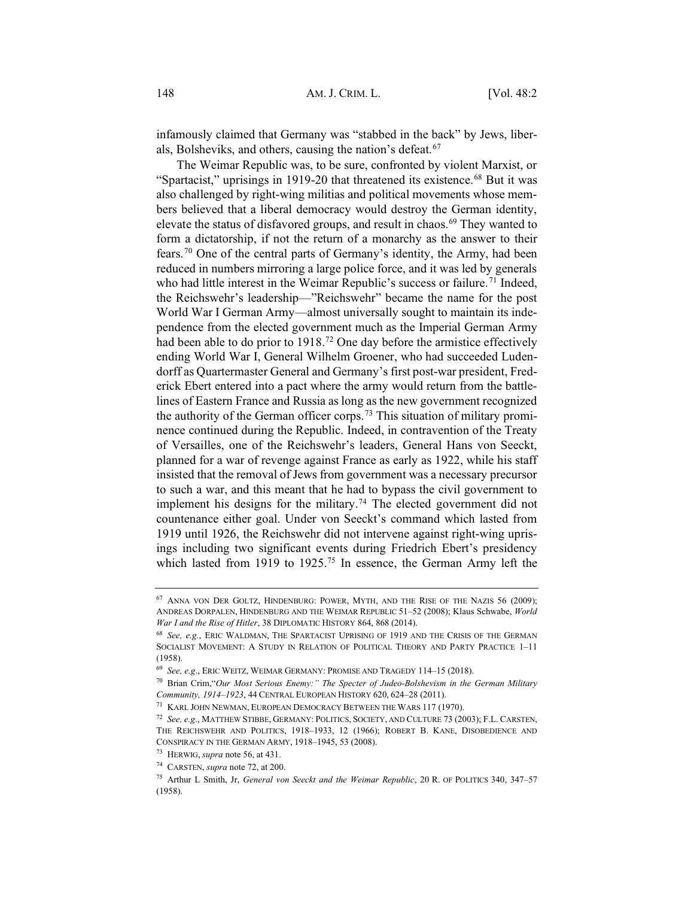infamously claimed that Germany was "stabbed in the back" by Jews, liberals, Bolsheviks, and others, causing the nation's defeat.<sup>67</sup>

The Weimar Republic was, to be sure, confronted by violent Marxist, or "Spartacist," uprisings in 1919-20 that threatened its existence.<sup>68</sup> But it was also challenged by right-wing militias and political movements whose members believed that a liberal democracy would destroy the German identity, elevate the status of disfavored groups, and result in chaos.<sup>69</sup> They wanted to form a dictatorship, if not the return of a monarchy as the answer to their fears.70 One of the central parts of Germany's identity, the Army, had been reduced in numbers mirroring a large police force, and it was led by generals who had little interest in the Weimar Republic's success or failure.<sup>71</sup> Indeed, the Reichswehr's leadership—"Reichswehr" became the name for the post World War I German Army—almost universally sought to maintain its independence from the elected government much as the Imperial German Army had been able to do prior to 1918.<sup>72</sup> One day before the armistice effectively ending World War I, General Wilhelm Groener, who had succeeded Ludendorff as Quartermaster General and Germany's first post-war president, Frederick Ebert entered into a pact where the army would return from the battlelines of Eastern France and Russia as long as the new government recognized the authority of the German officer corps.73 This situation of military prominence continued during the Republic. Indeed, in contravention of the Treaty of Versailles, one of the Reichswehr's leaders, General Hans von Seeckt, planned for a war of revenge against France as early as 1922, while his staff insisted that the removal of Jews from government was a necessary precursor to such a war, and this meant that he had to bypass the civil government to implement his designs for the military.<sup>74</sup> The elected government did not countenance either goal. Under von Seeckt's command which lasted from 1919 until 1926, the Reichswehr did not intervene against right-wing uprisings including two significant events during Friedrich Ebert's presidency which lasted from 1919 to 1925.<sup>75</sup> In essence, the German Army left the

<sup>67</sup> ANNA VON DER GOLTZ, HINDENBURG: POWER, MYTH, AND THE RISE OF THE NAZIS 56 (2009); ANDREAS DORPALEN, HINDENBURG AND THE WEIMAR REPUBLIC 51–52 (2008); Klaus Schwabe, *World War I and the Rise of Hitler*, 38 DIPLOMATIC HISTORY 864, 868 (2014).

<sup>68</sup> *See, e.g.*, ERIC WALDMAN, THE SPARTACIST UPRISING OF 1919 AND THE CRISIS OF THE GERMAN SOCIALIST MOVEMENT: A STUDY IN RELATION OF POLITICAL THEORY AND PARTY PRACTICE 1-11 (1958).

<sup>69</sup> *See, e.g*., ERIC WEITZ, WEIMAR GERMANY: PROMISE AND TRAGEDY 114–15 (2018).

<sup>70</sup> Brian Crim,"*Our Most Serious Enemy:" The Specter of Judeo-Bolshevism in the German Military Community, 1914–1923*, 44 CENTRAL EUROPEAN HISTORY 620, 624–28 (2011).

<sup>71</sup> KARL JOHN NEWMAN, EUROPEAN DEMOCRACY BETWEEN THE WARS 117 (1970).

<sup>72</sup> *See, e.g*., MATTHEW STIBBE, GERMANY: POLITICS, SOCIETY, AND CULTURE 73 (2003); F.L. CARSTEN, THE REICHSWEHR AND POLITICS, 1918–1933, 12 (1966); ROBERT B. KANE, DISOBEDIENCE AND CONSPIRACY IN THE GERMAN ARMY, 1918–1945, 53 (2008).

<sup>73</sup> HERWIG, *supra* note 56, at 431.

<sup>74</sup> CARSTEN, *supra* note 72, at 200.

<sup>75</sup> Arthur L Smith, Jr, *General von Seeckt and the Weimar Republic*, 20 R. OF POLITICS 340, 347–57 (1958).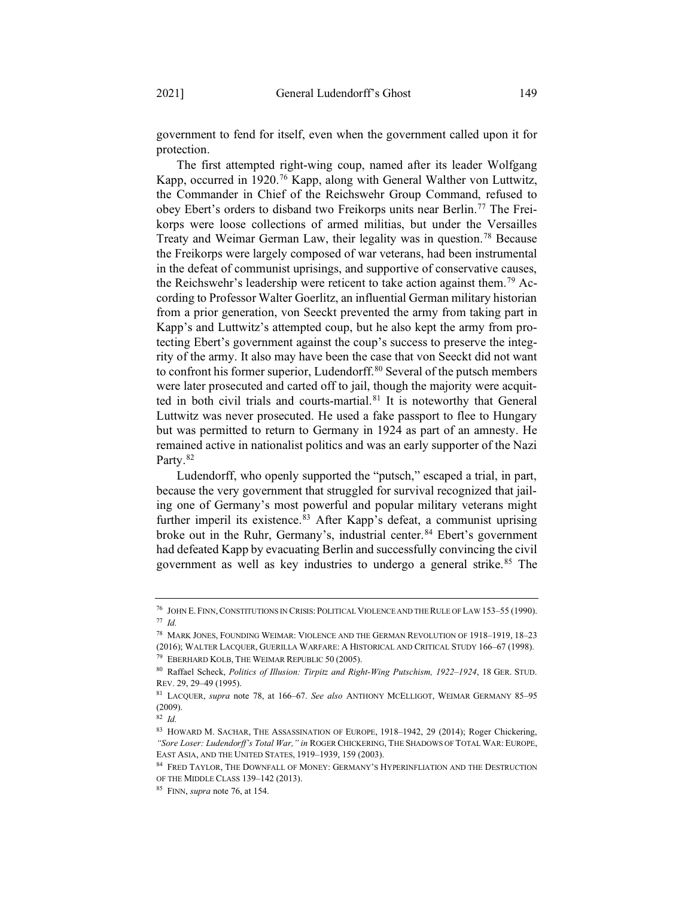government to fend for itself, even when the government called upon it for protection.

The first attempted right-wing coup, named after its leader Wolfgang Kapp, occurred in 1920.76 Kapp, along with General Walther von Luttwitz, the Commander in Chief of the Reichswehr Group Command, refused to obey Ebert's orders to disband two Freikorps units near Berlin.77 The Freikorps were loose collections of armed militias, but under the Versailles Treaty and Weimar German Law, their legality was in question.78 Because the Freikorps were largely composed of war veterans, had been instrumental in the defeat of communist uprisings, and supportive of conservative causes, the Reichswehr's leadership were reticent to take action against them.79 According to Professor Walter Goerlitz, an influential German military historian from a prior generation, von Seeckt prevented the army from taking part in Kapp's and Luttwitz's attempted coup, but he also kept the army from protecting Ebert's government against the coup's success to preserve the integrity of the army. It also may have been the case that von Seeckt did not want to confront his former superior, Ludendorff.<sup>80</sup> Several of the putsch members were later prosecuted and carted off to jail, though the majority were acquitted in both civil trials and courts-martial.<sup>81</sup> It is noteworthy that General Luttwitz was never prosecuted. He used a fake passport to flee to Hungary but was permitted to return to Germany in 1924 as part of an amnesty. He remained active in nationalist politics and was an early supporter of the Nazi Party.<sup>82</sup>

Ludendorff, who openly supported the "putsch," escaped a trial, in part, because the very government that struggled for survival recognized that jailing one of Germany's most powerful and popular military veterans might further imperil its existence.<sup>83</sup> After Kapp's defeat, a communist uprising broke out in the Ruhr, Germany's, industrial center.<sup>84</sup> Ebert's government had defeated Kapp by evacuating Berlin and successfully convincing the civil government as well as key industries to undergo a general strike.<sup>85</sup> The

<sup>76</sup> JOHN E. FINN, CONSTITUTIONS IN CRISIS: POLITICAL VIOLENCE AND THE RULE OF LAW 153–55 (1990). <sup>77</sup> *Id.*

<sup>78</sup> MARK JONES, FOUNDING WEIMAR: VIOLENCE AND THE GERMAN REVOLUTION OF 1918–1919, 18–23 (2016); WALTER LACQUER, GUERILLA WARFARE:AHISTORICAL AND CRITICAL STUDY 166–67 (1998). <sup>79</sup> EBERHARD KOLB, THE WEIMAR REPUBLIC 50 (2005).

<sup>80</sup> Raffael Scheck, *Politics of Illusion: Tirpitz and Right-Wing Putschism, 1922–1924*, 18 GER. STUD. REV. 29, 29–49 (1995).

<sup>81</sup> LACQUER, *supra* note 78, at 166–67. *See also* ANTHONY MCELLIGOT, WEIMAR GERMANY 85–95 (2009).

<sup>82</sup> *Id.*

<sup>83</sup> HOWARD M. SACHAR, THE ASSASSINATION OF EUROPE, 1918–1942, 29 (2014); Roger Chickering, *"Sore Loser: Ludendorff's Total War," in* ROGER CHICKERING, THE SHADOWS OF TOTAL WAR: EUROPE, EAST ASIA, AND THE UNITED STATES, 1919–1939, 159 (2003).

<sup>84</sup> FRED TAYLOR, THE DOWNFALL OF MONEY: GERMANY'S HYPERINFLIATION AND THE DESTRUCTION OF THE MIDDLE CLASS 139–142 (2013).

<sup>85</sup> FINN, *supra* note 76, at 154.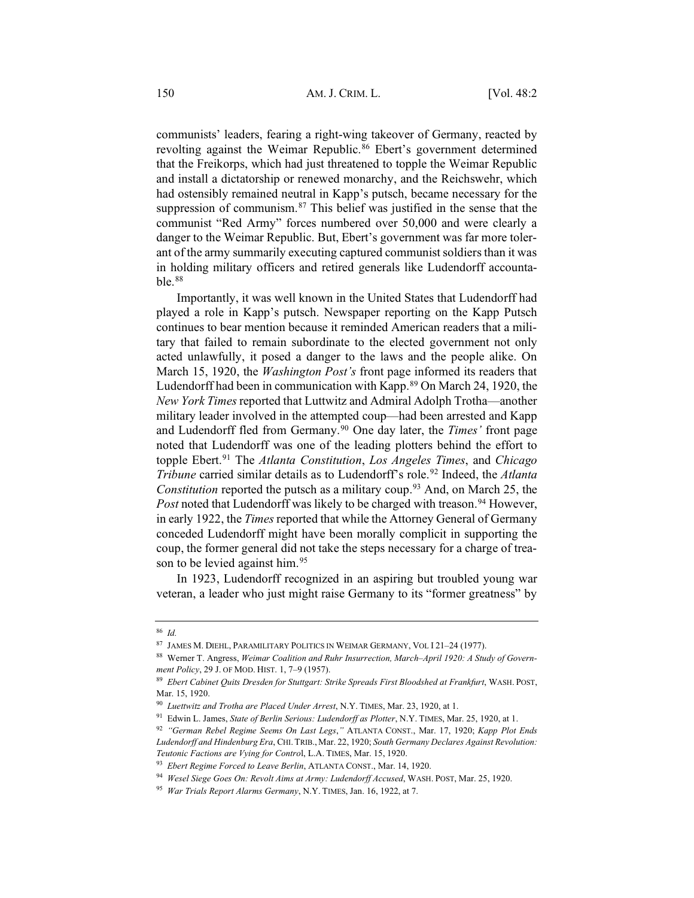communists' leaders, fearing a right-wing takeover of Germany, reacted by revolting against the Weimar Republic.<sup>86</sup> Ebert's government determined that the Freikorps, which had just threatened to topple the Weimar Republic and install a dictatorship or renewed monarchy, and the Reichswehr, which had ostensibly remained neutral in Kapp's putsch, became necessary for the suppression of communism.<sup>87</sup> This belief was justified in the sense that the communist "Red Army" forces numbered over 50,000 and were clearly a danger to the Weimar Republic. But, Ebert's government was far more tolerant of the army summarily executing captured communist soldiers than it was in holding military officers and retired generals like Ludendorff accountable.88

Importantly, it was well known in the United States that Ludendorff had played a role in Kapp's putsch. Newspaper reporting on the Kapp Putsch continues to bear mention because it reminded American readers that a military that failed to remain subordinate to the elected government not only acted unlawfully, it posed a danger to the laws and the people alike. On March 15, 1920, the *Washington Post's* front page informed its readers that Ludendorff had been in communication with Kapp.89 On March 24, 1920, the *New York Times*reported that Luttwitz and Admiral Adolph Trotha—another military leader involved in the attempted coup—had been arrested and Kapp and Ludendorff fled from Germany.<sup>90</sup> One day later, the *Times'* front page noted that Ludendorff was one of the leading plotters behind the effort to topple Ebert.91 The *Atlanta Constitution*, *Los Angeles Times*, and *Chicago Tribune* carried similar details as to Ludendorff's role.<sup>92</sup> Indeed, the *Atlanta Constitution* reported the putsch as a military coup.<sup>93</sup> And, on March 25, the *Post* noted that Ludendorff was likely to be charged with treason.<sup>94</sup> However, in early 1922, the *Times* reported that while the Attorney General of Germany conceded Ludendorff might have been morally complicit in supporting the coup, the former general did not take the steps necessary for a charge of treason to be levied against him.<sup>95</sup>

In 1923, Ludendorff recognized in an aspiring but troubled young war veteran, a leader who just might raise Germany to its "former greatness" by

<sup>86</sup> *Id.*

<sup>87</sup> JAMES M. DIEHL, PARAMILITARY POLITICS IN WEIMAR GERMANY, VOL I 21–24 (1977).

<sup>88</sup> Werner T. Angress, *Weimar Coalition and Ruhr Insurrection, March–April 1920: A Study of Government Policy*, 29 J. OF MOD. HIST. 1, 7–9 (1957).

<sup>89</sup> *Ebert Cabinet Quits Dresden for Stuttgart: Strike Spreads First Bloodshed at Frankfurt*, WASH. POST, Mar. 15, 1920.

<sup>90</sup> *Luettwitz and Trotha are Placed Under Arrest*, N.Y. TIMES, Mar. 23, 1920, at 1.

<sup>91</sup> Edwin L. James, *State of Berlin Serious: Ludendorff as Plotter*, N.Y. TIMES, Mar. 25, 1920, at 1.

<sup>92</sup> *"German Rebel Regime Seems On Last Legs*,*"* ATLANTA CONST., Mar. 17, 1920; *Kapp Plot Ends Ludendorff and Hindenburg Era*, CHI. TRIB., Mar. 22, 1920; *South Germany Declares Against Revolution: Teutonic Factions are Vying for Contro*l, L.A. TIMES, Mar. 15, 1920.

<sup>93</sup> *Ebert Regime Forced to Leave Berlin*, ATLANTA CONST., Mar. 14, 1920.

<sup>94</sup> *Wesel Siege Goes On: Revolt Aims at Army: Ludendorff Accused*, WASH. POST, Mar. 25, 1920.

<sup>95</sup> *War Trials Report Alarms Germany*, N.Y. TIMES, Jan. 16, 1922, at 7.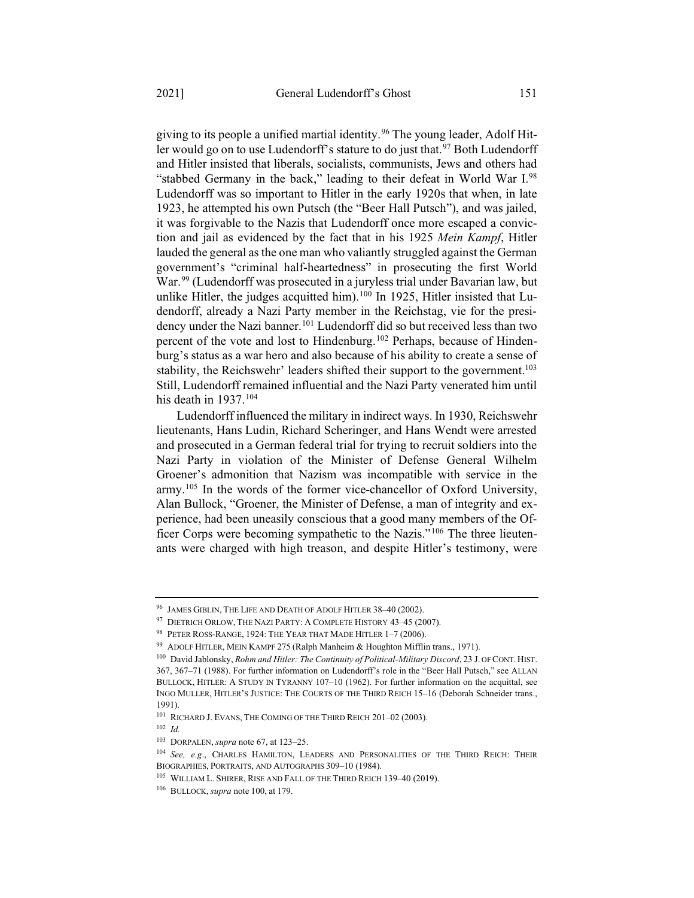giving to its people a unified martial identity.<sup>96</sup> The young leader, Adolf Hitler would go on to use Ludendorff's stature to do just that.<sup>97</sup> Both Ludendorff and Hitler insisted that liberals, socialists, communists, Jews and others had "stabbed Germany in the back," leading to their defeat in World War I.98 Ludendorff was so important to Hitler in the early 1920s that when, in late 1923, he attempted his own Putsch (the "Beer Hall Putsch"), and was jailed, it was forgivable to the Nazis that Ludendorff once more escaped a conviction and jail as evidenced by the fact that in his 1925 *Mein Kampf*, Hitler lauded the general as the one man who valiantly struggled against the German government's "criminal half-heartedness" in prosecuting the first World War.<sup>99</sup> (Ludendorff was prosecuted in a juryless trial under Bavarian law, but unlike Hitler, the judges acquitted him).<sup>100</sup> In 1925, Hitler insisted that Ludendorff, already a Nazi Party member in the Reichstag, vie for the presidency under the Nazi banner.<sup>101</sup> Ludendorff did so but received less than two percent of the vote and lost to Hindenburg.102 Perhaps, because of Hindenburg's status as a war hero and also because of his ability to create a sense of stability, the Reichswehr' leaders shifted their support to the government.<sup>103</sup> Still, Ludendorff remained influential and the Nazi Party venerated him until his death in  $1937.104$ 

Ludendorff influenced the military in indirect ways. In 1930, Reichswehr lieutenants, Hans Ludin, Richard Scheringer, and Hans Wendt were arrested and prosecuted in a German federal trial for trying to recruit soldiers into the Nazi Party in violation of the Minister of Defense General Wilhelm Groener's admonition that Nazism was incompatible with service in the army.105 In the words of the former vice-chancellor of Oxford University, Alan Bullock, "Groener, the Minister of Defense, a man of integrity and experience, had been uneasily conscious that a good many members of the Officer Corps were becoming sympathetic to the Nazis."106 The three lieutenants were charged with high treason, and despite Hitler's testimony, were

<sup>102</sup> *Id.*

<sup>96</sup> JAMES GIBLIN, THE LIFE AND DEATH OF ADOLF HITLER 38–40 (2002).

<sup>97</sup> DIETRICH ORLOW, THE NAZI PARTY: A COMPLETE HISTORY 43-45 (2007).

<sup>98</sup> PETER ROSS-RANGE, 1924: THE YEAR THAT MADE HITLER 1–7 (2006).

<sup>99</sup> ADOLF HITLER, MEIN KAMPF 275 (Ralph Manheim & Houghton Mifflin trans., 1971).

<sup>100</sup> David Jablonsky, *Rohm and Hitler: The Continuity of Political-Military Discord*, 23 J. OF CONT. HIST. 367, 367–71 (1988). For further information on Ludendorff's role in the "Beer Hall Putsch," see ALLAN BULLOCK, HITLER: A STUDY IN TYRANNY 107-10 (1962). For further information on the acquittal, see INGO MULLER, HITLER'S JUSTICE: THE COURTS OF THE THIRD REICH 15–16 (Deborah Schneider trans., 1991).

<sup>101</sup> RICHARD J. EVANS, THE COMING OF THE THIRD REICH 201–02 (2003).

<sup>103</sup> DORPALEN, *supra* note 67, at 123–25.

<sup>104</sup> *See, e.g*., CHARLES HAMILTON, LEADERS AND PERSONALITIES OF THE THIRD REICH: THEIR BIOGRAPHIES, PORTRAITS, AND AUTOGRAPHS 309–10 (1984).

<sup>&</sup>lt;sup>105</sup> WILLIAM L. SHIRER, RISE AND FALL OF THE THIRD REICH 139-40 (2019).

<sup>106</sup> BULLOCK, *supra* note 100, at 179.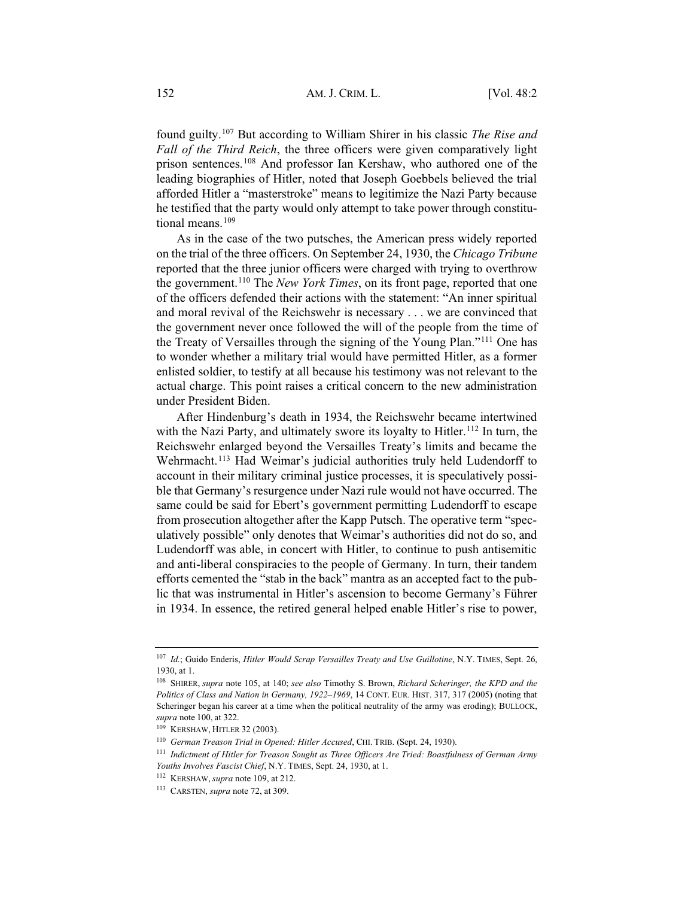found guilty.107 But according to William Shirer in his classic *The Rise and Fall of the Third Reich*, the three officers were given comparatively light prison sentences.108 And professor Ian Kershaw, who authored one of the leading biographies of Hitler, noted that Joseph Goebbels believed the trial afforded Hitler a "masterstroke" means to legitimize the Nazi Party because he testified that the party would only attempt to take power through constitutional means.<sup>109</sup>

As in the case of the two putsches, the American press widely reported on the trial of the three officers. On September 24, 1930, the *Chicago Tribune* reported that the three junior officers were charged with trying to overthrow the government.110 The *New York Times*, on its front page, reported that one of the officers defended their actions with the statement: "An inner spiritual and moral revival of the Reichswehr is necessary . . . we are convinced that the government never once followed the will of the people from the time of the Treaty of Versailles through the signing of the Young Plan."111 One has to wonder whether a military trial would have permitted Hitler, as a former enlisted soldier, to testify at all because his testimony was not relevant to the actual charge. This point raises a critical concern to the new administration under President Biden.

After Hindenburg's death in 1934, the Reichswehr became intertwined with the Nazi Party, and ultimately swore its loyalty to Hitler.<sup>112</sup> In turn, the Reichswehr enlarged beyond the Versailles Treaty's limits and became the Wehrmacht.<sup>113</sup> Had Weimar's judicial authorities truly held Ludendorff to account in their military criminal justice processes, it is speculatively possible that Germany's resurgence under Nazi rule would not have occurred. The same could be said for Ebert's government permitting Ludendorff to escape from prosecution altogether after the Kapp Putsch. The operative term "speculatively possible" only denotes that Weimar's authorities did not do so, and Ludendorff was able, in concert with Hitler, to continue to push antisemitic and anti-liberal conspiracies to the people of Germany. In turn, their tandem efforts cemented the "stab in the back" mantra as an accepted fact to the public that was instrumental in Hitler's ascension to become Germany's Führer in 1934. In essence, the retired general helped enable Hitler's rise to power,

<sup>107</sup> *Id.*; Guido Enderis, *Hitler Would Scrap Versailles Treaty and Use Guillotine*, N.Y. TIMES, Sept. 26, 1930, at 1.

<sup>108</sup> SHIRER, *supra* note 105, at 140; *see also* Timothy S. Brown, *Richard Scheringer, the KPD and the Politics of Class and Nation in Germany, 1922–1969*, 14 CONT. EUR. HIST. 317, 317 (2005) (noting that Scheringer began his career at a time when the political neutrality of the army was eroding); BULLOCK, *supra* note 100, at 322.

<sup>109</sup> KERSHAW, HITLER 32 (2003).

<sup>110</sup> *German Treason Trial in Opened: Hitler Accused*, CHI. TRIB. (Sept. 24, 1930).

<sup>111</sup> *Indictment of Hitler for Treason Sought as Three Officers Are Tried: Boastfulness of German Army Youths Involves Fascist Chief*, N.Y. TIMES, Sept. 24, 1930, at 1.

<sup>112</sup> KERSHAW, *supra* note 109, at 212.

<sup>113</sup> CARSTEN, *supra* note 72, at 309.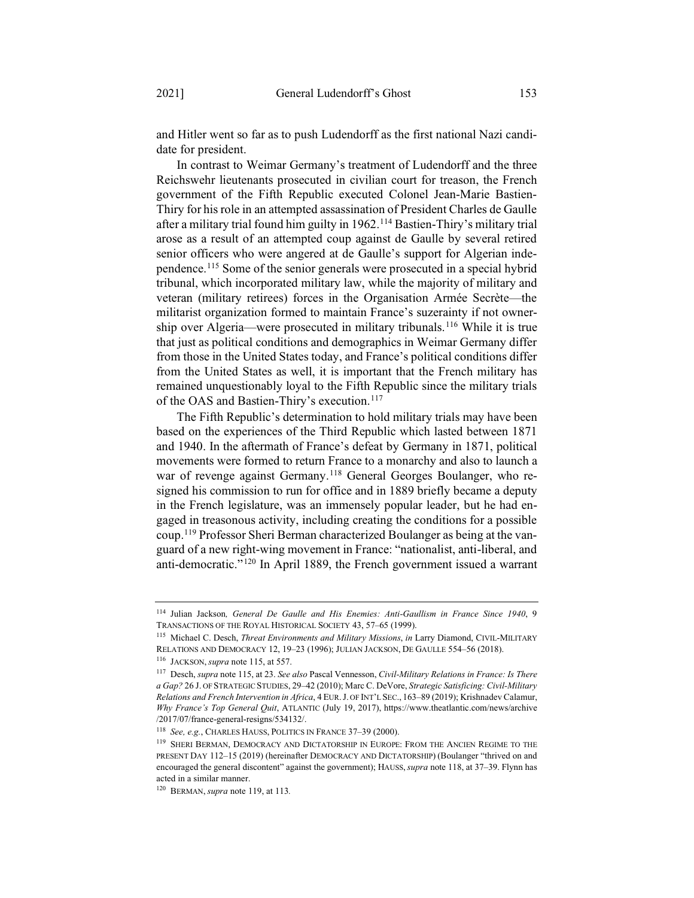and Hitler went so far as to push Ludendorff as the first national Nazi candidate for president.

In contrast to Weimar Germany's treatment of Ludendorff and the three Reichswehr lieutenants prosecuted in civilian court for treason, the French government of the Fifth Republic executed Colonel Jean-Marie Bastien-Thiry for his role in an attempted assassination of President Charles de Gaulle after a military trial found him guilty in 1962.114 Bastien-Thiry's military trial arose as a result of an attempted coup against de Gaulle by several retired senior officers who were angered at de Gaulle's support for Algerian independence.115 Some of the senior generals were prosecuted in a special hybrid tribunal, which incorporated military law, while the majority of military and veteran (military retirees) forces in the Organisation Armée Secrète—the militarist organization formed to maintain France's suzerainty if not ownership over Algeria—were prosecuted in military tribunals.116 While it is true that just as political conditions and demographics in Weimar Germany differ from those in the United States today, and France's political conditions differ from the United States as well, it is important that the French military has remained unquestionably loyal to the Fifth Republic since the military trials of the OAS and Bastien-Thiry's execution.<sup>117</sup>

The Fifth Republic's determination to hold military trials may have been based on the experiences of the Third Republic which lasted between 1871 and 1940. In the aftermath of France's defeat by Germany in 1871, political movements were formed to return France to a monarchy and also to launch a war of revenge against Germany.<sup>118</sup> General Georges Boulanger, who resigned his commission to run for office and in 1889 briefly became a deputy in the French legislature, was an immensely popular leader, but he had engaged in treasonous activity, including creating the conditions for a possible coup.119 Professor Sheri Berman characterized Boulanger as being at the vanguard of a new right-wing movement in France: "nationalist, anti-liberal, and anti-democratic."120 In April 1889, the French government issued a warrant

<sup>114</sup> Julian Jackson*, General De Gaulle and His Enemies: Anti-Gaullism in France Since 1940*, 9 TRANSACTIONS OF THE ROYAL HISTORICAL SOCIETY 43, 57–65 (1999).

<sup>115</sup> Michael C. Desch, *Threat Environments and Military Missions*, *in* Larry Diamond, CIVIL-MILITARY RELATIONS AND DEMOCRACY 12, 19–23 (1996); JULIAN JACKSON, DE GAULLE 554–56 (2018).

<sup>116</sup> JACKSON, *supra* note 115, at 557.

<sup>117</sup> Desch, *supra* note 115, at 23. *See also* Pascal Vennesson, *Civil-Military Relations in France: Is There a Gap?* 26 J. OF STRATEGIC STUDIES, 29–42 (2010); Marc C. DeVore, *Strategic Satisficing: Civil-Military Relations and French Intervention in Africa*, 4 EUR. J. OF INT'L SEC., 163–89 (2019); Krishnadev Calamur, *Why France's Top General Quit*, ATLANTIC (July 19, 2017), https://www.theatlantic.com/news/archive /2017/07/france-general-resigns/534132/.

<sup>118</sup> *See, e.g.*, CHARLES HAUSS, POLITICS IN FRANCE 37–39 (2000).

<sup>119</sup> SHERI BERMAN, DEMOCRACY AND DICTATORSHIP IN EUROPE: FROM THE ANCIEN REGIME TO THE PRESENT DAY 112–15 (2019) (hereinafter DEMOCRACY AND DICTATORSHIP) (Boulanger "thrived on and encouraged the general discontent" against the government); HAUSS,*supra* note 118, at 37–39. Flynn has acted in a similar manner.

<sup>120</sup> BERMAN, *supra* note 119, at 113*.*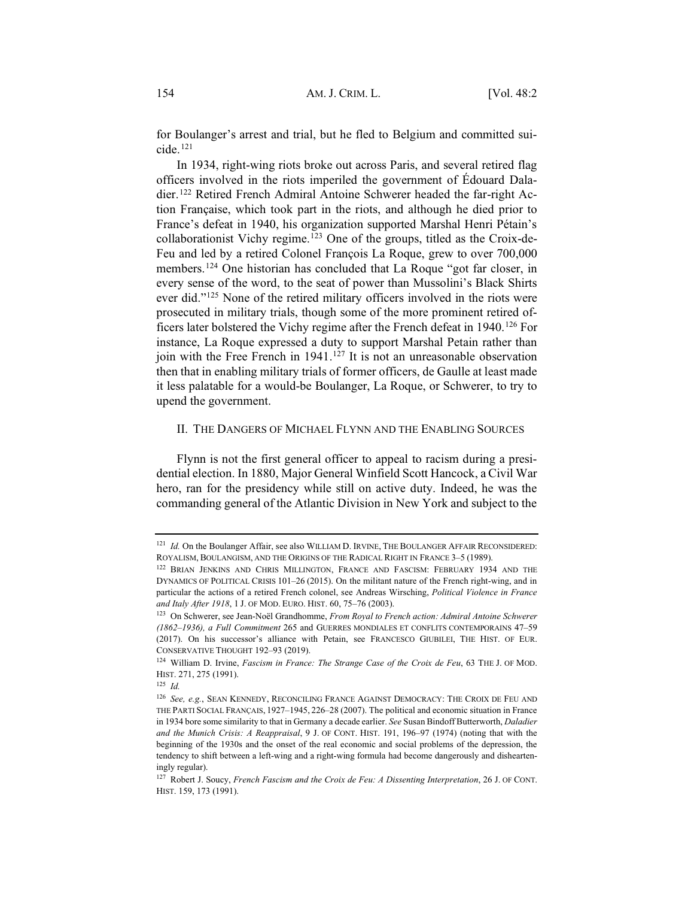for Boulanger's arrest and trial, but he fled to Belgium and committed sui $cide.$ <sup>121</sup>

In 1934, right-wing riots broke out across Paris, and several retired flag officers involved in the riots imperiled the government of Édouard Daladier.122 Retired French Admiral Antoine Schwerer headed the far-right Action Française, which took part in the riots, and although he died prior to France's defeat in 1940, his organization supported Marshal Henri Pétain's collaborationist Vichy regime.123 One of the groups, titled as the Croix-de-Feu and led by a retired Colonel François La Roque, grew to over 700,000 members.124 One historian has concluded that La Roque "got far closer, in every sense of the word, to the seat of power than Mussolini's Black Shirts ever did."125 None of the retired military officers involved in the riots were prosecuted in military trials, though some of the more prominent retired officers later bolstered the Vichy regime after the French defeat in 1940.126 For instance, La Roque expressed a duty to support Marshal Petain rather than join with the Free French in  $1941$ .<sup>127</sup> It is not an unreasonable observation then that in enabling military trials of former officers, de Gaulle at least made it less palatable for a would-be Boulanger, La Roque, or Schwerer, to try to upend the government.

#### II. THE DANGERS OF MICHAEL FLYNN AND THE ENABLING SOURCES

Flynn is not the first general officer to appeal to racism during a presidential election. In 1880, Major General Winfield Scott Hancock, a Civil War hero, ran for the presidency while still on active duty. Indeed, he was the commanding general of the Atlantic Division in New York and subject to the

<sup>125</sup> *Id.*

<sup>&</sup>lt;sup>121</sup> *Id.* On the Boulanger Affair, see also WILLIAM D. IRVINE, THE BOULANGER AFFAIR RECONSIDERED: ROYALISM, BOULANGISM, AND THE ORIGINS OF THE RADICAL RIGHT IN FRANCE 3–5 (1989).

<sup>&</sup>lt;sup>122</sup> BRIAN JENKINS AND CHRIS MILLINGTON, FRANCE AND FASCISM: FEBRUARY 1934 AND THE DYNAMICS OF POLITICAL CRISIS 101–26 (2015). On the militant nature of the French right-wing, and in particular the actions of a retired French colonel, see Andreas Wirsching, *Political Violence in France and Italy After 1918*, 1 J. OF MOD. EURO. HIST. 60, 75–76 (2003).

<sup>123</sup> On Schwerer, see Jean-Noël Grandhomme, *From Royal to French action: Admiral Antoine Schwerer (1862–1936), a Full Commitment* 265 and GUERRES MONDIALES ET CONFLITS CONTEMPORAINS 47–59 (2017). On his successor's alliance with Petain, see FRANCESCO GIUBILEI, THE HIST. OF EUR. CONSERVATIVE THOUGHT 192–93 (2019).

<sup>124</sup> William D. Irvine, *Fascism in France: The Strange Case of the Croix de Feu*, 63 THE J. OF MOD. HIST. 271, 275 (1991).

<sup>126</sup> *See, e.g.*, SEAN KENNEDY, RECONCILING FRANCE AGAINST DEMOCRACY: THE CROIX DE FEU AND THE PARTI SOCIAL FRANÇAIS, 1927–1945, 226–28 (2007). The political and economic situation in France in 1934 bore some similarity to that in Germany a decade earlier. *See* Susan Bindoff Butterworth, *Daladier and the Munich Crisis: A Reappraisal*, 9 J. OF CONT. HIST. 191, 196–97 (1974) (noting that with the beginning of the 1930s and the onset of the real economic and social problems of the depression, the tendency to shift between a left-wing and a right-wing formula had become dangerously and dishearteningly regular).

<sup>127</sup> Robert J. Soucy, *French Fascism and the Croix de Feu: A Dissenting Interpretation*, 26 J. OF CONT. HIST. 159, 173 (1991).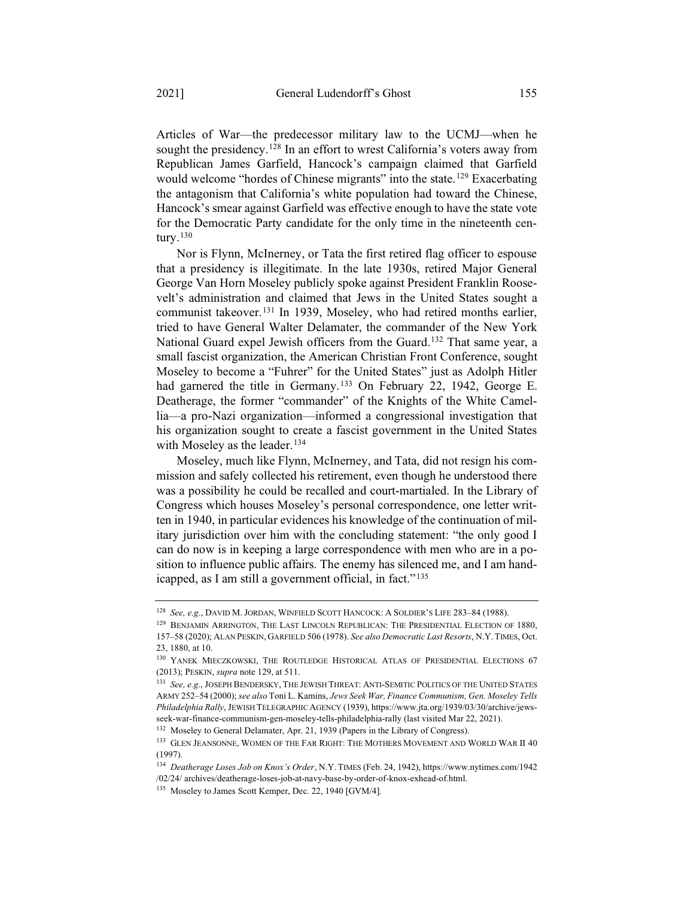Articles of War—the predecessor military law to the UCMJ—when he sought the presidency.<sup>128</sup> In an effort to wrest California's voters away from Republican James Garfield, Hancock's campaign claimed that Garfield would welcome "hordes of Chinese migrants" into the state.<sup>129</sup> Exacerbating the antagonism that California's white population had toward the Chinese, Hancock's smear against Garfield was effective enough to have the state vote for the Democratic Party candidate for the only time in the nineteenth century. $130$ 

Nor is Flynn, McInerney, or Tata the first retired flag officer to espouse that a presidency is illegitimate. In the late 1930s, retired Major General George Van Horn Moseley publicly spoke against President Franklin Roosevelt's administration and claimed that Jews in the United States sought a communist takeover.<sup>131</sup> In 1939, Moseley, who had retired months earlier, tried to have General Walter Delamater, the commander of the New York National Guard expel Jewish officers from the Guard.132 That same year, a small fascist organization, the American Christian Front Conference, sought Moseley to become a "Fuhrer" for the United States" just as Adolph Hitler had garnered the title in Germany.<sup>133</sup> On February 22, 1942, George E. Deatherage, the former "commander" of the Knights of the White Camellia—a pro-Nazi organization—informed a congressional investigation that his organization sought to create a fascist government in the United States with Moseley as the leader.<sup>134</sup>

Moseley, much like Flynn, McInerney, and Tata, did not resign his commission and safely collected his retirement, even though he understood there was a possibility he could be recalled and court-martialed. In the Library of Congress which houses Moseley's personal correspondence, one letter written in 1940, in particular evidences his knowledge of the continuation of military jurisdiction over him with the concluding statement: "the only good I can do now is in keeping a large correspondence with men who are in a position to influence public affairs. The enemy has silenced me, and I am handicapped, as I am still a government official, in fact."<sup>135</sup>

<sup>&</sup>lt;sup>128</sup> *See, e.g.*, DAVID M. JORDAN, WINFIELD SCOTT HANCOCK: A SOLDIER'S LIFE 283-84 (1988).

<sup>&</sup>lt;sup>129</sup> BENJAMIN ARRINGTON, THE LAST LINCOLN REPUBLICAN: THE PRESIDENTIAL ELECTION OF 1880, 157–58 (2020); ALAN PESKIN, GARFIELD 506 (1978). *See also Democratic Last Resorts*, N.Y. TIMES, Oct. 23, 1880, at 10.

<sup>&</sup>lt;sup>130</sup> YANEK MIECZKOWSKI, THE ROUTLEDGE HISTORICAL ATLAS OF PRESIDENTIAL ELECTIONS 67 (2013); PESKIN, *supra* note 129, at 511.

<sup>131</sup> *See, e.g*., JOSEPH BENDERSKY, THE JEWISH THREAT: ANTI-SEMITIC POLITICS OF THE UNITED STATES ARMY 252–54 (2000); *see also* Toni L. Kamins, *Jews Seek War, Finance Communism, Gen. Moseley Tells Philadelphia Rally*, JEWISH TELEGRAPHIC AGENCY (1939), https://www.jta.org/1939/03/30/archive/jewsseek-war-finance-communism-gen-moseley-tells-philadelphia-rally (last visited Mar 22, 2021).

<sup>132</sup> Moseley to General Delamater, Apr. 21, 1939 (Papers in the Library of Congress).

 $^{133}\,$  GLEN JEANSONNE, WOMEN OF THE FAR RIGHT: THE MOTHERS MOVEMENT AND WORLD WAR II 40 (1997).

<sup>134</sup> *Deatherage Loses Job on Knox's Order*, N.Y. TIMES (Feb. 24, 1942), https://www.nytimes.com/1942 /02/24/ archives/deatherage-loses-job-at-navy-base-by-order-of-knox-exhead-of.html.

<sup>&</sup>lt;sup>135</sup> Moseley to James Scott Kemper, Dec. 22, 1940 [GVM/4].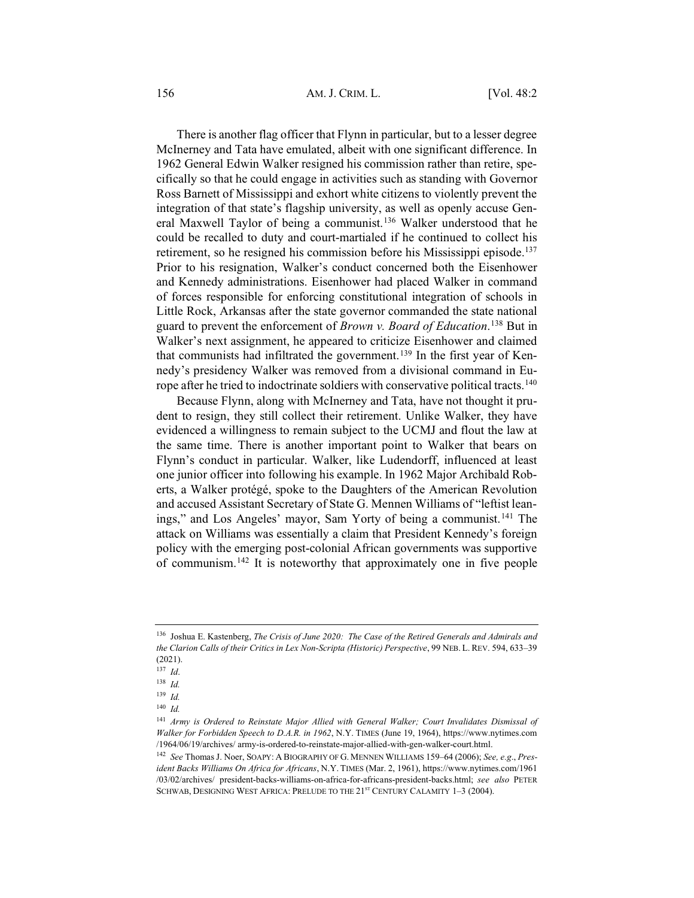#### 156 AM. J. CRIM. L. [Vol. 48:2

There is another flag officer that Flynn in particular, but to a lesser degree McInerney and Tata have emulated, albeit with one significant difference. In 1962 General Edwin Walker resigned his commission rather than retire, specifically so that he could engage in activities such as standing with Governor Ross Barnett of Mississippi and exhort white citizens to violently prevent the integration of that state's flagship university, as well as openly accuse General Maxwell Taylor of being a communist.136 Walker understood that he could be recalled to duty and court-martialed if he continued to collect his retirement, so he resigned his commission before his Mississippi episode.<sup>137</sup> Prior to his resignation, Walker's conduct concerned both the Eisenhower and Kennedy administrations. Eisenhower had placed Walker in command of forces responsible for enforcing constitutional integration of schools in Little Rock, Arkansas after the state governor commanded the state national guard to prevent the enforcement of *Brown v. Board of Education*. <sup>138</sup> But in Walker's next assignment, he appeared to criticize Eisenhower and claimed that communists had infiltrated the government.<sup>139</sup> In the first year of Kennedy's presidency Walker was removed from a divisional command in Europe after he tried to indoctrinate soldiers with conservative political tracts.<sup>140</sup>

Because Flynn, along with McInerney and Tata, have not thought it prudent to resign, they still collect their retirement. Unlike Walker, they have evidenced a willingness to remain subject to the UCMJ and flout the law at the same time. There is another important point to Walker that bears on Flynn's conduct in particular. Walker, like Ludendorff, influenced at least one junior officer into following his example. In 1962 Major Archibald Roberts, a Walker protégé, spoke to the Daughters of the American Revolution and accused Assistant Secretary of State G. Mennen Williams of "leftist leanings," and Los Angeles' mayor, Sam Yorty of being a communist.<sup>141</sup> The attack on Williams was essentially a claim that President Kennedy's foreign policy with the emerging post-colonial African governments was supportive of communism.142 It is noteworthy that approximately one in five people

<sup>136</sup> Joshua E. Kastenberg, *The Crisis of June 2020: The Case of the Retired Generals and Admirals and the Clarion Calls of their Critics in Lex Non-Scripta (Historic) Perspective*, 99 NEB. L. REV. 594, 633–39 (2021).

<sup>137</sup> *Id*.

<sup>138</sup> *Id.*

<sup>139</sup> *Id.*

<sup>140</sup> *Id.*

<sup>141</sup> *Army is Ordered to Reinstate Major Allied with General Walker; Court Invalidates Dismissal of Walker for Forbidden Speech to D.A.R. in 1962*, N.Y. TIMES (June 19, 1964), https://www.nytimes.com /1964/06/19/archives/ army-is-ordered-to-reinstate-major-allied-with-gen-walker-court.html.

<sup>142</sup> *See* Thomas J. Noer, SOAPY:ABIOGRAPHY OF G. MENNEN WILLIAMS 159–64 (2006); *See, e.g*., *President Backs Williams On Africa for Africans*, N.Y. TIMES (Mar. 2, 1961), https://www.nytimes.com/1961 /03/02/archives/ president-backs-williams-on-africa-for-africans-president-backs.html; *see also* PETER SCHWAB, DESIGNING WEST AFRICA: PRELUDE TO THE 21<sup>ST</sup> CENTURY CALAMITY 1-3 (2004).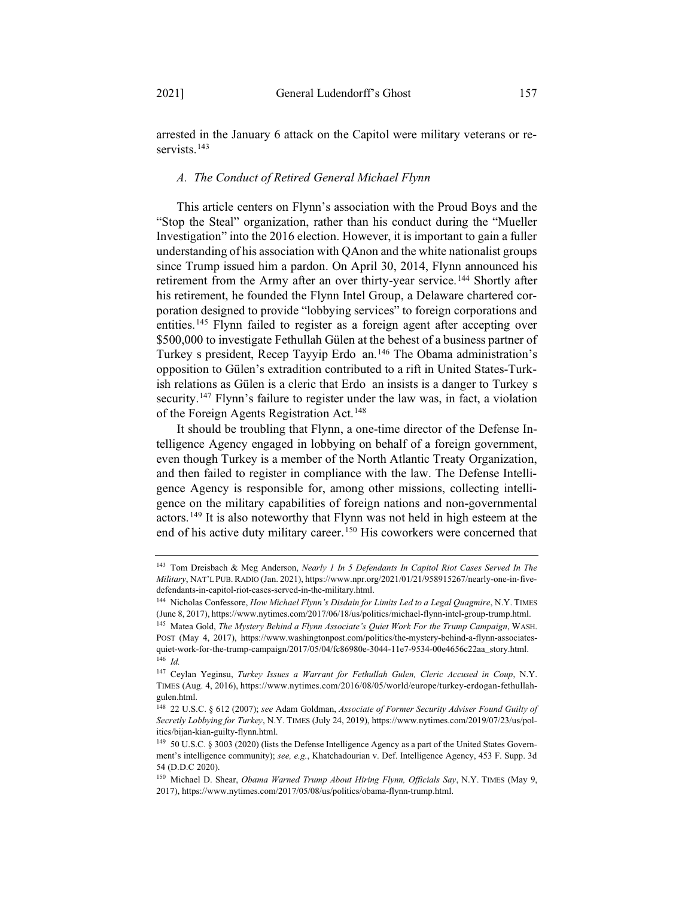arrested in the January 6 attack on the Capitol were military veterans or reservists.<sup>143</sup>

#### *A. The Conduct of Retired General Michael Flynn*

This article centers on Flynn's association with the Proud Boys and the "Stop the Steal" organization, rather than his conduct during the "Mueller Investigation" into the 2016 election. However, it is important to gain a fuller understanding of his association with QAnon and the white nationalist groups since Trump issued him a pardon. On April 30, 2014, Flynn announced his retirement from the Army after an over thirty-year service.<sup>144</sup> Shortly after his retirement, he founded the Flynn Intel Group, a Delaware chartered corporation designed to provide "lobbying services" to foreign corporations and entities.145 Flynn failed to register as a foreign agent after accepting over \$500,000 to investigate Fethullah Gülen at the behest of a business partner of Turkey s president, Recep Tayyip Erdo an.<sup>146</sup> The Obama administration's opposition to Gülen's extradition contributed to a rift in United States-Turkish relations as Gülen is a cleric that Erdo an insists is a danger to Turkey s security.<sup>147</sup> Flynn's failure to register under the law was, in fact, a violation of the Foreign Agents Registration Act.<sup>148</sup>

It should be troubling that Flynn, a one-time director of the Defense Intelligence Agency engaged in lobbying on behalf of a foreign government, even though Turkey is a member of the North Atlantic Treaty Organization, and then failed to register in compliance with the law. The Defense Intelligence Agency is responsible for, among other missions, collecting intelligence on the military capabilities of foreign nations and non-governmental actors.149 It is also noteworthy that Flynn was not held in high esteem at the end of his active duty military career.<sup>150</sup> His coworkers were concerned that

<sup>143</sup> Tom Dreisbach & Meg Anderson, *Nearly 1 In 5 Defendants In Capitol Riot Cases Served In The Military*, NAT'L PUB. RADIO (Jan. 2021), https://www.npr.org/2021/01/21/958915267/nearly-one-in-fivedefendants-in-capitol-riot-cases-served-in-the-military.html.

<sup>144</sup> Nicholas Confessore, *How Michael Flynn's Disdain for Limits Led to a Legal Quagmire*, N.Y. TIMES (June 8, 2017), https://www.nytimes.com/2017/06/18/us/politics/michael-flynn-intel-group-trump.html.

<sup>145</sup> Matea Gold, *The Mystery Behind a Flynn Associate's Quiet Work For the Trump Campaign*, WASH. POST (May 4, 2017), https://www.washingtonpost.com/politics/the-mystery-behind-a-flynn-associatesquiet-work-for-the-trump-campaign/2017/05/04/fc86980e-3044-11e7-9534-00e4656c22aa\_story.html. <sup>146</sup> *Id.*

<sup>147</sup> Ceylan Yeginsu, *Turkey Issues a Warrant for Fethullah Gulen, Cleric Accused in Coup*, N.Y. TIMES (Aug. 4, 2016), https://www.nytimes.com/2016/08/05/world/europe/turkey-erdogan-fethullahgulen.html.

<sup>148</sup> 22 U.S.C. § 612 (2007); *see* Adam Goldman, *Associate of Former Security Adviser Found Guilty of Secretly Lobbying for Turkey*, N.Y. TIMES (July 24, 2019), https://www.nytimes.com/2019/07/23/us/politics/bijan-kian-guilty-flynn.html.

<sup>149</sup> 50 U.S.C. § 3003 (2020) (lists the Defense Intelligence Agency as a part of the United States Government's intelligence community); *see, e.g.*, Khatchadourian v. Def. Intelligence Agency, 453 F. Supp. 3d 54 (D.D.C 2020).

<sup>150</sup> Michael D. Shear, *Obama Warned Trump About Hiring Flynn, Officials Say*, N.Y. TIMES (May 9, 2017), https://www.nytimes.com/2017/05/08/us/politics/obama-flynn-trump.html.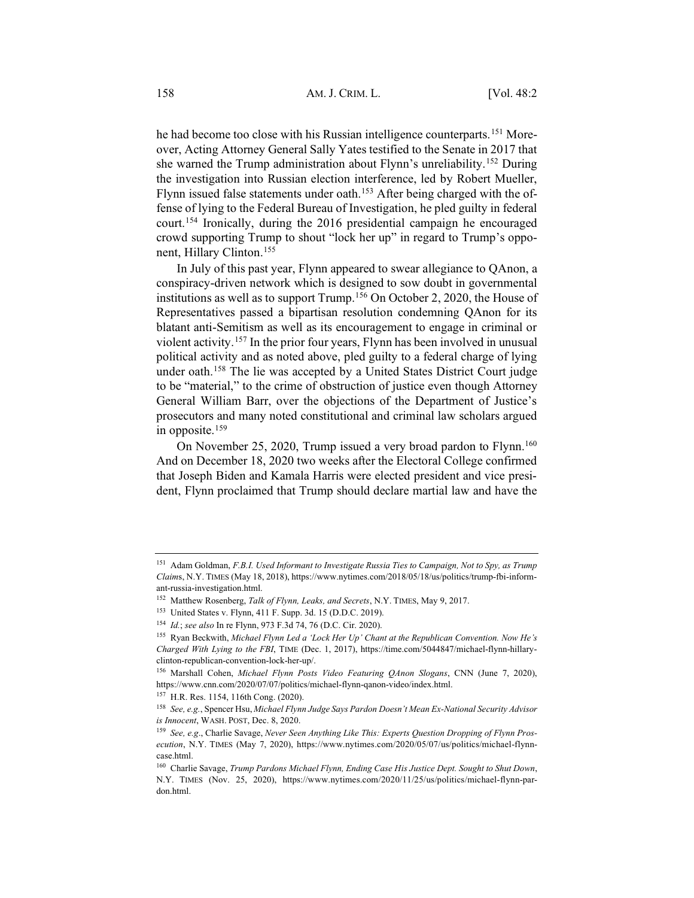he had become too close with his Russian intelligence counterparts.<sup>151</sup> Moreover, Acting Attorney General Sally Yates testified to the Senate in 2017 that she warned the Trump administration about Flynn's unreliability.152 During the investigation into Russian election interference, led by Robert Mueller, Flynn issued false statements under oath.<sup>153</sup> After being charged with the offense of lying to the Federal Bureau of Investigation, he pled guilty in federal court.154 Ironically, during the 2016 presidential campaign he encouraged crowd supporting Trump to shout "lock her up" in regard to Trump's opponent, Hillary Clinton.155

In July of this past year, Flynn appeared to swear allegiance to QAnon, a conspiracy-driven network which is designed to sow doubt in governmental institutions as well as to support Trump.156 On October 2, 2020, the House of Representatives passed a bipartisan resolution condemning QAnon for its blatant anti-Semitism as well as its encouragement to engage in criminal or violent activity.157 In the prior four years, Flynn has been involved in unusual political activity and as noted above, pled guilty to a federal charge of lying under oath.158 The lie was accepted by a United States District Court judge to be "material," to the crime of obstruction of justice even though Attorney General William Barr, over the objections of the Department of Justice's prosecutors and many noted constitutional and criminal law scholars argued in opposite.159

On November 25, 2020, Trump issued a very broad pardon to Flynn.<sup>160</sup> And on December 18, 2020 two weeks after the Electoral College confirmed that Joseph Biden and Kamala Harris were elected president and vice president, Flynn proclaimed that Trump should declare martial law and have the

<sup>151</sup> Adam Goldman, *F.B.I. Used Informant to Investigate Russia Ties to Campaign, Not to Spy, as Trump Claim*s, N.Y. TIMES (May 18, 2018), https://www.nytimes.com/2018/05/18/us/politics/trump-fbi-informant-russia-investigation.html.

<sup>152</sup> Matthew Rosenberg, *Talk of Flynn, Leaks, and Secrets*, N.Y. TIMES, May 9, 2017.

<sup>153</sup> United States v. Flynn, 411 F. Supp. 3d. 15 (D.D.C. 2019).

<sup>154</sup> *Id.*; *see also* In re Flynn, 973 F.3d 74, 76 (D.C. Cir. 2020).

<sup>155</sup> Ryan Beckwith, *Michael Flynn Led a 'Lock Her Up' Chant at the Republican Convention. Now He's Charged With Lying to the FBI*, TIME (Dec. 1, 2017), https://time.com/5044847/michael-flynn-hillaryclinton-republican-convention-lock-her-up/.

<sup>156</sup> Marshall Cohen, *Michael Flynn Posts Video Featuring QAnon Slogans*, CNN (June 7, 2020), https://www.cnn.com/2020/07/07/politics/michael-flynn-qanon-video/index.html.

<sup>157</sup> H.R. Res. 1154, 116th Cong. (2020).

<sup>158</sup> *See, e.g.*, Spencer Hsu, *Michael Flynn Judge Says Pardon Doesn't Mean Ex-National Security Advisor is Innocent*, WASH. POST, Dec. 8, 2020.

<sup>159</sup> *See, e.g*., Charlie Savage, *Never Seen Anything Like This: Experts Question Dropping of Flynn Prosecution*, N.Y. TIMES (May 7, 2020), https://www.nytimes.com/2020/05/07/us/politics/michael-flynncase.html.

<sup>160</sup> Charlie Savage, *Trump Pardons Michael Flynn, Ending Case His Justice Dept. Sought to Shut Down*, N.Y. TIMES (Nov. 25, 2020), https://www.nytimes.com/2020/11/25/us/politics/michael-flynn-pardon.html.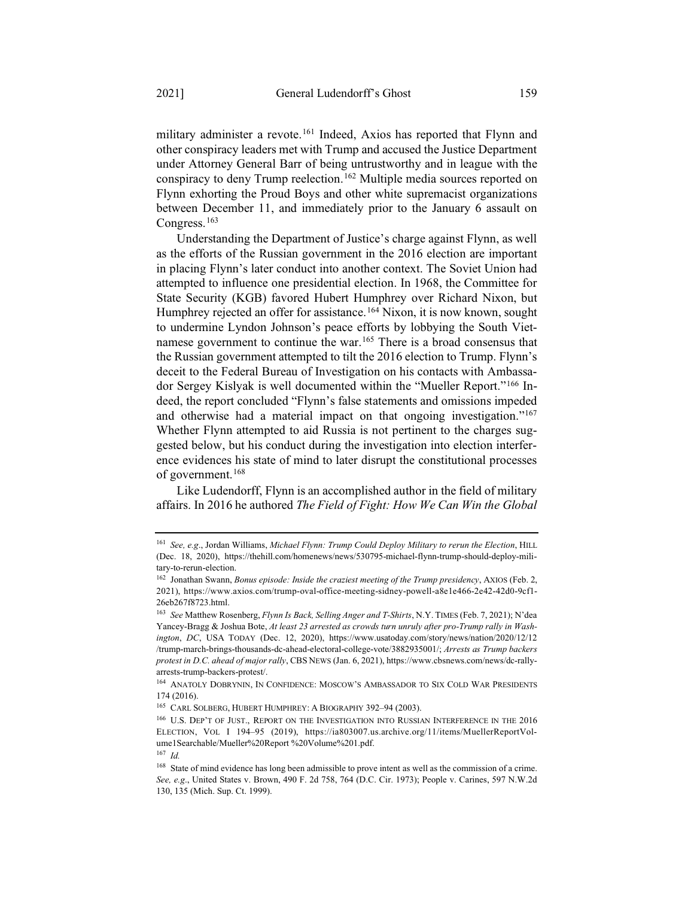military administer a revote.<sup>161</sup> Indeed, Axios has reported that Flynn and other conspiracy leaders met with Trump and accused the Justice Department under Attorney General Barr of being untrustworthy and in league with the conspiracy to deny Trump reelection.<sup>162</sup> Multiple media sources reported on Flynn exhorting the Proud Boys and other white supremacist organizations between December 11, and immediately prior to the January 6 assault on Congress.<sup>163</sup>

Understanding the Department of Justice's charge against Flynn, as well as the efforts of the Russian government in the 2016 election are important in placing Flynn's later conduct into another context. The Soviet Union had attempted to influence one presidential election. In 1968, the Committee for State Security (KGB) favored Hubert Humphrey over Richard Nixon, but Humphrey rejected an offer for assistance.<sup>164</sup> Nixon, it is now known, sought to undermine Lyndon Johnson's peace efforts by lobbying the South Vietnamese government to continue the war.<sup>165</sup> There is a broad consensus that the Russian government attempted to tilt the 2016 election to Trump. Flynn's deceit to the Federal Bureau of Investigation on his contacts with Ambassador Sergey Kislyak is well documented within the "Mueller Report."166 Indeed, the report concluded "Flynn's false statements and omissions impeded and otherwise had a material impact on that ongoing investigation."<sup>167</sup> Whether Flynn attempted to aid Russia is not pertinent to the charges suggested below, but his conduct during the investigation into election interference evidences his state of mind to later disrupt the constitutional processes of government.<sup>168</sup>

Like Ludendorff, Flynn is an accomplished author in the field of military affairs. In 2016 he authored *The Field of Fight: How We Can Win the Global*

<sup>161</sup> *See, e.g*., Jordan Williams, *Michael Flynn: Trump Could Deploy Military to rerun the Election*, HILL (Dec. 18, 2020), https://thehill.com/homenews/news/530795-michael-flynn-trump-should-deploy-military-to-rerun-election.

<sup>162</sup> Jonathan Swann, *Bonus episode: Inside the craziest meeting of the Trump presidency*, AXIOS (Feb. 2, 2021), https://www.axios.com/trump-oval-office-meeting-sidney-powell-a8e1e466-2e42-42d0-9cf1- 26eb267f8723.html.

<sup>163</sup> *See* Matthew Rosenberg, *Flynn Is Back, Selling Anger and T-Shirts*, N.Y. TIMES (Feb. 7, 2021); N'dea Yancey-Bragg & Joshua Bote, *At least 23 arrested as crowds turn unruly after pro-Trump rally in Washington*, *DC*, USA TODAY (Dec. 12, 2020), https://www.usatoday.com/story/news/nation/2020/12/12 /trump-march-brings-thousands-dc-ahead-electoral-college-vote/3882935001/; *Arrests as Trump backers protest in D.C. ahead of major rally*, CBS NEWS (Jan. 6, 2021), https://www.cbsnews.com/news/dc-rallyarrests-trump-backers-protest/.

<sup>164</sup> ANATOLY DOBRYNIN, IN CONFIDENCE: MOSCOW'S AMBASSADOR TO SIX COLD WAR PRESIDENTS 174 (2016).

<sup>&</sup>lt;sup>165</sup> CARL SOLBERG, HUBERT HUMPHREY: A BIOGRAPHY 392-94 (2003).

 $^{166}\,$  U.S. DEP'T OF JUST., REPORT ON THE INVESTIGATION INTO RUSSIAN INTERFERENCE IN THE 2016 ELECTION, VOL I 194–95 (2019), https://ia803007.us.archive.org/11/items/MuellerReportVolume1Searchable/Mueller%20Report %20Volume%201.pdf.

<sup>167</sup> *Id.*

<sup>&</sup>lt;sup>168</sup> State of mind evidence has long been admissible to prove intent as well as the commission of a crime. *See, e.g*., United States v. Brown, 490 F. 2d 758, 764 (D.C. Cir. 1973); People v. Carines, 597 N.W.2d 130, 135 (Mich. Sup. Ct. 1999).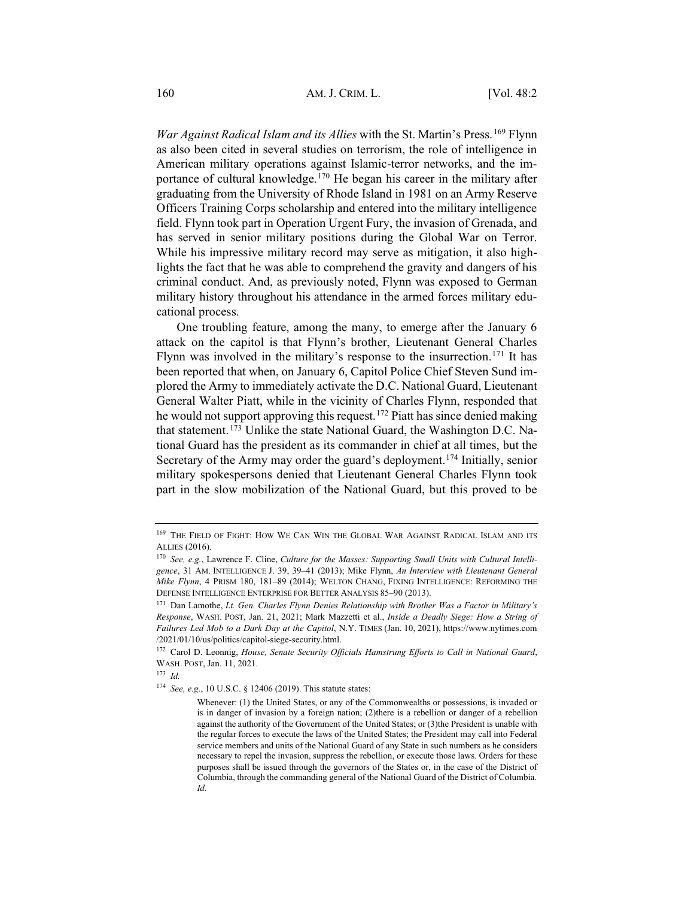*War Against Radical Islam and its Allies* with the St. Martin's Press. <sup>169</sup> Flynn as also been cited in several studies on terrorism, the role of intelligence in American military operations against Islamic-terror networks, and the importance of cultural knowledge.170 He began his career in the military after graduating from the University of Rhode Island in 1981 on an Army Reserve Officers Training Corps scholarship and entered into the military intelligence field. Flynn took part in Operation Urgent Fury, the invasion of Grenada, and has served in senior military positions during the Global War on Terror. While his impressive military record may serve as mitigation, it also highlights the fact that he was able to comprehend the gravity and dangers of his criminal conduct. And, as previously noted, Flynn was exposed to German military history throughout his attendance in the armed forces military educational process.

One troubling feature, among the many, to emerge after the January 6 attack on the capitol is that Flynn's brother, Lieutenant General Charles Flynn was involved in the military's response to the insurrection.<sup>171</sup> It has been reported that when, on January 6, Capitol Police Chief Steven Sund implored the Army to immediately activate the D.C. National Guard, Lieutenant General Walter Piatt, while in the vicinity of Charles Flynn, responded that he would not support approving this request.172 Piatt has since denied making that statement.<sup>173</sup> Unlike the state National Guard, the Washington D.C. National Guard has the president as its commander in chief at all times, but the Secretary of the Army may order the guard's deployment.<sup>174</sup> Initially, senior military spokespersons denied that Lieutenant General Charles Flynn took part in the slow mobilization of the National Guard, but this proved to be

 $^{169}$  THE FIELD OF FIGHT: HOW WE CAN WIN THE GLOBAL WAR AGAINST RADICAL ISLAM AND ITS ALLIES (2016).

<sup>170</sup> *See, e.g.*, Lawrence F. Cline, *Culture for the Masses: Supporting Small Units with Cultural Intelligence*, 31 AM. INTELLIGENCE J. 39, 39–41 (2013); Mike Flynn, *An Interview with Lieutenant General Mike Flynn*, 4 PRISM 180, 181–89 (2014); WELTON CHANG, FIXING INTELLIGENCE: REFORMING THE DEFENSE INTELLIGENCE ENTERPRISE FOR BETTER ANALYSIS 85–90 (2013).

<sup>171</sup> Dan Lamothe, *Lt. Gen. Charles Flynn Denies Relationship with Brother Was a Factor in Military's Response*, WASH. POST, Jan. 21, 2021; Mark Mazzetti et al., *Inside a Deadly Siege: How a String of Failures Led Mob to a Dark Day at the Capitol*, N.Y. TIMES (Jan. 10, 2021), https://www.nytimes.com /2021/01/10/us/politics/capitol-siege-security.html.

<sup>&</sup>lt;sup>172</sup> Carol D. Leonnig, *House, Senate Security Officials Hamstrung Efforts to Call in National Guard*, WASH. POST, Jan. 11, 2021.

<sup>173</sup> *Id.*

<sup>174</sup> *See, e.g*., 10 U.S.C. § 12406 (2019). This statute states:

Whenever: (1) the United States, or any of the Commonwealths or possessions, is invaded or is in danger of invasion by a foreign nation; (2)there is a rebellion or danger of a rebellion against the authority of the Government of the United States; or (3)the President is unable with the regular forces to execute the laws of the United States; the President may call into Federal service members and units of the National Guard of any State in such numbers as he considers necessary to repel the invasion, suppress the rebellion, or execute those laws. Orders for these purposes shall be issued through the governors of the States or, in the case of the District of Columbia, through the commanding general of the National Guard of the District of Columbia. *Id.*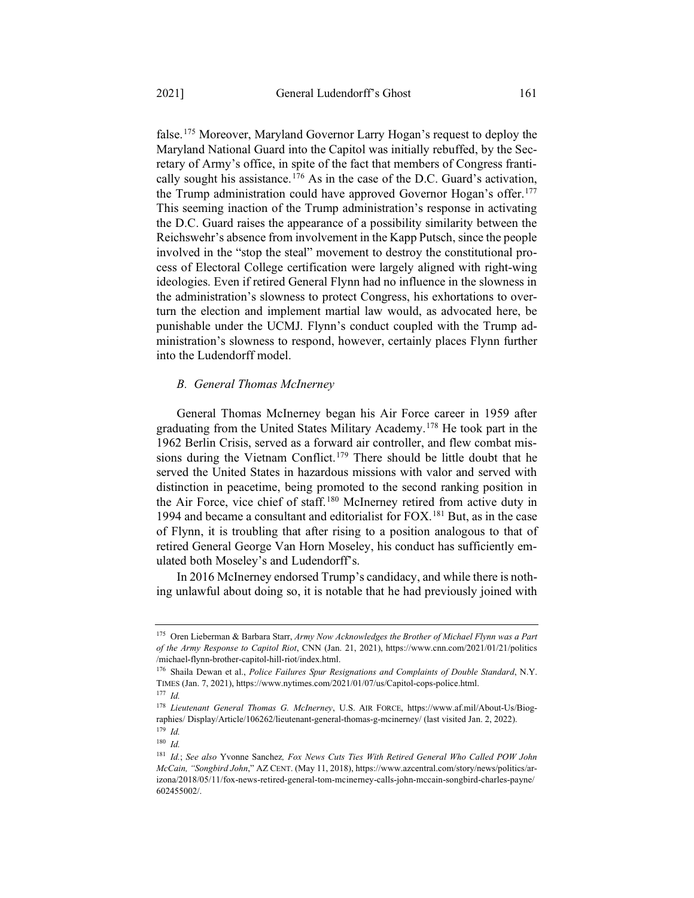false.175 Moreover, Maryland Governor Larry Hogan's request to deploy the Maryland National Guard into the Capitol was initially rebuffed, by the Secretary of Army's office, in spite of the fact that members of Congress frantically sought his assistance.<sup>176</sup> As in the case of the D.C. Guard's activation, the Trump administration could have approved Governor Hogan's offer.<sup>177</sup> This seeming inaction of the Trump administration's response in activating the D.C. Guard raises the appearance of a possibility similarity between the Reichswehr's absence from involvement in the Kapp Putsch, since the people involved in the "stop the steal" movement to destroy the constitutional process of Electoral College certification were largely aligned with right-wing ideologies. Even if retired General Flynn had no influence in the slowness in the administration's slowness to protect Congress, his exhortations to overturn the election and implement martial law would, as advocated here, be punishable under the UCMJ. Flynn's conduct coupled with the Trump ad-

ministration's slowness to respond, however, certainly places Flynn further

## into the Ludendorff model.

*B. General Thomas McInerney*

General Thomas McInerney began his Air Force career in 1959 after graduating from the United States Military Academy.178 He took part in the 1962 Berlin Crisis, served as a forward air controller, and flew combat missions during the Vietnam Conflict.<sup>179</sup> There should be little doubt that he served the United States in hazardous missions with valor and served with distinction in peacetime, being promoted to the second ranking position in the Air Force, vice chief of staff.<sup>180</sup> McInerney retired from active duty in 1994 and became a consultant and editorialist for FOX.181 But, as in the case of Flynn, it is troubling that after rising to a position analogous to that of retired General George Van Horn Moseley, his conduct has sufficiently emulated both Moseley's and Ludendorff's.

In 2016 McInerney endorsed Trump's candidacy, and while there is nothing unlawful about doing so, it is notable that he had previously joined with

<sup>175</sup> Oren Lieberman & Barbara Starr, *Army Now Acknowledges the Brother of Michael Flynn was a Part of the Army Response to Capitol Riot*, CNN (Jan. 21, 2021), https://www.cnn.com/2021/01/21/politics /michael-flynn-brother-capitol-hill-riot/index.html.

<sup>176</sup> Shaila Dewan et al., *Police Failures Spur Resignations and Complaints of Double Standard*, N.Y. TIMES (Jan. 7, 2021), https://www.nytimes.com/2021/01/07/us/Capitol-cops-police.html. <sup>177</sup> *Id.*

<sup>178</sup> *Lieutenant General Thomas G. McInerney*, U.S. AIR FORCE, https://www.af.mil/About-Us/Biographies/ Display/Article/106262/lieutenant-general-thomas-g-mcinerney/ (last visited Jan. 2, 2022). <sup>179</sup> *Id.*

<sup>180</sup> *Id.*

<sup>181</sup> *Id.*; *See also* Yvonne Sanchez*, Fox News Cuts Ties With Retired General Who Called POW John McCain, "Songbird John*," AZ CENT. (May 11, 2018), https://www.azcentral.com/story/news/politics/arizona/2018/05/11/fox-news-retired-general-tom-mcinerney-calls-john-mccain-songbird-charles-payne/ 602455002/.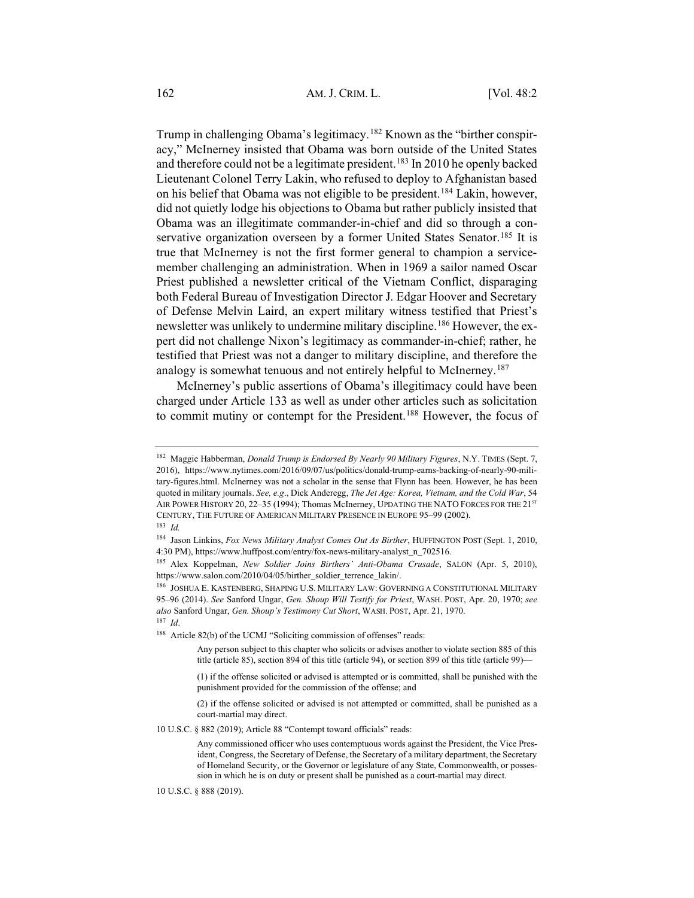Trump in challenging Obama's legitimacy.<sup>182</sup> Known as the "birther conspiracy," McInerney insisted that Obama was born outside of the United States and therefore could not be a legitimate president.<sup>183</sup> In 2010 he openly backed Lieutenant Colonel Terry Lakin, who refused to deploy to Afghanistan based on his belief that Obama was not eligible to be president.184 Lakin, however, did not quietly lodge his objections to Obama but rather publicly insisted that Obama was an illegitimate commander-in-chief and did so through a conservative organization overseen by a former United States Senator.<sup>185</sup> It is true that McInerney is not the first former general to champion a servicemember challenging an administration. When in 1969 a sailor named Oscar Priest published a newsletter critical of the Vietnam Conflict, disparaging both Federal Bureau of Investigation Director J. Edgar Hoover and Secretary of Defense Melvin Laird, an expert military witness testified that Priest's newsletter was unlikely to undermine military discipline.<sup>186</sup> However, the expert did not challenge Nixon's legitimacy as commander-in-chief; rather, he testified that Priest was not a danger to military discipline, and therefore the analogy is somewhat tenuous and not entirely helpful to McInerney.187

McInerney's public assertions of Obama's illegitimacy could have been charged under Article 133 as well as under other articles such as solicitation to commit mutiny or contempt for the President.188 However, the focus of

<sup>182</sup> Maggie Habberman, *Donald Trump is Endorsed By Nearly 90 Military Figures*, N.Y. TIMES (Sept. 7, 2016), https://www.nytimes.com/2016/09/07/us/politics/donald-trump-earns-backing-of-nearly-90-military-figures.html. McInerney was not a scholar in the sense that Flynn has been. However, he has been quoted in military journals. *See, e.g*., Dick Anderegg, *The Jet Age: Korea, Vietnam, and the Cold War*, 54 AIR POWER HISTORY 20, 22-35 (1994); Thomas McInerney, UPDATING THE NATO FORCES FOR THE 21<sup>ST</sup> CENTURY, THE FUTURE OF AMERICAN MILITARY PRESENCE IN EUROPE 95–99 (2002).

<sup>183</sup> *Id.*

<sup>184</sup> Jason Linkins, *Fox News Military Analyst Comes Out As Birther*, HUFFINGTON POST (Sept. 1, 2010, 4:30 PM), https://www.huffpost.com/entry/fox-news-military-analyst\_n\_702516.

<sup>185</sup> Alex Koppelman, *New Soldier Joins Birthers' Anti-Obama Crusade*, SALON (Apr. 5, 2010), https://www.salon.com/2010/04/05/birther\_soldier\_terrence\_lakin/.

<sup>186</sup> JOSHUA E. KASTENBERG, SHAPING U.S. MILITARY LAW: GOVERNING A CONSTITUTIONAL MILITARY 95–96 (2014). *See* Sanford Ungar, *Gen. Shoup Will Testify for Priest*, WASH. POST, Apr. 20, 1970; *see also* Sanford Ungar, *Gen. Shoup's Testimony Cut Short*, WASH. POST, Apr. 21, 1970. <sup>187</sup> *Id*.

<sup>&</sup>lt;sup>188</sup> Article 82(b) of the UCMJ "Soliciting commission of offenses" reads:

Any person subject to this chapter who solicits or advises another to violate section 885 of this title (article 85), section 894 of this title (article 94), or section 899 of this title (article 99)—

<sup>(1)</sup> if the offense solicited or advised is attempted or is committed, shall be punished with the punishment provided for the commission of the offense; and

<sup>(2)</sup> if the offense solicited or advised is not attempted or committed, shall be punished as a court-martial may direct.

<sup>10</sup> U.S.C. § 882 (2019); Article 88 "Contempt toward officials" reads:

Any commissioned officer who uses contemptuous words against the President, the Vice President, Congress, the Secretary of Defense, the Secretary of a military department, the Secretary of Homeland Security, or the Governor or legislature of any State, Commonwealth, or possession in which he is on duty or present shall be punished as a court-martial may direct.

<sup>10</sup> U.S.C. § 888 (2019).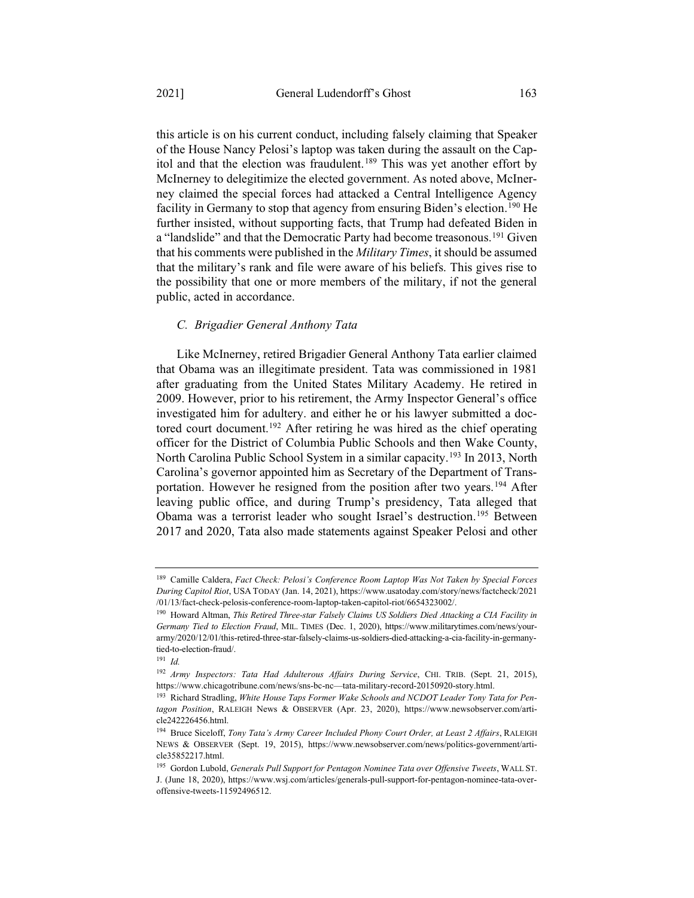this article is on his current conduct, including falsely claiming that Speaker of the House Nancy Pelosi's laptop was taken during the assault on the Capitol and that the election was fraudulent.189 This was yet another effort by McInerney to delegitimize the elected government. As noted above, McInerney claimed the special forces had attacked a Central Intelligence Agency facility in Germany to stop that agency from ensuring Biden's election.<sup>190</sup> He further insisted, without supporting facts, that Trump had defeated Biden in a "landslide" and that the Democratic Party had become treasonous.<sup>191</sup> Given that his comments were published in the *Military Times*, it should be assumed that the military's rank and file were aware of his beliefs. This gives rise to the possibility that one or more members of the military, if not the general public, acted in accordance.

#### *C. Brigadier General Anthony Tata*

Like McInerney, retired Brigadier General Anthony Tata earlier claimed that Obama was an illegitimate president. Tata was commissioned in 1981 after graduating from the United States Military Academy. He retired in 2009. However, prior to his retirement, the Army Inspector General's office investigated him for adultery. and either he or his lawyer submitted a doctored court document.<sup>192</sup> After retiring he was hired as the chief operating officer for the District of Columbia Public Schools and then Wake County, North Carolina Public School System in a similar capacity.<sup>193</sup> In 2013, North Carolina's governor appointed him as Secretary of the Department of Transportation. However he resigned from the position after two years.<sup>194</sup> After leaving public office, and during Trump's presidency, Tata alleged that Obama was a terrorist leader who sought Israel's destruction.195 Between 2017 and 2020, Tata also made statements against Speaker Pelosi and other

<sup>189</sup> Camille Caldera, *Fact Check: Pelosi's Conference Room Laptop Was Not Taken by Special Forces During Capitol Riot*, USA TODAY (Jan. 14, 2021), https://www.usatoday.com/story/news/factcheck/2021 /01/13/fact-check-pelosis-conference-room-laptop-taken-capitol-riot/6654323002/.

<sup>190</sup> Howard Altman, *This Retired Three-star Falsely Claims US Soldiers Died Attacking a CIA Facility in Germany Tied to Election Fraud*, MIL. TIMES (Dec. 1, 2020), https://www.militarytimes.com/news/yourarmy/2020/12/01/this-retired-three-star-falsely-claims-us-soldiers-died-attacking-a-cia-facility-in-germanytied-to-election-fraud/.

<sup>191</sup> *Id.*

<sup>192</sup> *Army Inspectors: Tata Had Adulterous Affairs During Service*, CHI. TRIB. (Sept. 21, 2015), https://www.chicagotribune.com/news/sns-bc-nc—tata-military-record-20150920-story.html.

<sup>193</sup> Richard Stradling, *White House Taps Former Wake Schools and NCDOT Leader Tony Tata for Pentagon Position*, RALEIGH News & OBSERVER (Apr. 23, 2020), https://www.newsobserver.com/article242226456.html.

<sup>194</sup> Bruce Siceloff, *Tony Tata's Army Career Included Phony Court Order, at Least 2 Affairs*, RALEIGH NEWS & OBSERVER (Sept. 19, 2015), https://www.newsobserver.com/news/politics-government/article35852217.html.

<sup>195</sup> Gordon Lubold, *Generals Pull Support for Pentagon Nominee Tata over Offensive Tweets*, WALL ST. J. (June 18, 2020), https://www.wsj.com/articles/generals-pull-support-for-pentagon-nominee-tata-overoffensive-tweets-11592496512.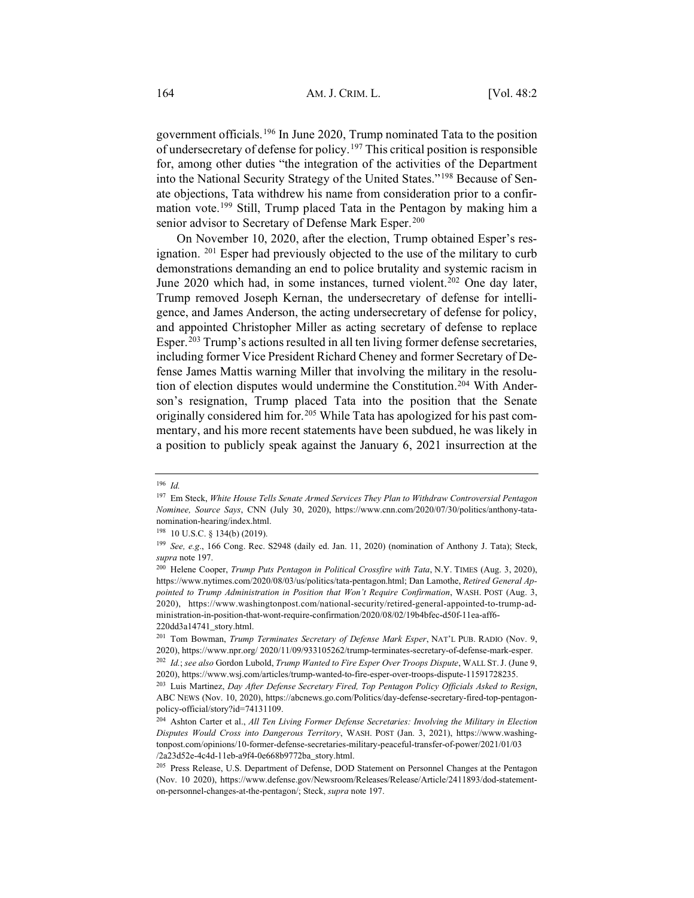government officials.196 In June 2020, Trump nominated Tata to the position of undersecretary of defense for policy.197 This critical position is responsible for, among other duties "the integration of the activities of the Department into the National Security Strategy of the United States."198 Because of Senate objections, Tata withdrew his name from consideration prior to a confirmation vote.199 Still, Trump placed Tata in the Pentagon by making him a senior advisor to Secretary of Defense Mark Esper.<sup>200</sup>

On November 10, 2020, after the election, Trump obtained Esper's resignation. 201 Esper had previously objected to the use of the military to curb demonstrations demanding an end to police brutality and systemic racism in June 2020 which had, in some instances, turned violent.<sup>202</sup> One day later, Trump removed Joseph Kernan, the undersecretary of defense for intelligence, and James Anderson, the acting undersecretary of defense for policy, and appointed Christopher Miller as acting secretary of defense to replace Esper.<sup>203</sup> Trump's actions resulted in all ten living former defense secretaries, including former Vice President Richard Cheney and former Secretary of Defense James Mattis warning Miller that involving the military in the resolution of election disputes would undermine the Constitution.<sup>204</sup> With Anderson's resignation, Trump placed Tata into the position that the Senate originally considered him for.205 While Tata has apologized for his past commentary, and his more recent statements have been subdued, he was likely in a position to publicly speak against the January 6, 2021 insurrection at the

<sup>196</sup> *Id.*

<sup>197</sup> Em Steck, *White House Tells Senate Armed Services They Plan to Withdraw Controversial Pentagon Nominee, Source Says*, CNN (July 30, 2020), https://www.cnn.com/2020/07/30/politics/anthony-tatanomination-hearing/index.html.

<sup>198</sup> 10 U.S.C. § 134(b) (2019).

<sup>199</sup> *See, e.g*., 166 Cong. Rec. S2948 (daily ed. Jan. 11, 2020) (nomination of Anthony J. Tata); Steck, *supra* note 197.

<sup>200</sup> Helene Cooper, *Trump Puts Pentagon in Political Crossfire with Tata*, N.Y. TIMES (Aug. 3, 2020), https://www.nytimes.com/2020/08/03/us/politics/tata-pentagon.html; Dan Lamothe, *Retired General Appointed to Trump Administration in Position that Won't Require Confirmation*, WASH. POST (Aug. 3, 2020), https://www.washingtonpost.com/national-security/retired-general-appointed-to-trump-administration-in-position-that-wont-require-confirmation/2020/08/02/19b4bfec-d50f-11ea-aff6- 220dd3a14741\_story.html.

<sup>201</sup> Tom Bowman, *Trump Terminates Secretary of Defense Mark Esper*, NAT'L PUB. RADIO (Nov. 9, 2020), https://www.npr.org/ 2020/11/09/933105262/trump-terminates-secretary-of-defense-mark-esper.

<sup>202</sup> *Id.*; *see also* Gordon Lubold, *Trump Wanted to Fire Esper Over Troops Dispute*, WALL ST. J. (June 9, 2020), https://www.wsj.com/articles/trump-wanted-to-fire-esper-over-troops-dispute-11591728235.

<sup>203</sup> Luis Martinez, *Day After Defense Secretary Fired, Top Pentagon Policy Officials Asked to Resign*, ABC NEWS (Nov. 10, 2020), https://abcnews.go.com/Politics/day-defense-secretary-fired-top-pentagonpolicy-official/story?id=74131109.

<sup>204</sup> Ashton Carter et al., *All Ten Living Former Defense Secretaries: Involving the Military in Election Disputes Would Cross into Dangerous Territory*, WASH. POST (Jan. 3, 2021), https://www.washingtonpost.com/opinions/10-former-defense-secretaries-military-peaceful-transfer-of-power/2021/01/03 /2a23d52e-4c4d-11eb-a9f4-0e668b9772ba\_story.html.

<sup>205</sup> Press Release, U.S. Department of Defense, DOD Statement on Personnel Changes at the Pentagon (Nov. 10 2020), https://www.defense.gov/Newsroom/Releases/Release/Article/2411893/dod-statementon-personnel-changes-at-the-pentagon/; Steck, *supra* note 197.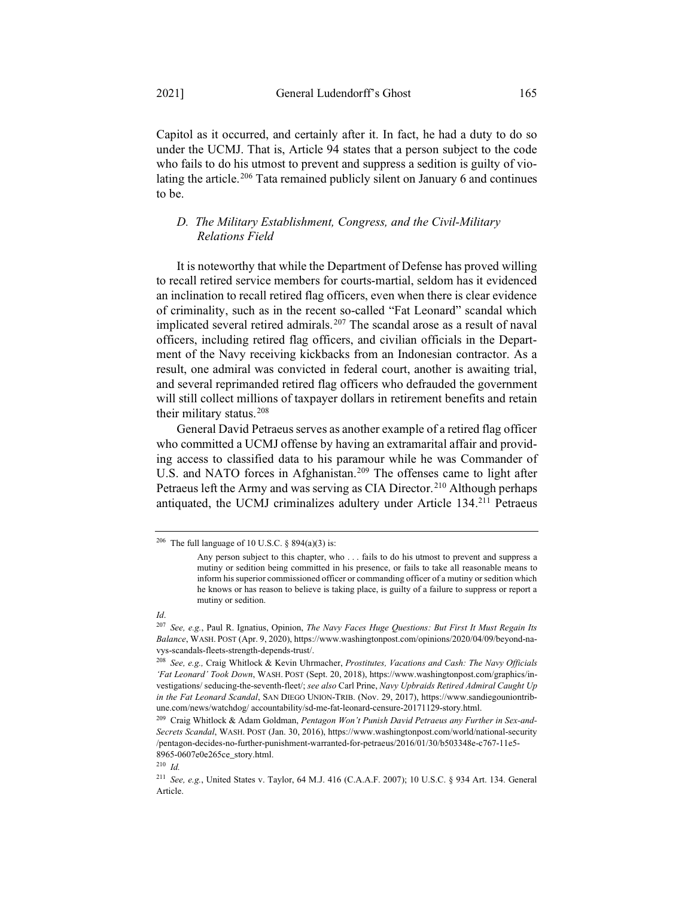Capitol as it occurred, and certainly after it. In fact, he had a duty to do so under the UCMJ. That is, Article 94 states that a person subject to the code who fails to do his utmost to prevent and suppress a sedition is guilty of violating the article.<sup>206</sup> Tata remained publicly silent on January 6 and continues to be.

#### *D. The Military Establishment, Congress, and the Civil-Military Relations Field*

It is noteworthy that while the Department of Defense has proved willing to recall retired service members for courts-martial, seldom has it evidenced an inclination to recall retired flag officers, even when there is clear evidence of criminality, such as in the recent so-called "Fat Leonard" scandal which implicated several retired admirals.<sup>207</sup> The scandal arose as a result of naval officers, including retired flag officers, and civilian officials in the Department of the Navy receiving kickbacks from an Indonesian contractor. As a result, one admiral was convicted in federal court, another is awaiting trial, and several reprimanded retired flag officers who defrauded the government will still collect millions of taxpayer dollars in retirement benefits and retain their military status. $208$ 

General David Petraeus serves as another example of a retired flag officer who committed a UCMJ offense by having an extramarital affair and providing access to classified data to his paramour while he was Commander of U.S. and NATO forces in Afghanistan.<sup>209</sup> The offenses came to light after Petraeus left the Army and was serving as CIA Director.<sup>210</sup> Although perhaps antiquated, the UCMJ criminalizes adultery under Article 134.211 Petraeus

<sup>&</sup>lt;sup>206</sup> The full language of 10 U.S.C. § 894(a)(3) is:

Any person subject to this chapter, who ... fails to do his utmost to prevent and suppress a mutiny or sedition being committed in his presence, or fails to take all reasonable means to inform his superior commissioned officer or commanding officer of a mutiny or sedition which he knows or has reason to believe is taking place, is guilty of a failure to suppress or report a mutiny or sedition.

*Id*.

<sup>207</sup> *See, e.g.*, Paul R. Ignatius, Opinion, *The Navy Faces Huge Questions: But First It Must Regain Its Balance*, WASH. POST (Apr. 9, 2020), https://www.washingtonpost.com/opinions/2020/04/09/beyond-navys-scandals-fleets-strength-depends-trust/.

<sup>208</sup> *See, e.g.,* Craig Whitlock & Kevin Uhrmacher, *Prostitutes, Vacations and Cash: The Navy Officials 'Fat Leonard' Took Down*, WASH. POST (Sept. 20, 2018), https://www.washingtonpost.com/graphics/investigations/ seducing-the-seventh-fleet/; *see also* Carl Prine, *Navy Upbraids Retired Admiral Caught Up in the Fat Leonard Scandal*, SAN DIEGO UNION-TRIB. (Nov. 29, 2017), https://www.sandiegouniontribune.com/news/watchdog/ accountability/sd-me-fat-leonard-censure-20171129-story.html.

<sup>209</sup> Craig Whitlock & Adam Goldman, *Pentagon Won't Punish David Petraeus any Further in Sex-and-Secrets Scandal*, WASH. POST (Jan. 30, 2016), https://www.washingtonpost.com/world/national-security /pentagon-decides-no-further-punishment-warranted-for-petraeus/2016/01/30/b503348e-c767-11e5- 8965-0607e0e265ce\_story.html.

<sup>210</sup> *Id.*

<sup>211</sup> *See, e.g.*, United States v. Taylor, 64 M.J. 416 (C.A.A.F. 2007); 10 U.S.C. § 934 Art. 134. General Article.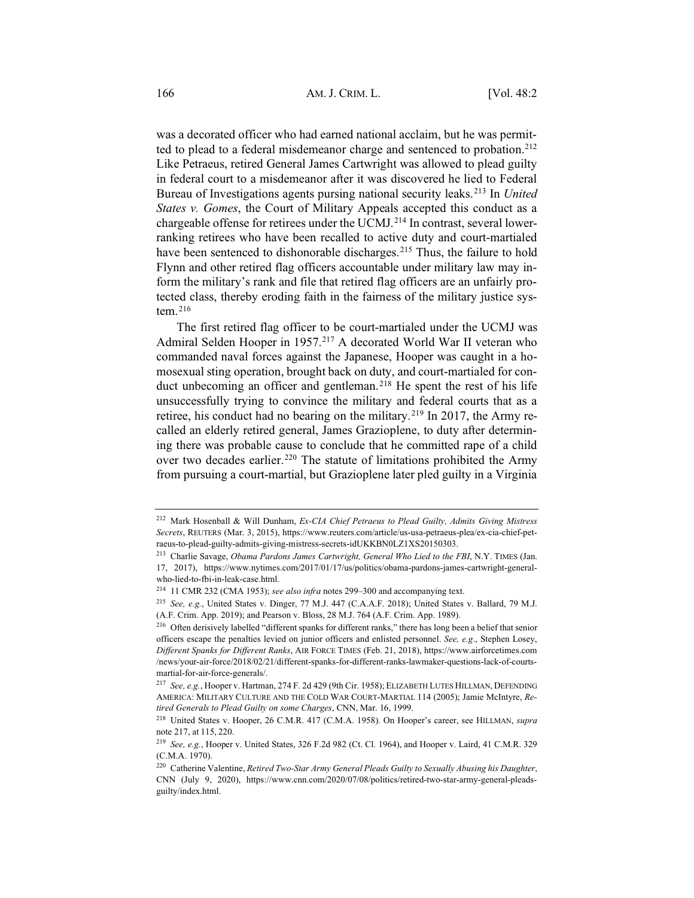was a decorated officer who had earned national acclaim, but he was permitted to plead to a federal misdemeanor charge and sentenced to probation.<sup>212</sup> Like Petraeus, retired General James Cartwright was allowed to plead guilty in federal court to a misdemeanor after it was discovered he lied to Federal Bureau of Investigations agents pursing national security leaks.213 In *United States v. Gomes*, the Court of Military Appeals accepted this conduct as a chargeable offense for retirees under the UCMJ.<sup>214</sup> In contrast, several lowerranking retirees who have been recalled to active duty and court-martialed have been sentenced to dishonorable discharges.<sup>215</sup> Thus, the failure to hold Flynn and other retired flag officers accountable under military law may inform the military's rank and file that retired flag officers are an unfairly protected class, thereby eroding faith in the fairness of the military justice system. $216$ 

The first retired flag officer to be court-martialed under the UCMJ was Admiral Selden Hooper in 1957.217 A decorated World War II veteran who commanded naval forces against the Japanese, Hooper was caught in a homosexual sting operation, brought back on duty, and court-martialed for conduct unbecoming an officer and gentleman.<sup>218</sup> He spent the rest of his life unsuccessfully trying to convince the military and federal courts that as a retiree, his conduct had no bearing on the military.<sup>219</sup> In 2017, the Army recalled an elderly retired general, James Grazioplene, to duty after determining there was probable cause to conclude that he committed rape of a child over two decades earlier.<sup>220</sup> The statute of limitations prohibited the Army from pursuing a court-martial, but Grazioplene later pled guilty in a Virginia

<sup>212</sup> Mark Hosenball & Will Dunham, *Ex-CIA Chief Petraeus to Plead Guilty, Admits Giving Mistress Secrets*, REUTERS (Mar. 3, 2015), https://www.reuters.com/article/us-usa-petraeus-plea/ex-cia-chief-petraeus-to-plead-guilty-admits-giving-mistress-secrets-idUKKBN0LZ1XS20150303.

<sup>213</sup> Charlie Savage, *Obama Pardons James Cartwright, General Who Lied to the FBI*, N.Y. TIMES (Jan. 17, 2017), https://www.nytimes.com/2017/01/17/us/politics/obama-pardons-james-cartwright-generalwho-lied-to-fbi-in-leak-case.html.

<sup>214</sup> 11 CMR 232 (CMA 1953); *see also infra* notes 299–300 and accompanying text.

<sup>215</sup> *See, e.g.*, United States v. Dinger, 77 M.J. 447 (C.A.A.F. 2018); United States v. Ballard, 79 M.J. (A.F. Crim. App. 2019); and Pearson v. Bloss, 28 M.J. 764 (A.F. Crim. App. 1989).

<sup>&</sup>lt;sup>216</sup> Often derisively labelled "different spanks for different ranks," there has long been a belief that senior officers escape the penalties levied on junior officers and enlisted personnel. *See, e.g*., Stephen Losey, *Different Spanks for Different Ranks*, AIR FORCE TIMES (Feb. 21, 2018), https://www.airforcetimes.com /news/your-air-force/2018/02/21/different-spanks-for-different-ranks-lawmaker-questions-lack-of-courtsmartial-for-air-force-generals/.

<sup>217</sup> *See, e.g.*, Hooper v. Hartman, 274 F. 2d 429 (9th Cir. 1958); ELIZABETH LUTES HILLMAN, DEFENDING AMERICA: MILITARY CULTURE AND THE COLD WAR COURT-MARTIAL 114 (2005); Jamie McIntyre, *Retired Generals to Plead Guilty on some Charges*, CNN, Mar. 16, 1999.

<sup>218</sup> United States v. Hooper, 26 C.M.R. 417 (C.M.A. 1958). On Hooper's career, see HILLMAN, *supra* note 217, at 115, 220.

<sup>219</sup> *See, e.g.*, Hooper v. United States, 326 F.2d 982 (Ct. Cl. 1964), and Hooper v. Laird, 41 C.M.R. 329 (C.M.A. 1970).

<sup>220</sup> Catherine Valentine, *Retired Two-Star Army General Pleads Guilty to Sexually Abusing his Daughter*, CNN (July 9, 2020), https://www.cnn.com/2020/07/08/politics/retired-two-star-army-general-pleadsguilty/index.html.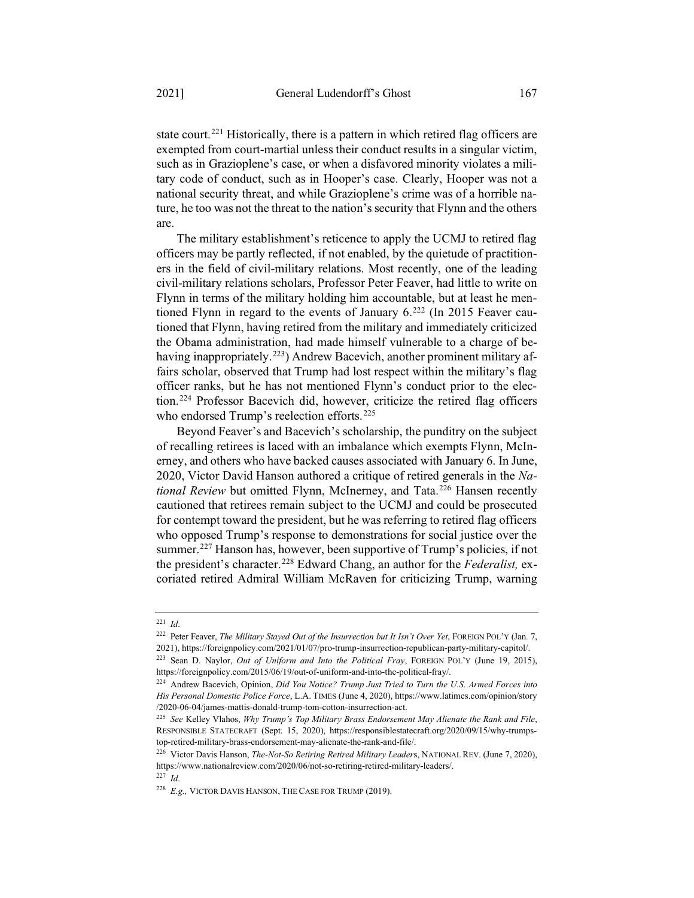state court.<sup>221</sup> Historically, there is a pattern in which retired flag officers are exempted from court-martial unless their conduct results in a singular victim, such as in Grazioplene's case, or when a disfavored minority violates a military code of conduct, such as in Hooper's case. Clearly, Hooper was not a national security threat, and while Grazioplene's crime was of a horrible nature, he too was not the threat to the nation's security that Flynn and the others are.

The military establishment's reticence to apply the UCMJ to retired flag officers may be partly reflected, if not enabled, by the quietude of practitioners in the field of civil-military relations. Most recently, one of the leading civil-military relations scholars, Professor Peter Feaver, had little to write on Flynn in terms of the military holding him accountable, but at least he mentioned Flynn in regard to the events of January  $6.^{222}$  (In 2015 Feaver cautioned that Flynn, having retired from the military and immediately criticized the Obama administration, had made himself vulnerable to a charge of behaving inappropriately.<sup>223</sup>) Andrew Bacevich, another prominent military affairs scholar, observed that Trump had lost respect within the military's flag officer ranks, but he has not mentioned Flynn's conduct prior to the election.224 Professor Bacevich did, however, criticize the retired flag officers who endorsed Trump's reelection efforts.<sup>225</sup>

Beyond Feaver's and Bacevich's scholarship, the punditry on the subject of recalling retirees is laced with an imbalance which exempts Flynn, McInerney, and others who have backed causes associated with January 6. In June, 2020, Victor David Hanson authored a critique of retired generals in the *National Review* but omitted Flynn, McInerney, and Tata.<sup>226</sup> Hansen recently cautioned that retirees remain subject to the UCMJ and could be prosecuted for contempt toward the president, but he was referring to retired flag officers who opposed Trump's response to demonstrations for social justice over the summer.<sup>227</sup> Hanson has, however, been supportive of Trump's policies, if not the president's character.228 Edward Chang, an author for the *Federalist,* excoriated retired Admiral William McRaven for criticizing Trump, warning

<sup>221</sup> *Id*.

<sup>222</sup> Peter Feaver, *The Military Stayed Out of the Insurrection but It Isn't Over Yet*, FOREIGN POL'Y (Jan. 7, 2021), https://foreignpolicy.com/2021/01/07/pro-trump-insurrection-republican-party-military-capitol/.

<sup>223</sup> Sean D. Naylor, *Out of Uniform and Into the Political Fray*, FOREIGN POL'Y (June 19, 2015), https://foreignpolicy.com/2015/06/19/out-of-uniform-and-into-the-political-fray/.

<sup>224</sup> Andrew Bacevich, Opinion, *Did You Notice? Trump Just Tried to Turn the U.S. Armed Forces into His Personal Domestic Police Force*, L.A. TIMES (June 4, 2020), https://www.latimes.com/opinion/story /2020-06-04/james-mattis-donald-trump-tom-cotton-insurrection-act.

<sup>225</sup> *See* Kelley Vlahos, *Why Trump's Top Military Brass Endorsement May Alienate the Rank and File*, RESPONSIBLE STATECRAFT (Sept. 15, 2020), https://responsiblestatecraft.org/2020/09/15/why-trumpstop-retired-military-brass-endorsement-may-alienate-the-rank-and-file/.

<sup>226</sup> Victor Davis Hanson, *The-Not-So Retiring Retired Military Leader*s, NATIONAL REV. (June 7, 2020), https://www.nationalreview.com/2020/06/not-so-retiring-retired-military-leaders/.

<sup>227</sup> *Id*.

<sup>&</sup>lt;sup>228</sup> E.g., VICTOR DAVIS HANSON, THE CASE FOR TRUMP (2019).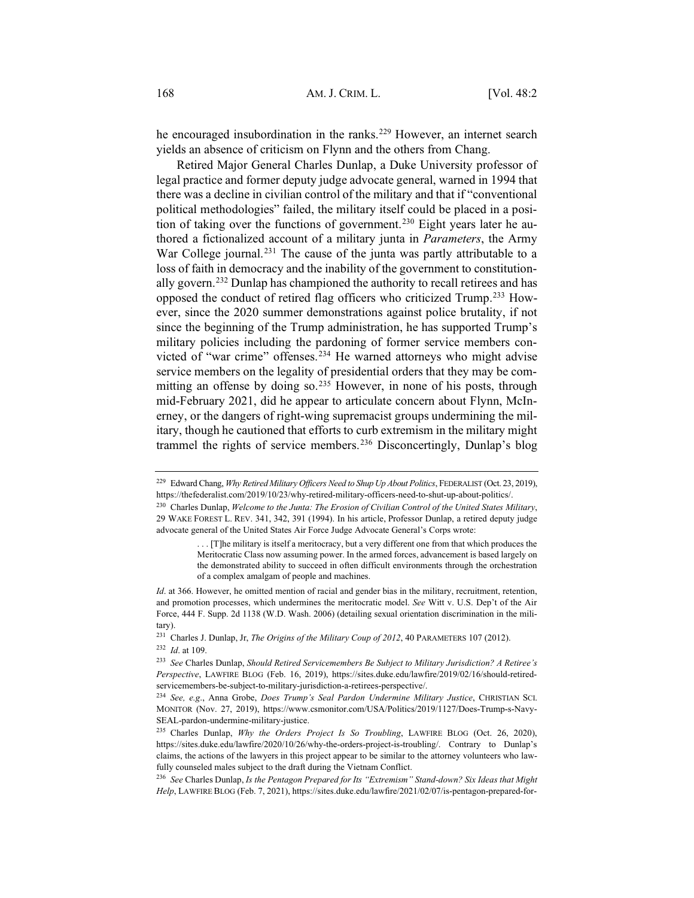he encouraged insubordination in the ranks.<sup>229</sup> However, an internet search yields an absence of criticism on Flynn and the others from Chang.

Retired Major General Charles Dunlap, a Duke University professor of legal practice and former deputy judge advocate general, warned in 1994 that there was a decline in civilian control of the military and that if "conventional political methodologies" failed, the military itself could be placed in a position of taking over the functions of government.<sup>230</sup> Eight years later he authored a fictionalized account of a military junta in *Parameters*, the Army War College journal.<sup>231</sup> The cause of the junta was partly attributable to a loss of faith in democracy and the inability of the government to constitutionally govern.232 Dunlap has championed the authority to recall retirees and has opposed the conduct of retired flag officers who criticized Trump.233 However, since the 2020 summer demonstrations against police brutality, if not since the beginning of the Trump administration, he has supported Trump's military policies including the pardoning of former service members convicted of "war crime" offenses.234 He warned attorneys who might advise service members on the legality of presidential orders that they may be committing an offense by doing so.<sup>235</sup> However, in none of his posts, through mid-February 2021, did he appear to articulate concern about Flynn, McInerney, or the dangers of right-wing supremacist groups undermining the military, though he cautioned that efforts to curb extremism in the military might trammel the rights of service members.236 Disconcertingly, Dunlap's blog

<sup>229</sup> Edward Chang, *Why Retired Military Officers Need to Shup Up About Politics*, FEDERALIST (Oct. 23, 2019), https://thefederalist.com/2019/10/23/why-retired-military-officers-need-to-shut-up-about-politics/.

<sup>230</sup> Charles Dunlap, *Welcome to the Junta: The Erosion of Civilian Control of the United States Military*, 29 WAKE FOREST L. REV. 341, 342, 391 (1994). In his article, Professor Dunlap, a retired deputy judge advocate general of the United States Air Force Judge Advocate General's Corps wrote:

<sup>. . . [</sup>T]he military is itself a meritocracy, but a very different one from that which produces the Meritocratic Class now assuming power. In the armed forces, advancement is based largely on the demonstrated ability to succeed in often difficult environments through the orchestration of a complex amalgam of people and machines.

*Id.* at 366. However, he omitted mention of racial and gender bias in the military, recruitment, retention, and promotion processes, which undermines the meritocratic model. *See* Witt v. U.S. Dep't of the Air Force, 444 F. Supp. 2d 1138 (W.D. Wash. 2006) (detailing sexual orientation discrimination in the military).

<sup>231</sup> Charles J. Dunlap, Jr, *The Origins of the Military Coup of 2012*, 40 PARAMETERS 107 (2012). <sup>232</sup> *Id*. at 109.

<sup>233</sup> *See* Charles Dunlap, *Should Retired Servicemembers Be Subject to Military Jurisdiction? A Retiree's Perspective*, LAWFIRE BLOG (Feb. 16, 2019), https://sites.duke.edu/lawfire/2019/02/16/should-retiredservicemembers-be-subject-to-military-jurisdiction-a-retirees-perspective/.

<sup>234</sup> *See, e.g*., Anna Grobe, *Does Trump's Seal Pardon Undermine Military Justice*, CHRISTIAN SCI. MONITOR (Nov. 27, 2019), https://www.csmonitor.com/USA/Politics/2019/1127/Does-Trump-s-Navy-SEAL-pardon-undermine-military-justice.

<sup>235</sup> Charles Dunlap, *Why the Orders Project Is So Troubling*, LAWFIRE BLOG (Oct. 26, 2020), https://sites.duke.edu/lawfire/2020/10/26/why-the-orders-project-is-troubling/. Contrary to Dunlap's claims, the actions of the lawyers in this project appear to be similar to the attorney volunteers who lawfully counseled males subject to the draft during the Vietnam Conflict.

<sup>236</sup> *See* Charles Dunlap, *Is the Pentagon Prepared for Its "Extremism" Stand-down? Six Ideas that Might Help*, LAWFIRE BLOG (Feb. 7, 2021), https://sites.duke.edu/lawfire/2021/02/07/is-pentagon-prepared-for-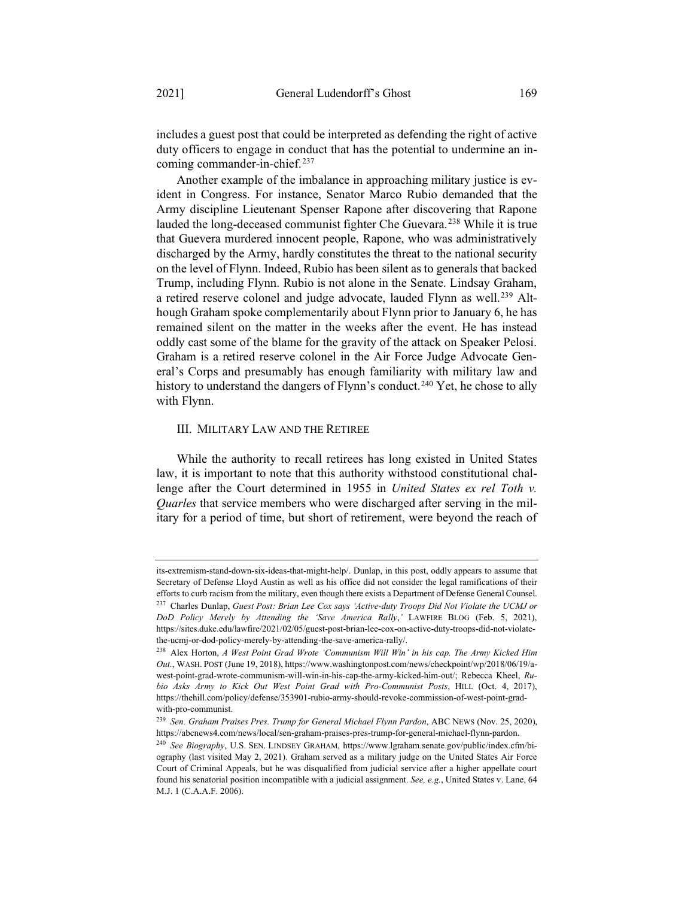includes a guest post that could be interpreted as defending the right of active duty officers to engage in conduct that has the potential to undermine an incoming commander-in-chief.<sup>237</sup>

Another example of the imbalance in approaching military justice is evident in Congress. For instance, Senator Marco Rubio demanded that the Army discipline Lieutenant Spenser Rapone after discovering that Rapone lauded the long-deceased communist fighter Che Guevara.238 While it is true that Guevera murdered innocent people, Rapone, who was administratively discharged by the Army, hardly constitutes the threat to the national security on the level of Flynn. Indeed, Rubio has been silent as to generals that backed Trump, including Flynn. Rubio is not alone in the Senate. Lindsay Graham, a retired reserve colonel and judge advocate, lauded Flynn as well.<sup>239</sup> Although Graham spoke complementarily about Flynn prior to January 6, he has remained silent on the matter in the weeks after the event. He has instead oddly cast some of the blame for the gravity of the attack on Speaker Pelosi. Graham is a retired reserve colonel in the Air Force Judge Advocate General's Corps and presumably has enough familiarity with military law and history to understand the dangers of Flynn's conduct.<sup>240</sup> Yet, he chose to ally with Flynn.

#### III. MILITARY LAW AND THE RETIREE

While the authority to recall retirees has long existed in United States law, it is important to note that this authority withstood constitutional challenge after the Court determined in 1955 in *United States ex rel Toth v. Quarles* that service members who were discharged after serving in the military for a period of time, but short of retirement, were beyond the reach of

its-extremism-stand-down-six-ideas-that-might-help/. Dunlap, in this post, oddly appears to assume that Secretary of Defense Lloyd Austin as well as his office did not consider the legal ramifications of their efforts to curb racism from the military, even though there exists a Department of Defense General Counsel. <sup>237</sup> Charles Dunlap, *Guest Post: Brian Lee Cox says 'Active-duty Troops Did Not Violate the UCMJ or DoD Policy Merely by Attending the 'Save America Rally*,*'* LAWFIRE BLOG (Feb. 5, 2021), https://sites.duke.edu/lawfire/2021/02/05/guest-post-brian-lee-cox-on-active-duty-troops-did-not-violatethe-ucmj-or-dod-policy-merely-by-attending-the-save-america-rally/.

<sup>238</sup> Alex Horton, *A West Point Grad Wrote 'Communism Will Win' in his cap. The Army Kicked Him Out.*, WASH. POST (June 19, 2018), https://www.washingtonpost.com/news/checkpoint/wp/2018/06/19/awest-point-grad-wrote-communism-will-win-in-his-cap-the-army-kicked-him-out/; Rebecca Kheel, *Rubio Asks Army to Kick Out West Point Grad with Pro-Communist Posts*, HILL (Oct. 4, 2017), https://thehill.com/policy/defense/353901-rubio-army-should-revoke-commission-of-west-point-gradwith-pro-communist.

<sup>239</sup> *Sen. Graham Praises Pres. Trump for General Michael Flynn Pardon*, ABC NEWS (Nov. 25, 2020), https://abcnews4.com/news/local/sen-graham-praises-pres-trump-for-general-michael-flynn-pardon.

<sup>240</sup> *See Biography*, U.S. SEN. LINDSEY GRAHAM, https://www.lgraham.senate.gov/public/index.cfm/biography (last visited May 2, 2021). Graham served as a military judge on the United States Air Force Court of Criminal Appeals, but he was disqualified from judicial service after a higher appellate court found his senatorial position incompatible with a judicial assignment. *See, e.g.*, United States v. Lane, 64 M.J. 1 (C.A.A.F. 2006).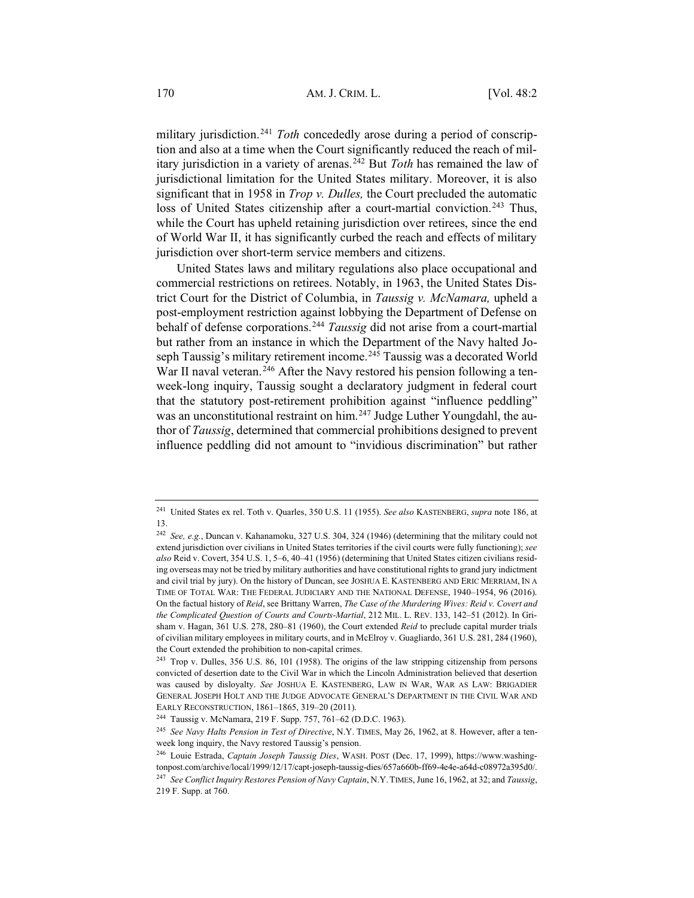military jurisdiction.241 *Toth* concededly arose during a period of conscription and also at a time when the Court significantly reduced the reach of military jurisdiction in a variety of arenas.242 But *Toth* has remained the law of jurisdictional limitation for the United States military. Moreover, it is also significant that in 1958 in *Trop v. Dulles,* the Court precluded the automatic loss of United States citizenship after a court-martial conviction.<sup>243</sup> Thus, while the Court has upheld retaining jurisdiction over retirees, since the end of World War II, it has significantly curbed the reach and effects of military jurisdiction over short-term service members and citizens.

United States laws and military regulations also place occupational and commercial restrictions on retirees. Notably, in 1963, the United States District Court for the District of Columbia, in *Taussig v. McNamara,* upheld a post-employment restriction against lobbying the Department of Defense on behalf of defense corporations.244 *Taussig* did not arise from a court-martial but rather from an instance in which the Department of the Navy halted Joseph Taussig's military retirement income.<sup>245</sup> Taussig was a decorated World War II naval veteran.<sup>246</sup> After the Navy restored his pension following a tenweek-long inquiry, Taussig sought a declaratory judgment in federal court that the statutory post-retirement prohibition against "influence peddling" was an unconstitutional restraint on him.<sup>247</sup> Judge Luther Youngdahl, the author of *Taussig*, determined that commercial prohibitions designed to prevent influence peddling did not amount to "invidious discrimination" but rather

<sup>241</sup> United States ex rel. Toth v. Quarles, 350 U.S. 11 (1955). *See also* KASTENBERG, *supra* note 186, at 13.

<sup>242</sup> *See, e.g.*, Duncan v. Kahanamoku, 327 U.S. 304, 324 (1946) (determining that the military could not extend jurisdiction over civilians in United States territories if the civil courts were fully functioning); *see also* Reid v. Covert, 354 U.S. 1, 5–6, 40–41 (1956) (determining that United States citizen civilians residing overseas may not be tried by military authorities and have constitutional rights to grand jury indictment and civil trial by jury). On the history of Duncan, see JOSHUA E. KASTENBERG AND ERIC MERRIAM, IN A TIME OF TOTAL WAR: THE FEDERAL JUDICIARY AND THE NATIONAL DEFENSE, 1940–1954, 96 (2016). On the factual history of *Reid*, see Brittany Warren, *The Case of the Murdering Wives: Reid v. Covert and the Complicated Question of Courts and Courts-Martial*, 212 MIL. L. REV. 133, 142–51 (2012). In Grisham v. Hagan, 361 U.S. 278, 280–81 (1960), the Court extended *Reid* to preclude capital murder trials of civilian military employees in military courts, and in McElroy v. Guagliardo, 361 U.S. 281, 284 (1960), the Court extended the prohibition to non-capital crimes.

<sup>&</sup>lt;sup>243</sup> Trop v. Dulles, 356 U.S. 86, 101 (1958). The origins of the law stripping citizenship from persons convicted of desertion date to the Civil War in which the Lincoln Administration believed that desertion was caused by disloyalty. *See* JOSHUA E. KASTENBERG, LAW IN WAR, WAR AS LAW: BRIGADIER GENERAL JOSEPH HOLT AND THE JUDGE ADVOCATE GENERAL'S DEPARTMENT IN THE CIVIL WAR AND EARLY RECONSTRUCTION, 1861–1865, 319–20 (2011).

<sup>244</sup> Taussig v. McNamara, 219 F. Supp. 757, 761–62 (D.D.C. 1963).

<sup>245</sup> *See Navy Halts Pension in Test of Directive*, N.Y. TIMES, May 26, 1962, at 8. However, after a tenweek long inquiry, the Navy restored Taussig's pension.

<sup>246</sup> Louie Estrada, *Captain Joseph Taussig Dies*, WASH. POST (Dec. 17, 1999), https://www.washingtonpost.com/archive/local/1999/12/17/capt-joseph-taussig-dies/657a660b-ff69-4e4e-a64d-c08972a395d0/.

<sup>247</sup> *See Conflict Inquiry Restores Pension of Navy Captain*, N.Y. TIMES, June 16, 1962, at 32; and *Taussig*, 219 F. Supp. at 760.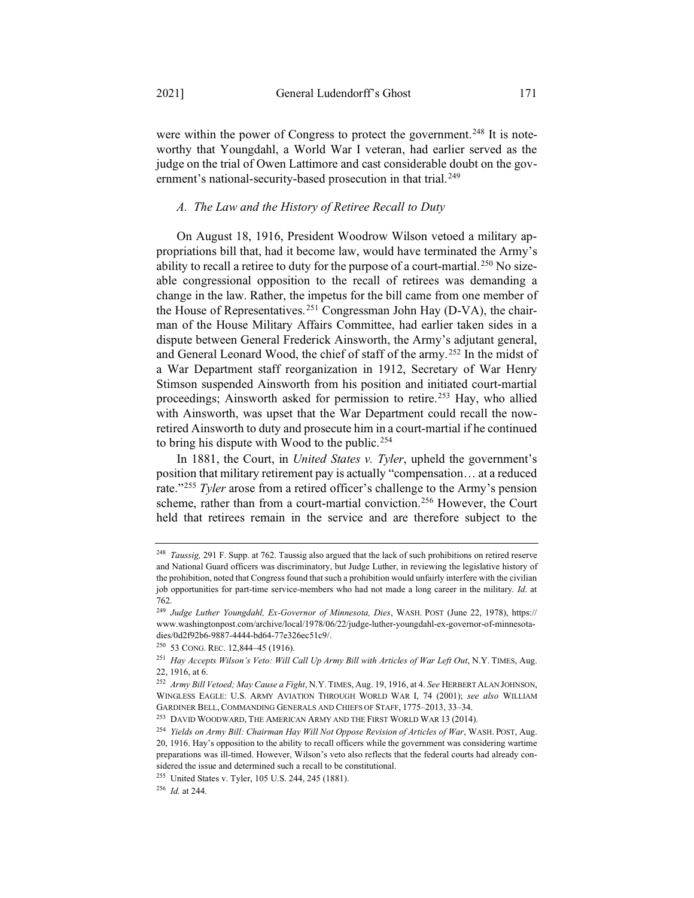were within the power of Congress to protect the government.<sup>248</sup> It is noteworthy that Youngdahl, a World War I veteran, had earlier served as the judge on the trial of Owen Lattimore and cast considerable doubt on the government's national-security-based prosecution in that trial.<sup>249</sup>

#### *A. The Law and the History of Retiree Recall to Duty*

On August 18, 1916, President Woodrow Wilson vetoed a military appropriations bill that, had it become law, would have terminated the Army's ability to recall a retiree to duty for the purpose of a court-martial.<sup>250</sup> No sizeable congressional opposition to the recall of retirees was demanding a change in the law. Rather, the impetus for the bill came from one member of the House of Representatives. <sup>251</sup> Congressman John Hay (D-VA), the chairman of the House Military Affairs Committee, had earlier taken sides in a dispute between General Frederick Ainsworth, the Army's adjutant general, and General Leonard Wood, the chief of staff of the army.252 In the midst of a War Department staff reorganization in 1912, Secretary of War Henry Stimson suspended Ainsworth from his position and initiated court-martial proceedings; Ainsworth asked for permission to retire.<sup>253</sup> Hay, who allied with Ainsworth, was upset that the War Department could recall the nowretired Ainsworth to duty and prosecute him in a court-martial if he continued to bring his dispute with Wood to the public.<sup>254</sup>

In 1881, the Court, in *United States v. Tyler*, upheld the government's position that military retirement pay is actually "compensation… at a reduced rate."255 *Tyler* arose from a retired officer's challenge to the Army's pension scheme, rather than from a court-martial conviction.<sup>256</sup> However, the Court held that retirees remain in the service and are therefore subject to the

<sup>248</sup> *Taussig,* 291 F. Supp. at 762. Taussig also argued that the lack of such prohibitions on retired reserve and National Guard officers was discriminatory, but Judge Luther, in reviewing the legislative history of the prohibition, noted that Congress found that such a prohibition would unfairly interfere with the civilian job opportunities for part-time service-members who had not made a long career in the military*. Id*. at 762.

<sup>249</sup> *Judge Luther Youngdahl, Ex-Governor of Minnesota, Dies*, WASH. POST (June 22, 1978), https:// www.washingtonpost.com/archive/local/1978/06/22/judge-luther-youngdahl-ex-governor-of-minnesotadies/0d2f92b6-9887-4444-bd64-77e326ec51c9/.

<sup>250</sup> 53 CONG. REC. 12,844–45 (1916).

<sup>251</sup> *Hay Accepts Wilson's Veto: Will Call Up Army Bill with Articles of War Left Out*, N.Y. TIMES, Aug. 22, 1916, at 6.

<sup>252</sup> *Army Bill Vetoed; May Cause a Fight*, N.Y. TIMES, Aug. 19, 1916, at 4. *See* HERBERT ALAN JOHNSON, WINGLESS EAGLE: U.S. ARMY AVIATION THROUGH WORLD WAR I, 74 (2001); *see also* WILLIAM GARDINER BELL, COMMANDING GENERALS AND CHIEFS OF STAFF, 1775–2013, 33–34.

<sup>&</sup>lt;sup>253</sup> DAVID WOODWARD, THE AMERICAN ARMY AND THE FIRST WORLD WAR 13 (2014).

<sup>254</sup> *Yields on Army Bill: Chairman Hay Will Not Oppose Revision of Articles of War*, WASH. POST, Aug. 20, 1916. Hay's opposition to the ability to recall officers while the government was considering wartime preparations was ill-timed. However, Wilson's veto also reflects that the federal courts had already considered the issue and determined such a recall to be constitutional.

<sup>255</sup> United States v. Tyler, 105 U.S. 244, 245 (1881).

<sup>256</sup> *Id.* at 244.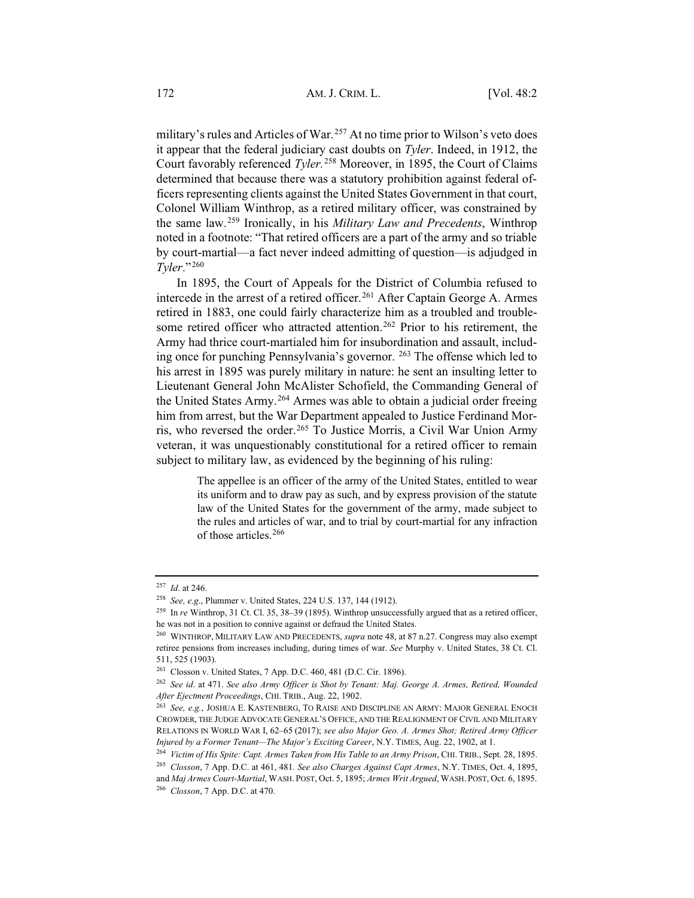military's rules and Articles of War. <sup>257</sup> At no time prior to Wilson's veto does it appear that the federal judiciary cast doubts on *Tyler*. Indeed, in 1912, the Court favorably referenced *Tyler.* <sup>258</sup> Moreover, in 1895, the Court of Claims determined that because there was a statutory prohibition against federal officers representing clients against the United States Government in that court, Colonel William Winthrop, as a retired military officer, was constrained by the same law.259 Ironically, in his *Military Law and Precedents*, Winthrop noted in a footnote: "That retired officers are a part of the army and so triable by court-martial—a fact never indeed admitting of question—is adjudged in *Tyler*."260

In 1895, the Court of Appeals for the District of Columbia refused to intercede in the arrest of a retired officer.<sup>261</sup> After Captain George A. Armes retired in 1883, one could fairly characterize him as a troubled and troublesome retired officer who attracted attention.<sup>262</sup> Prior to his retirement, the Army had thrice court-martialed him for insubordination and assault, including once for punching Pennsylvania's governor. 263 The offense which led to his arrest in 1895 was purely military in nature: he sent an insulting letter to Lieutenant General John McAlister Schofield, the Commanding General of the United States Army.264 Armes was able to obtain a judicial order freeing him from arrest, but the War Department appealed to Justice Ferdinand Morris, who reversed the order.<sup>265</sup> To Justice Morris, a Civil War Union Army veteran, it was unquestionably constitutional for a retired officer to remain subject to military law, as evidenced by the beginning of his ruling:

> The appellee is an officer of the army of the United States, entitled to wear its uniform and to draw pay as such, and by express provision of the statute law of the United States for the government of the army, made subject to the rules and articles of war, and to trial by court-martial for any infraction of those articles.<sup>266</sup>

<sup>257</sup> *Id*. at 246.

<sup>258</sup> *See, e.g*., Plummer v. United States, 224 U.S. 137, 144 (1912).

<sup>259</sup> In *re* Winthrop, 31 Ct. Cl. 35, 38–39 (1895). Winthrop unsuccessfully argued that as a retired officer, he was not in a position to connive against or defraud the United States.

<sup>260</sup> WINTHROP, MILITARY LAW AND PRECEDENTS, *supra* note 48, at 87 n.27. Congress may also exempt retiree pensions from increases including, during times of war. *See* Murphy v. United States, 38 Ct. Cl. 511, 525 (1903).

<sup>261</sup> Closson v. United States, 7 App. D.C. 460, 481 (D.C. Cir. 1896).

<sup>262</sup> *See id*. at 471. *See also Army Officer is Shot by Tenant: Maj. George A. Armes, Retired, Wounded After Ejectment Proceedings*, CHI. TRIB., Aug. 22, 1902.

<sup>263</sup> *See, e.g.*, JOSHUA E. KASTENBERG, TO RAISE AND DISCIPLINE AN ARMY: MAJOR GENERAL ENOCH CROWDER, THE JUDGE ADVOCATE GENERAL'S OFFICE, AND THE REALIGNMENT OF CIVIL AND MILITARY RELATIONS IN WORLD WAR I, 62–65 (2017); *see also Major Geo. A. Armes Shot; Retired Army Officer Injured by a Former Tenant—The Major's Exciting Career*, N.Y. TIMES, Aug. 22, 1902, at 1.

<sup>264</sup> *Victim of His Spite: Capt. Armes Taken from His Table to an Army Prison*, CHI. TRIB., Sept. 28, 1895.

<sup>265</sup> *Closson*, 7 App. D.C. at 461, 481*. See also Charges Against Capt Armes*, N.Y. TIMES, Oct. 4, 1895, and *Maj Armes Court-Martial*, WASH. POST, Oct. 5, 1895; *Armes Writ Argued*, WASH. POST, Oct. 6, 1895. <sup>266</sup> *Closson*, 7 App. D.C. at 470.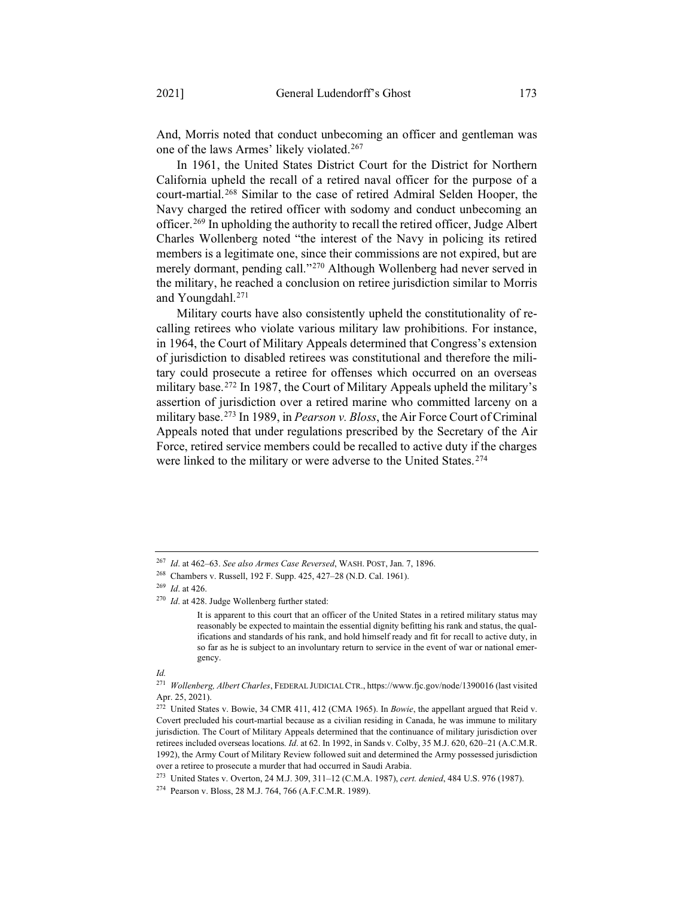And, Morris noted that conduct unbecoming an officer and gentleman was one of the laws Armes' likely violated.<sup>267</sup>

In 1961, the United States District Court for the District for Northern California upheld the recall of a retired naval officer for the purpose of a court-martial.268 Similar to the case of retired Admiral Selden Hooper, the Navy charged the retired officer with sodomy and conduct unbecoming an officer.269 In upholding the authority to recall the retired officer, Judge Albert Charles Wollenberg noted "the interest of the Navy in policing its retired members is a legitimate one, since their commissions are not expired, but are merely dormant, pending call."270 Although Wollenberg had never served in the military, he reached a conclusion on retiree jurisdiction similar to Morris and Youngdahl.271

Military courts have also consistently upheld the constitutionality of recalling retirees who violate various military law prohibitions. For instance, in 1964, the Court of Military Appeals determined that Congress's extension of jurisdiction to disabled retirees was constitutional and therefore the military could prosecute a retiree for offenses which occurred on an overseas military base.272 In 1987, the Court of Military Appeals upheld the military's assertion of jurisdiction over a retired marine who committed larceny on a military base.273 In 1989, in *Pearson v. Bloss*, the Air Force Court of Criminal Appeals noted that under regulations prescribed by the Secretary of the Air Force, retired service members could be recalled to active duty if the charges were linked to the military or were adverse to the United States.<sup>274</sup>

<sup>267</sup> *Id*. at 462–63. *See also Armes Case Reversed*, WASH. POST, Jan. 7, 1896.

<sup>268</sup> Chambers v. Russell, 192 F. Supp. 425, 427–28 (N.D. Cal. 1961).

<sup>269</sup> *Id*. at 426.

<sup>270</sup> *Id*. at 428. Judge Wollenberg further stated:

It is apparent to this court that an officer of the United States in a retired military status may reasonably be expected to maintain the essential dignity befitting his rank and status, the qualifications and standards of his rank, and hold himself ready and fit for recall to active duty, in so far as he is subject to an involuntary return to service in the event of war or national emergency.

*Id.*

<sup>271</sup> *Wollenberg, Albert Charles*, FEDERAL JUDICIAL CTR., https://www.fjc.gov/node/1390016 (last visited Apr. 25, 2021).

<sup>272</sup> United States v. Bowie, 34 CMR 411, 412 (CMA 1965). In *Bowie*, the appellant argued that Reid v. Covert precluded his court-martial because as a civilian residing in Canada, he was immune to military jurisdiction. The Court of Military Appeals determined that the continuance of military jurisdiction over retirees included overseas locations*. Id*. at 62. In 1992, in Sands v. Colby, 35 M.J. 620, 620–21 (A.C.M.R. 1992), the Army Court of Military Review followed suit and determined the Army possessed jurisdiction over a retiree to prosecute a murder that had occurred in Saudi Arabia.

<sup>273</sup> United States v. Overton, 24 M.J. 309, 311–12 (C.M.A. 1987), *cert. denied*, 484 U.S. 976 (1987).

<sup>274</sup> Pearson v. Bloss, 28 M.J. 764, 766 (A.F.C.M.R. 1989).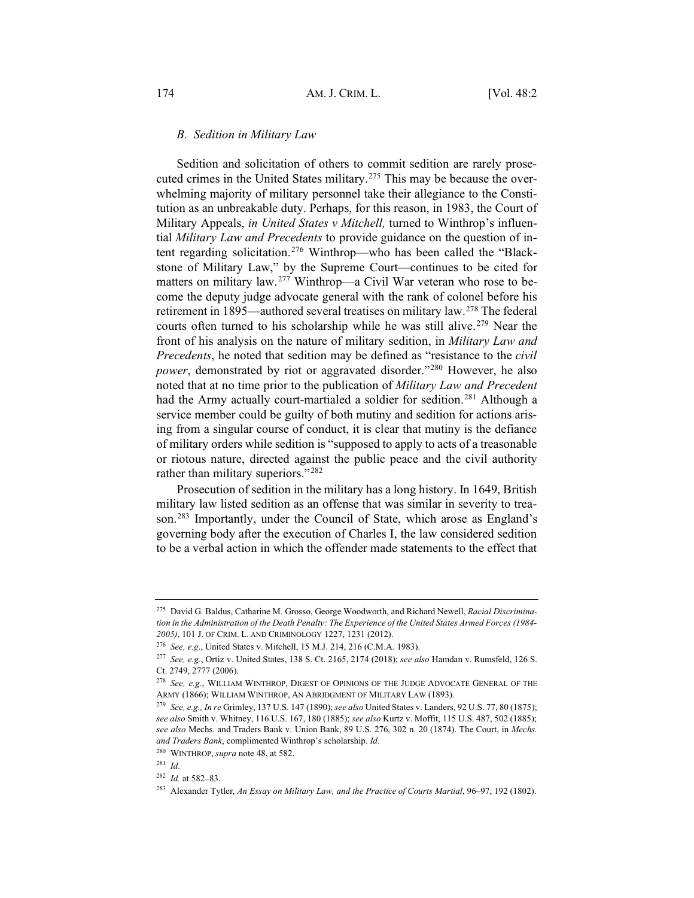#### *B. Sedition in Military Law*

Sedition and solicitation of others to commit sedition are rarely prosecuted crimes in the United States military.<sup>275</sup> This may be because the overwhelming majority of military personnel take their allegiance to the Constitution as an unbreakable duty. Perhaps, for this reason, in 1983, the Court of Military Appeals, *in United States v Mitchell,* turned to Winthrop's influential *Military Law and Precedents* to provide guidance on the question of intent regarding solicitation.276 Winthrop—who has been called the "Blackstone of Military Law," by the Supreme Court—continues to be cited for matters on military law.277 Winthrop—a Civil War veteran who rose to become the deputy judge advocate general with the rank of colonel before his retirement in 1895—authored several treatises on military law.278 The federal courts often turned to his scholarship while he was still alive.<sup>279</sup> Near the front of his analysis on the nature of military sedition, in *Military Law and Precedents*, he noted that sedition may be defined as "resistance to the *civil power*, demonstrated by riot or aggravated disorder."280 However, he also noted that at no time prior to the publication of *Military Law and Precedent* had the Army actually court-martialed a soldier for sedition.<sup>281</sup> Although a service member could be guilty of both mutiny and sedition for actions arising from a singular course of conduct, it is clear that mutiny is the defiance of military orders while sedition is "supposed to apply to acts of a treasonable or riotous nature, directed against the public peace and the civil authority rather than military superiors."<sup>282</sup>

Prosecution of sedition in the military has a long history. In 1649, British military law listed sedition as an offense that was similar in severity to treason.283 Importantly, under the Council of State, which arose as England's governing body after the execution of Charles I, the law considered sedition to be a verbal action in which the offender made statements to the effect that

<sup>275</sup> David G. Baldus, Catharine M. Grosso, George Woodworth, and Richard Newell, *Racial Discrimination in the Administration of the Death Penalty: The Experience of the United States Armed Forces (1984- 2005)*, 101 J. OF CRIM. L. AND CRIMINOLOGY 1227, 1231 (2012).

<sup>276</sup> *See, e.g*., United States v. Mitchell, 15 M.J. 214, 216 (C.M.A. 1983).

<sup>277</sup> *See, e.g.*, Ortiz v. United States, 138 S. Ct. 2165, 2174 (2018); *see also* Hamdan v. Rumsfeld, 126 S. Ct. 2749, 2777 (2006).

<sup>278</sup> *See, e.g.*, WILLIAM WINTHROP, DIGEST OF OPINIONS OF THE JUDGE ADVOCATE GENERAL OF THE ARMY (1866); WILLIAM WINTHROP, AN ABRIDGMENT OF MILITARY LAW (1893).

<sup>279</sup> *See, e.g., In re* Grimley, 137 U.S. 147 (1890); *see also* United States v. Landers, 92 U.S. 77, 80 (1875); *see also* Smith v. Whitney, 116 U.S. 167, 180 (1885); *see also* Kurtz v. Moffit, 115 U.S. 487, 502 (1885); *see also* Mechs. and Traders Bank v. Union Bank, 89 U.S. 276, 302 n. 20 (1874). The Court, in *Mechs. and Traders Bank*, complimented Winthrop's scholarship. *Id*.

<sup>280</sup> WINTHROP, *supra* note 48, at 582.

<sup>281</sup> *Id*.

<sup>282</sup> *Id.* at 582–83.

<sup>283</sup> Alexander Tytler, *An Essay on Military Law, and the Practice of Courts Martial*, 96–97, 192 (1802).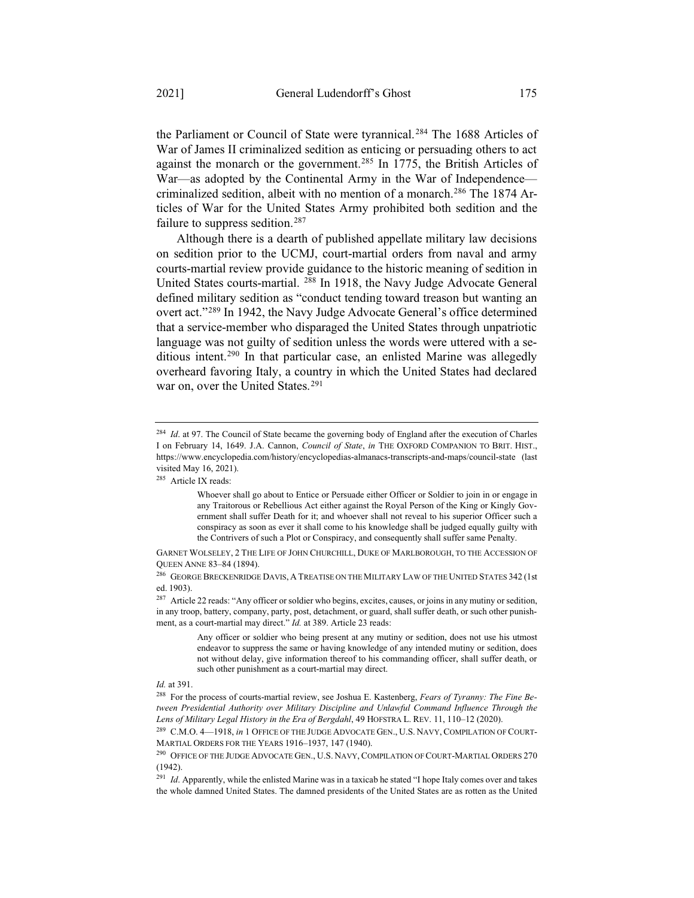the Parliament or Council of State were tyrannical.<sup>284</sup> The 1688 Articles of War of James II criminalized sedition as enticing or persuading others to act against the monarch or the government.285 In 1775, the British Articles of War—as adopted by the Continental Army in the War of Independence criminalized sedition, albeit with no mention of a monarch.<sup>286</sup> The 1874 Articles of War for the United States Army prohibited both sedition and the failure to suppress sedition.<sup>287</sup>

Although there is a dearth of published appellate military law decisions on sedition prior to the UCMJ, court-martial orders from naval and army courts-martial review provide guidance to the historic meaning of sedition in United States courts-martial. 288 In 1918, the Navy Judge Advocate General defined military sedition as "conduct tending toward treason but wanting an overt act."289 In 1942, the Navy Judge Advocate General's office determined that a service-member who disparaged the United States through unpatriotic language was not guilty of sedition unless the words were uttered with a seditious intent.290 In that particular case, an enlisted Marine was allegedly overheard favoring Italy, a country in which the United States had declared war on, over the United States.<sup>291</sup>

<sup>&</sup>lt;sup>284</sup> *Id.* at 97. The Council of State became the governing body of England after the execution of Charles I on February 14, 1649. J.A. Cannon, *Council of State*, *in* THE OXFORD COMPANION TO BRIT. HIST., https://www.encyclopedia.com/history/encyclopedias-almanacs-transcripts-and-maps/council-state (last visited May 16, 2021).

<sup>285</sup> Article IX reads:

Whoever shall go about to Entice or Persuade either Officer or Soldier to join in or engage in any Traitorous or Rebellious Act either against the Royal Person of the King or Kingly Government shall suffer Death for it; and whoever shall not reveal to his superior Officer such a conspiracy as soon as ever it shall come to his knowledge shall be judged equally guilty with the Contrivers of such a Plot or Conspiracy, and consequently shall suffer same Penalty.

GARNET WOLSELEY,2THE LIFE OF JOHN CHURCHILL, DUKE OF MARLBOROUGH, TO THE ACCESSION OF QUEEN ANNE 83–84 (1894).

<sup>&</sup>lt;sup>286</sup> GEORGE BRECKENRIDGE DAVIS, A TREATISE ON THE MILITARY LAW OF THE UNITED STATES 342 (1st ed. 1903).

<sup>287</sup> Article 22 reads: "Any officer or soldier who begins, excites, causes, or joins in any mutiny or sedition, in any troop, battery, company, party, post, detachment, or guard, shall suffer death, or such other punishment, as a court-martial may direct." *Id.* at 389. Article 23 reads:

Any officer or soldier who being present at any mutiny or sedition, does not use his utmost endeavor to suppress the same or having knowledge of any intended mutiny or sedition, does not without delay, give information thereof to his commanding officer, shall suffer death, or such other punishment as a court-martial may direct.

*Id.* at 391.

<sup>288</sup> For the process of courts-martial review, see Joshua E. Kastenberg, *Fears of Tyranny: The Fine Between Presidential Authority over Military Discipline and Unlawful Command Influence Through the Lens of Military Legal History in the Era of Bergdahl*, 49 HOFSTRA L. REV. 11, 110–12 (2020).

<sup>289</sup> C.M.O. 4—1918, *in* 1 OFFICE OF THE JUDGE ADVOCATE GEN., U.S. NAVY, COMPILATION OF COURT-MARTIAL ORDERS FOR THE YEARS 1916–1937, 147 (1940).

<sup>290</sup> OFFICE OF THE JUDGE ADVOCATE GEN., U.S. NAVY, COMPILATION OF COURT-MARTIAL ORDERS 270 (1942).

<sup>&</sup>lt;sup>291</sup> *Id*. Apparently, while the enlisted Marine was in a taxicab he stated "I hope Italy comes over and takes the whole damned United States. The damned presidents of the United States are as rotten as the United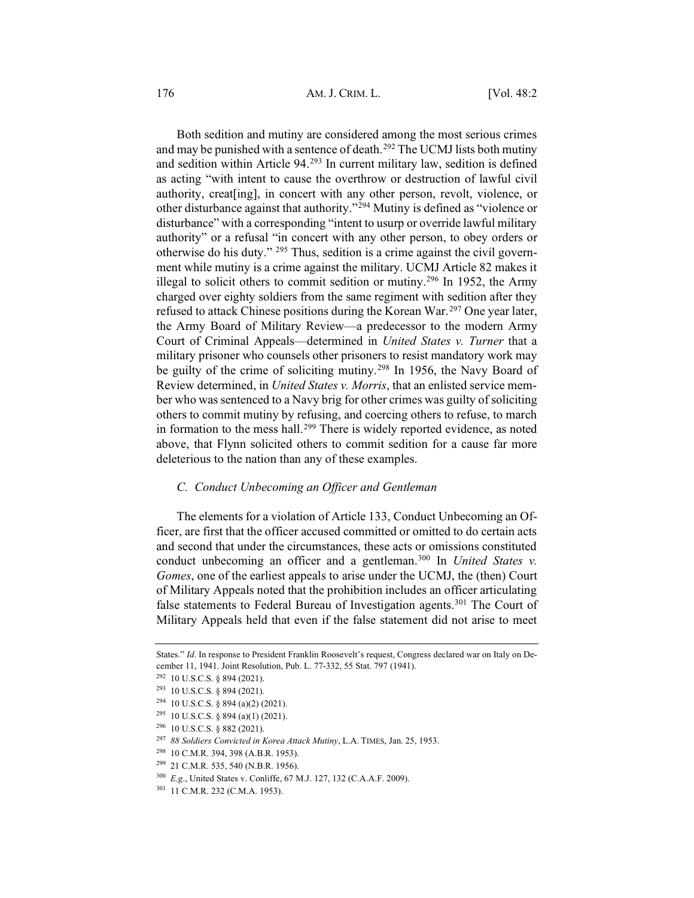176 **AM. J. CRIM. L.** [Vol. 48:2]

Both sedition and mutiny are considered among the most serious crimes and may be punished with a sentence of death.<sup>292</sup> The UCMJ lists both mutiny and sedition within Article 94.293 In current military law, sedition is defined as acting "with intent to cause the overthrow or destruction of lawful civil authority, creat[ing], in concert with any other person, revolt, violence, or other disturbance against that authority."294 Mutiny is defined as "violence or disturbance" with a corresponding "intent to usurp or override lawful military authority" or a refusal "in concert with any other person, to obey orders or otherwise do his duty." 295 Thus, sedition is a crime against the civil government while mutiny is a crime against the military. UCMJ Article 82 makes it illegal to solicit others to commit sedition or mutiny.<sup>296</sup> In 1952, the Army charged over eighty soldiers from the same regiment with sedition after they refused to attack Chinese positions during the Korean War.<sup>297</sup> One year later, the Army Board of Military Review—a predecessor to the modern Army Court of Criminal Appeals—determined in *United States v. Turner* that a military prisoner who counsels other prisoners to resist mandatory work may be guilty of the crime of soliciting mutiny.<sup>298</sup> In 1956, the Navy Board of Review determined, in *United States v. Morris*, that an enlisted service member who was sentenced to a Navy brig for other crimes was guilty of soliciting others to commit mutiny by refusing, and coercing others to refuse, to march in formation to the mess hall.<sup>299</sup> There is widely reported evidence, as noted above, that Flynn solicited others to commit sedition for a cause far more deleterious to the nation than any of these examples.

#### *C. Conduct Unbecoming an Officer and Gentleman*

The elements for a violation of Article 133, Conduct Unbecoming an Officer, are first that the officer accused committed or omitted to do certain acts and second that under the circumstances, these acts or omissions constituted conduct unbecoming an officer and a gentleman.300 In *United States v. Gomes*, one of the earliest appeals to arise under the UCMJ, the (then) Court of Military Appeals noted that the prohibition includes an officer articulating false statements to Federal Bureau of Investigation agents.<sup>301</sup> The Court of Military Appeals held that even if the false statement did not arise to meet

States." *Id*. In response to President Franklin Roosevelt's request, Congress declared war on Italy on December 11, 1941. Joint Resolution, Pub. L. 77-332, 55 Stat. 797 (1941).

<sup>292</sup> 10 U.S.C.S. § 894 (2021).

<sup>293</sup> 10 U.S.C.S. § 894 (2021).

 $294$  10 U.S.C.S. § 894 (a)(2) (2021).

<sup>295</sup> 10 U.S.C.S. § 894 (a)(1) (2021).

<sup>296</sup> 10 U.S.C.S. § 882 (2021).

<sup>297</sup> *88 Soldiers Convicted in Korea Attack Mutiny*, L.A. TIMES, Jan. 25, 1953.

<sup>298</sup> 10 C.M.R. 394, 398 (A.B.R. 1953).

<sup>299</sup> 21 C.M.R. 535, 540 (N.B.R. 1956).

<sup>300</sup> *E.g*., United States v. Conliffe, 67 M.J. 127, 132 (C.A.A.F. 2009).

<sup>301</sup> 11 C.M.R. 232 (C.M.A. 1953).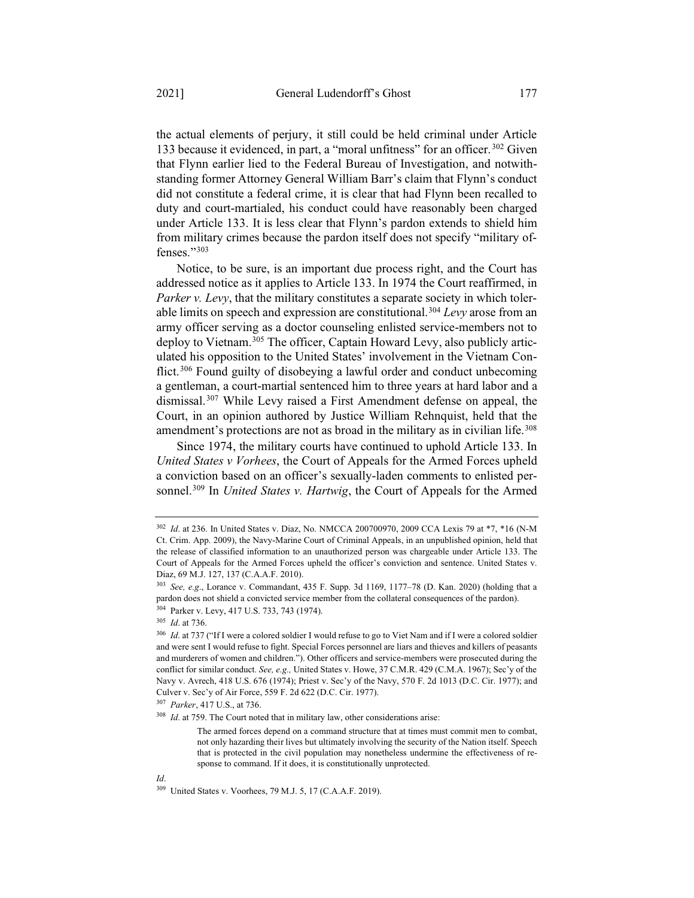the actual elements of perjury, it still could be held criminal under Article 133 because it evidenced, in part, a "moral unfitness" for an officer.<sup>302</sup> Given that Flynn earlier lied to the Federal Bureau of Investigation, and notwithstanding former Attorney General William Barr's claim that Flynn's conduct did not constitute a federal crime, it is clear that had Flynn been recalled to duty and court-martialed, his conduct could have reasonably been charged under Article 133. It is less clear that Flynn's pardon extends to shield him from military crimes because the pardon itself does not specify "military offenses."303

Notice, to be sure, is an important due process right, and the Court has addressed notice as it applies to Article 133. In 1974 the Court reaffirmed, in *Parker v. Levy*, that the military constitutes a separate society in which tolerable limits on speech and expression are constitutional.304 *Levy* arose from an army officer serving as a doctor counseling enlisted service-members not to deploy to Vietnam.<sup>305</sup> The officer, Captain Howard Levy, also publicly articulated his opposition to the United States' involvement in the Vietnam Conflict.<sup>306</sup> Found guilty of disobeying a lawful order and conduct unbecoming a gentleman, a court-martial sentenced him to three years at hard labor and a dismissal.307 While Levy raised a First Amendment defense on appeal, the Court, in an opinion authored by Justice William Rehnquist, held that the amendment's protections are not as broad in the military as in civilian life.<sup>308</sup>

Since 1974, the military courts have continued to uphold Article 133. In *United States v Vorhees*, the Court of Appeals for the Armed Forces upheld a conviction based on an officer's sexually-laden comments to enlisted personnel.309 In *United States v. Hartwig*, the Court of Appeals for the Armed

<sup>302</sup> *Id*. at 236. In United States v. Diaz, No. NMCCA 200700970, 2009 CCA Lexis 79 at \*7, \*16 (N-M Ct. Crim. App. 2009), the Navy-Marine Court of Criminal Appeals, in an unpublished opinion, held that the release of classified information to an unauthorized person was chargeable under Article 133. The Court of Appeals for the Armed Forces upheld the officer's conviction and sentence. United States v. Diaz, 69 M.J. 127, 137 (C.A.A.F. 2010).

<sup>303</sup> *See, e.g*., Lorance v. Commandant, 435 F. Supp. 3d 1169, 1177–78 (D. Kan. 2020) (holding that a pardon does not shield a convicted service member from the collateral consequences of the pardon). <sup>304</sup> Parker v. Levy, 417 U.S. 733, 743 (1974).

<sup>305</sup> *Id*. at 736.

<sup>&</sup>lt;sup>306</sup> *Id.* at 737 ("If I were a colored soldier I would refuse to go to Viet Nam and if I were a colored soldier and were sent I would refuse to fight. Special Forces personnel are liars and thieves and killers of peasants and murderers of women and children."). Other officers and service-members were prosecuted during the conflict for similar conduct*. See, e.g.,* United States v. Howe, 37 C.M.R. 429 (C.M.A. 1967); Sec'y of the Navy v. Avrech, 418 U.S. 676 (1974); Priest v. Sec'y of the Navy, 570 F. 2d 1013 (D.C. Cir. 1977); and Culver v. Sec'y of Air Force, 559 F. 2d 622 (D.C. Cir. 1977).

<sup>307</sup> *Parker*, 417 U.S., at 736.

<sup>308</sup> *Id*. at 759. The Court noted that in military law, other considerations arise:

The armed forces depend on a command structure that at times must commit men to combat, not only hazarding their lives but ultimately involving the security of the Nation itself. Speech that is protected in the civil population may nonetheless undermine the effectiveness of response to command. If it does, it is constitutionally unprotected.

<sup>309</sup> United States v. Voorhees, 79 M.J. 5, 17 (C.A.A.F. 2019).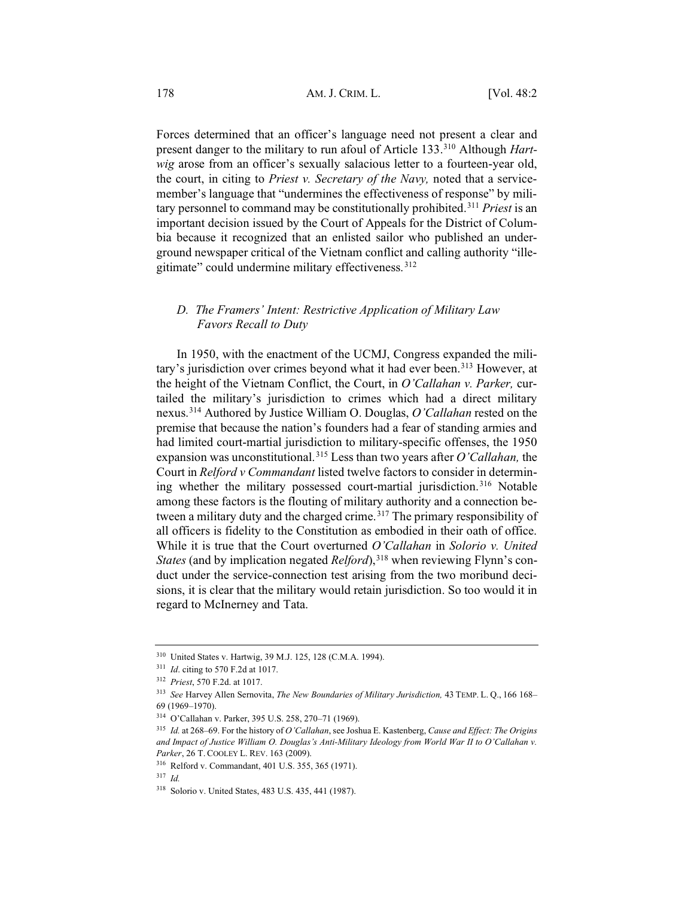Forces determined that an officer's language need not present a clear and present danger to the military to run afoul of Article 133.310 Although *Hartwig* arose from an officer's sexually salacious letter to a fourteen-year old, the court, in citing to *Priest v. Secretary of the Navy,* noted that a servicemember's language that "undermines the effectiveness of response" by military personnel to command may be constitutionally prohibited.311 *Priest* is an important decision issued by the Court of Appeals for the District of Columbia because it recognized that an enlisted sailor who published an underground newspaper critical of the Vietnam conflict and calling authority "illegitimate" could undermine military effectiveness. <sup>312</sup>

#### *D. The Framers' Intent: Restrictive Application of Military Law Favors Recall to Duty*

In 1950, with the enactment of the UCMJ, Congress expanded the military's jurisdiction over crimes beyond what it had ever been.<sup>313</sup> However, at the height of the Vietnam Conflict, the Court, in *O'Callahan v. Parker,* curtailed the military's jurisdiction to crimes which had a direct military nexus.314 Authored by Justice William O. Douglas, *O'Callahan* rested on the premise that because the nation's founders had a fear of standing armies and had limited court-martial jurisdiction to military-specific offenses, the 1950 expansion was unconstitutional.315 Less than two years after *O'Callahan,* the Court in *Relford v Commandant* listed twelve factors to consider in determining whether the military possessed court-martial jurisdiction.<sup>316</sup> Notable among these factors is the flouting of military authority and a connection between a military duty and the charged crime.<sup>317</sup> The primary responsibility of all officers is fidelity to the Constitution as embodied in their oath of office. While it is true that the Court overturned *O'Callahan* in *Solorio v. United States* (and by implication negated *Relford*),<sup>318</sup> when reviewing Flynn's conduct under the service-connection test arising from the two moribund decisions, it is clear that the military would retain jurisdiction. So too would it in regard to McInerney and Tata.

<sup>310</sup> United States v. Hartwig, 39 M.J. 125, 128 (C.M.A. 1994).

<sup>311</sup> *Id*. citing to 570 F.2d at 1017.

<sup>312</sup> *Priest*, 570 F.2d. at 1017.

<sup>313</sup> *See* Harvey Allen Sernovita, *The New Boundaries of Military Jurisdiction,* 43 TEMP. L. Q., 166 168– 69 (1969–1970).

<sup>314</sup> O'Callahan v. Parker, 395 U.S. 258, 270–71 (1969).

<sup>315</sup> *Id.* at 268–69. For the history of *O'Callahan*, see Joshua E. Kastenberg, *Cause and Effect: The Origins and Impact of Justice William O. Douglas's Anti-Military Ideology from World War II to O'Callahan v. Parker*, 26 T. COOLEY L. REV. 163 (2009).

<sup>316</sup> Relford v. Commandant, 401 U.S. 355, 365 (1971).

<sup>317</sup> *Id.*

<sup>318</sup> Solorio v. United States, 483 U.S. 435, 441 (1987).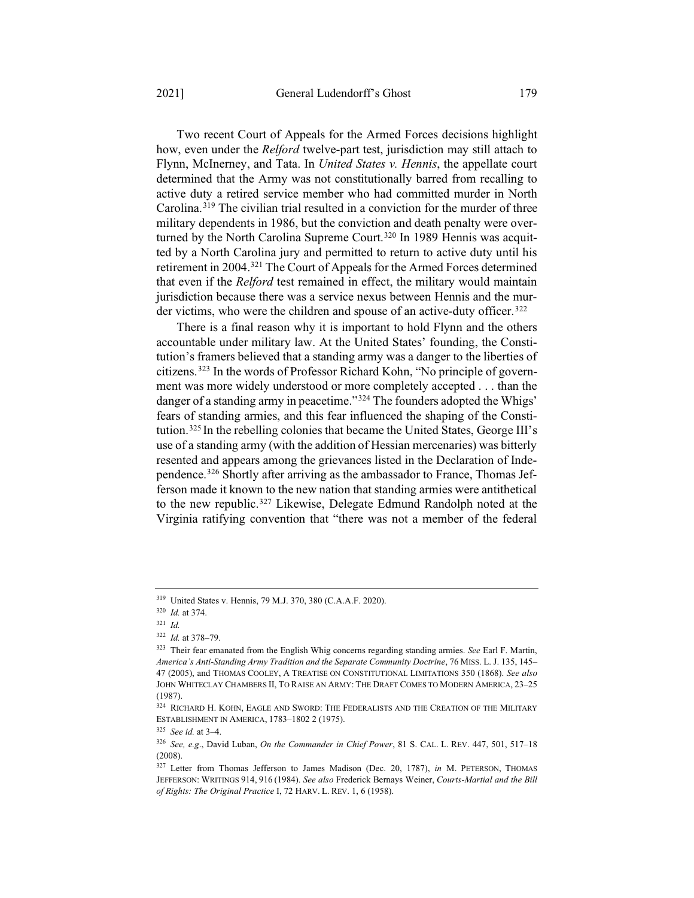Two recent Court of Appeals for the Armed Forces decisions highlight how, even under the *Relford* twelve-part test, jurisdiction may still attach to Flynn, McInerney, and Tata. In *United States v. Hennis*, the appellate court determined that the Army was not constitutionally barred from recalling to active duty a retired service member who had committed murder in North Carolina.319 The civilian trial resulted in a conviction for the murder of three military dependents in 1986, but the conviction and death penalty were overturned by the North Carolina Supreme Court.<sup>320</sup> In 1989 Hennis was acquitted by a North Carolina jury and permitted to return to active duty until his retirement in 2004.321 The Court of Appeals for the Armed Forces determined that even if the *Relford* test remained in effect, the military would maintain jurisdiction because there was a service nexus between Hennis and the murder victims, who were the children and spouse of an active-duty officer.<sup>322</sup>

There is a final reason why it is important to hold Flynn and the others accountable under military law. At the United States' founding, the Constitution's framers believed that a standing army was a danger to the liberties of citizens.323 In the words of Professor Richard Kohn, "No principle of government was more widely understood or more completely accepted . . . than the danger of a standing army in peacetime."<sup>324</sup> The founders adopted the Whigs' fears of standing armies, and this fear influenced the shaping of the Constitution.325 In the rebelling colonies that became the United States, George III's use of a standing army (with the addition of Hessian mercenaries) was bitterly resented and appears among the grievances listed in the Declaration of Independence.326 Shortly after arriving as the ambassador to France, Thomas Jefferson made it known to the new nation that standing armies were antithetical to the new republic.327 Likewise, Delegate Edmund Randolph noted at the Virginia ratifying convention that "there was not a member of the federal

<sup>319</sup> United States v. Hennis, 79 M.J. 370, 380 (C.A.A.F. 2020).

<sup>320</sup> *Id.* at 374.

<sup>321</sup> *Id.*

<sup>322</sup> *Id.* at 378–79.

<sup>323</sup> Their fear emanated from the English Whig concerns regarding standing armies. *See* Earl F. Martin, *America's Anti-Standing Army Tradition and the Separate Community Doctrine*, 76 MISS. L. J. 135, 145– 47 (2005), and THOMAS COOLEY,ATREATISE ON CONSTITUTIONAL LIMITATIONS 350 (1868). *See also* JOHN WHITECLAY CHAMBERS II, TO RAISE AN ARMY: THE DRAFT COMES TO MODERN AMERICA, 23–25 (1987).

<sup>324</sup> RICHARD H. KOHN, EAGLE AND SWORD: THE FEDERALISTS AND THE CREATION OF THE MILITARY ESTABLISHMENT IN AMERICA, 1783–1802 2 (1975).

<sup>325</sup> *See id.* at 3–4.

<sup>326</sup> *See, e.g*., David Luban, *On the Commander in Chief Power*, 81 S. CAL. L. REV. 447, 501, 517–18 (2008).

<sup>327</sup> Letter from Thomas Jefferson to James Madison (Dec. 20, 1787), *in* M. PETERSON, THOMAS JEFFERSON: WRITINGS 914, 916 (1984). *See also* Frederick Bernays Weiner, *Courts-Martial and the Bill of Rights: The Original Practice* I, 72 HARV. L. REV. 1, 6 (1958).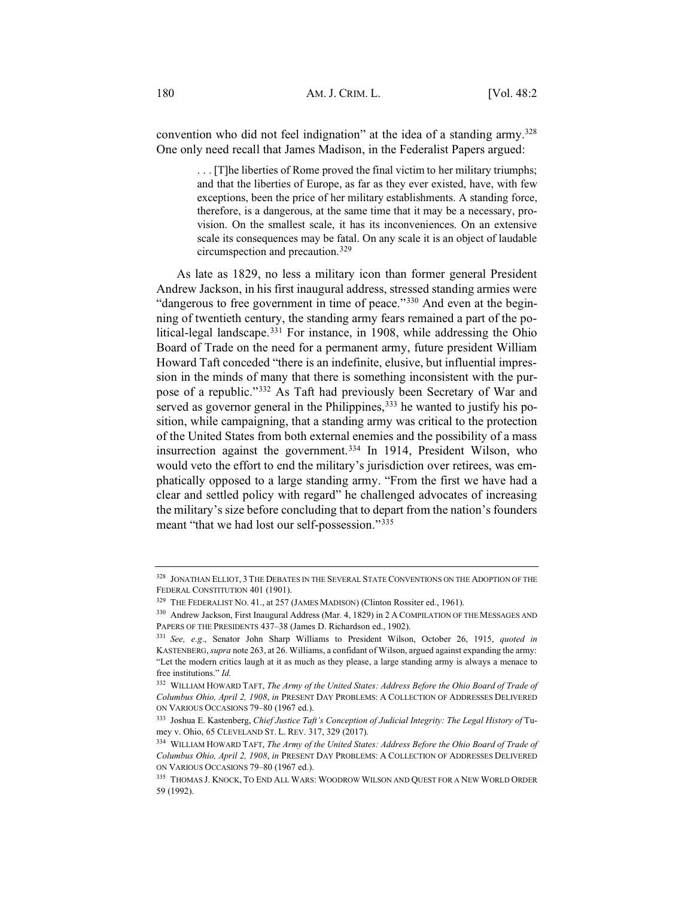convention who did not feel indignation" at the idea of a standing army.328 One only need recall that James Madison, in the Federalist Papers argued:

> . . . [T]he liberties of Rome proved the final victim to her military triumphs; and that the liberties of Europe, as far as they ever existed, have, with few exceptions, been the price of her military establishments. A standing force, therefore, is a dangerous, at the same time that it may be a necessary, provision. On the smallest scale, it has its inconveniences. On an extensive scale its consequences may be fatal. On any scale it is an object of laudable circumspection and precaution.<sup>329</sup>

As late as 1829, no less a military icon than former general President Andrew Jackson, in his first inaugural address, stressed standing armies were "dangerous to free government in time of peace."<sup>330</sup> And even at the beginning of twentieth century, the standing army fears remained a part of the political-legal landscape.<sup>331</sup> For instance, in 1908, while addressing the Ohio Board of Trade on the need for a permanent army, future president William Howard Taft conceded "there is an indefinite, elusive, but influential impression in the minds of many that there is something inconsistent with the purpose of a republic."332 As Taft had previously been Secretary of War and served as governor general in the Philippines,<sup>333</sup> he wanted to justify his position, while campaigning, that a standing army was critical to the protection of the United States from both external enemies and the possibility of a mass insurrection against the government.<sup>334</sup> In 1914, President Wilson, who would veto the effort to end the military's jurisdiction over retirees, was emphatically opposed to a large standing army. "From the first we have had a clear and settled policy with regard" he challenged advocates of increasing the military's size before concluding that to depart from the nation's founders meant "that we had lost our self-possession."335

<sup>328</sup> JONATHAN ELLIOT,3THE DEBATES IN THE SEVERAL STATE CONVENTIONS ON THE ADOPTION OF THE FEDERAL CONSTITUTION 401 (1901).

<sup>&</sup>lt;sup>329</sup> THE FEDERALIST NO. 41., at 257 (JAMES MADISON) (Clinton Rossiter ed., 1961).

<sup>330</sup> Andrew Jackson, First Inaugural Address (Mar. 4, 1829) in 2 A COMPILATION OF THE MESSAGES AND PAPERS OF THE PRESIDENTS 437–38 (James D. Richardson ed., 1902).

<sup>331</sup> *See, e.g*., Senator John Sharp Williams to President Wilson, October 26, 1915, *quoted in* KASTENBERG,*supra* note 263, at 26. Williams, a confidant of Wilson, argued against expanding the army: "Let the modern critics laugh at it as much as they please, a large standing army is always a menace to free institutions." *Id.*

<sup>332</sup> WILLIAM HOWARD TAFT, *The Army of the United States: Address Before the Ohio Board of Trade of Columbus Ohio, April 2, 1908*, *in* PRESENT DAY PROBLEMS:ACOLLECTION OF ADDRESSES DELIVERED ON VARIOUS OCCASIONS 79–80 (1967 ed.).

<sup>333</sup> Joshua E. Kastenberg, *Chief Justice Taft's Conception of Judicial Integrity: The Legal History of* Tumey v. Ohio, 65 CLEVELAND ST. L. REV. 317, 329 (2017).

<sup>334</sup> WILLIAM HOWARD TAFT, *The Army of the United States: Address Before the Ohio Board of Trade of Columbus Ohio, April 2, 1908*, *in* PRESENT DAY PROBLEMS:ACOLLECTION OF ADDRESSES DELIVERED ON VARIOUS OCCASIONS 79–80 (1967 ed.).

<sup>335</sup> THOMAS J. KNOCK, TO END ALL WARS: WOODROW WILSON AND QUEST FOR A NEW WORLD ORDER 59 (1992).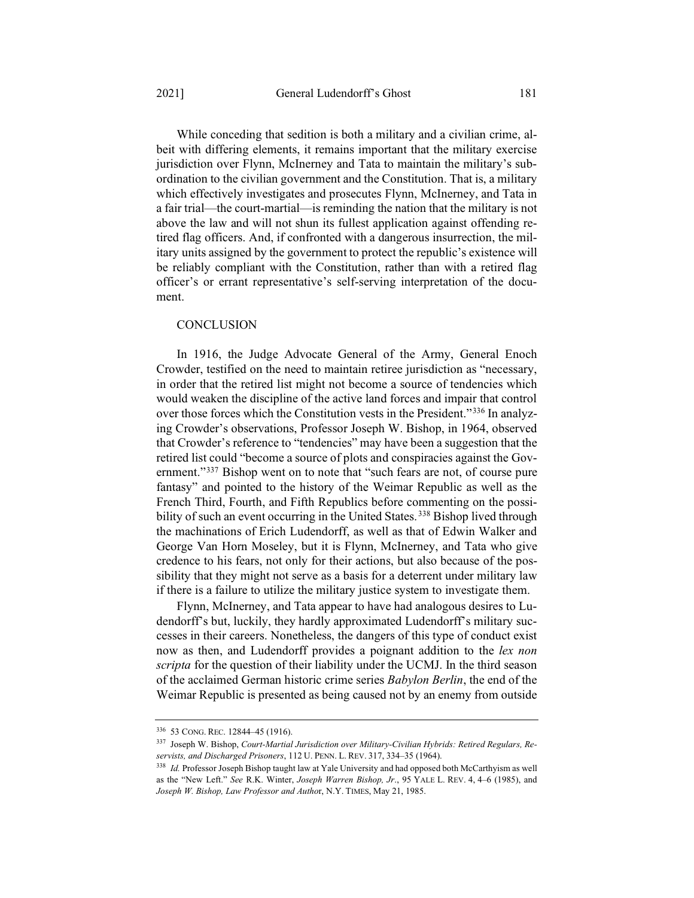While conceding that sedition is both a military and a civilian crime, albeit with differing elements, it remains important that the military exercise jurisdiction over Flynn, McInerney and Tata to maintain the military's subordination to the civilian government and the Constitution. That is, a military which effectively investigates and prosecutes Flynn, McInerney, and Tata in a fair trial—the court-martial—is reminding the nation that the military is not above the law and will not shun its fullest application against offending retired flag officers. And, if confronted with a dangerous insurrection, the military units assigned by the government to protect the republic's existence will be reliably compliant with the Constitution, rather than with a retired flag officer's or errant representative's self-serving interpretation of the document.

#### **CONCLUSION**

In 1916, the Judge Advocate General of the Army, General Enoch Crowder, testified on the need to maintain retiree jurisdiction as "necessary, in order that the retired list might not become a source of tendencies which would weaken the discipline of the active land forces and impair that control over those forces which the Constitution vests in the President."336 In analyzing Crowder's observations, Professor Joseph W. Bishop, in 1964, observed that Crowder's reference to "tendencies" may have been a suggestion that the retired list could "become a source of plots and conspiracies against the Government."<sup>337</sup> Bishop went on to note that "such fears are not, of course pure fantasy" and pointed to the history of the Weimar Republic as well as the French Third, Fourth, and Fifth Republics before commenting on the possibility of such an event occurring in the United States.<sup>338</sup> Bishop lived through the machinations of Erich Ludendorff, as well as that of Edwin Walker and George Van Horn Moseley, but it is Flynn, McInerney, and Tata who give credence to his fears, not only for their actions, but also because of the possibility that they might not serve as a basis for a deterrent under military law if there is a failure to utilize the military justice system to investigate them.

Flynn, McInerney, and Tata appear to have had analogous desires to Ludendorff's but, luckily, they hardly approximated Ludendorff's military successes in their careers. Nonetheless, the dangers of this type of conduct exist now as then, and Ludendorff provides a poignant addition to the *lex non scripta* for the question of their liability under the UCMJ. In the third season of the acclaimed German historic crime series *Babylon Berlin*, the end of the Weimar Republic is presented as being caused not by an enemy from outside

<sup>336</sup> 53 CONG. REC. 12844–45 (1916).

<sup>337</sup> Joseph W. Bishop, *Court-Martial Jurisdiction over Military-Civilian Hybrids: Retired Regulars, Reservists, and Discharged Prisoners*, 112 U. PENN. L. REV. 317, 334–35 (1964).

<sup>&</sup>lt;sup>338</sup> *Id.* Professor Joseph Bishop taught law at Yale University and had opposed both McCarthyism as well as the "New Left." *See* R.K. Winter, *Joseph Warren Bishop, Jr*., 95 YALE L. REV. 4, 4–6 (1985), and *Joseph W. Bishop, Law Professor and Autho*r, N.Y. TIMES, May 21, 1985.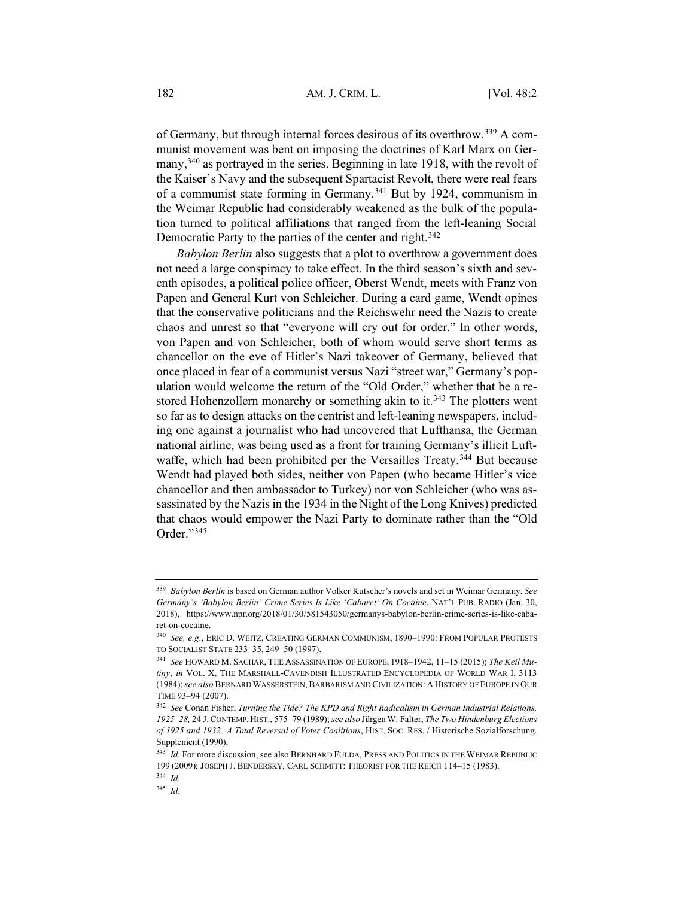of Germany, but through internal forces desirous of its overthrow.339 A communist movement was bent on imposing the doctrines of Karl Marx on Germany,<sup>340</sup> as portrayed in the series. Beginning in late 1918, with the revolt of the Kaiser's Navy and the subsequent Spartacist Revolt, there were real fears of a communist state forming in Germany.341 But by 1924, communism in the Weimar Republic had considerably weakened as the bulk of the population turned to political affiliations that ranged from the left-leaning Social Democratic Party to the parties of the center and right.<sup>342</sup>

*Babylon Berlin* also suggests that a plot to overthrow a government does not need a large conspiracy to take effect. In the third season's sixth and seventh episodes, a political police officer, Oberst Wendt, meets with Franz von Papen and General Kurt von Schleicher. During a card game, Wendt opines that the conservative politicians and the Reichswehr need the Nazis to create chaos and unrest so that "everyone will cry out for order." In other words, von Papen and von Schleicher, both of whom would serve short terms as chancellor on the eve of Hitler's Nazi takeover of Germany, believed that once placed in fear of a communist versus Nazi "street war," Germany's population would welcome the return of the "Old Order," whether that be a restored Hohenzollern monarchy or something akin to it.<sup>343</sup> The plotters went so far as to design attacks on the centrist and left-leaning newspapers, including one against a journalist who had uncovered that Lufthansa, the German national airline, was being used as a front for training Germany's illicit Luftwaffe, which had been prohibited per the Versailles Treaty.<sup>344</sup> But because Wendt had played both sides, neither von Papen (who became Hitler's vice chancellor and then ambassador to Turkey) nor von Schleicher (who was assassinated by the Nazis in the 1934 in the Night of the Long Knives) predicted that chaos would empower the Nazi Party to dominate rather than the "Old Order<sup>"345</sup>

<sup>339</sup> *Babylon Berlin* is based on German author Volker Kutscher's novels and set in Weimar Germany. *See Germany's 'Babylon Berlin' Crime Series Is Like 'Cabaret' On Cocaine*, NAT'L PUB. RADIO (Jan. 30, 2018), https://www.npr.org/2018/01/30/581543050/germanys-babylon-berlin-crime-series-is-like-cabaret-on-cocaine.

<sup>340</sup> *See, e.g*., ERIC D. WEITZ, CREATING GERMAN COMMUNISM, 1890–1990: FROM POPULAR PROTESTS TO SOCIALIST STATE 233–35, 249–50 (1997).

<sup>341</sup> *See* HOWARD M. SACHAR, THE ASSASSINATION OF EUROPE, 1918–1942, 11–15 (2015); *The Keil Mutiny*, *in* VOL. X, THE MARSHALL-CAVENDISH ILLUSTRATED ENCYCLOPEDIA OF WORLD WAR I, 3113 (1984); *see also* BERNARD WASSERSTEIN, BARBARISM AND CIVILIZATION:AHISTORY OF EUROPE IN OUR TIME 93–94 (2007).

<sup>342</sup> *See* Conan Fisher, *Turning the Tide? The KPD and Right Radicalism in German Industrial Relations, 1925*–*28,* 24 J. CONTEMP. HIST., 575–79 (1989); *see also* Jürgen W. Falter, *The Two Hindenburg Elections of 1925 and 1932: A Total Reversal of Voter Coalitions*, HIST. SOC. RES. / Historische Sozialforschung. Supplement (1990).

<sup>343</sup> *Id*. For more discussion, see also BERNHARD FULDA, PRESS AND POLITICS IN THE WEIMAR REPUBLIC 199 (2009); JOSEPH J. BENDERSKY, CARL SCHMITT: THEORIST FOR THE REICH 114–15 (1983).

<sup>344</sup> *Id*.